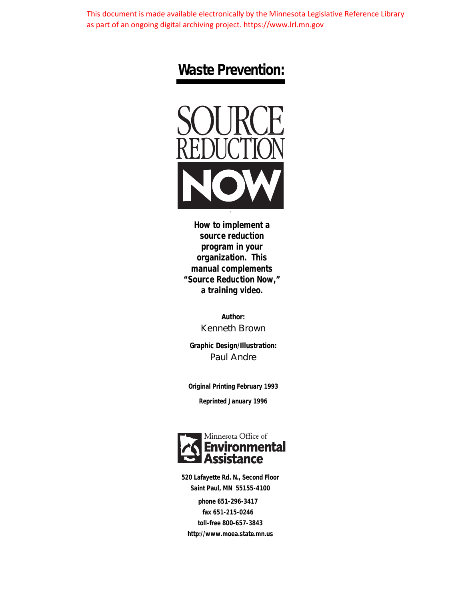This document is made available electronically by the Minnesota Legislative Reference Library as part of an ongoing digital archiving project. https://www.lrl.mn.gov

### **Waste Prevention:**



**source reduction program in your organization. This manual complements "Source Reduction Now," a training video.**

> **Author:** Kenneth Brown

**Graphic Design/Illustration:** Paul Andre

**Original Printing February 1993**

**Reprinted January 1996**



**520 Lafayette Rd. N., Second Floor Saint Paul, MN 55155-4100 phone 651-296-3417 fax 651-215-0246 toll-free 800-657-3843 <http://www.moea.state.mn.us>**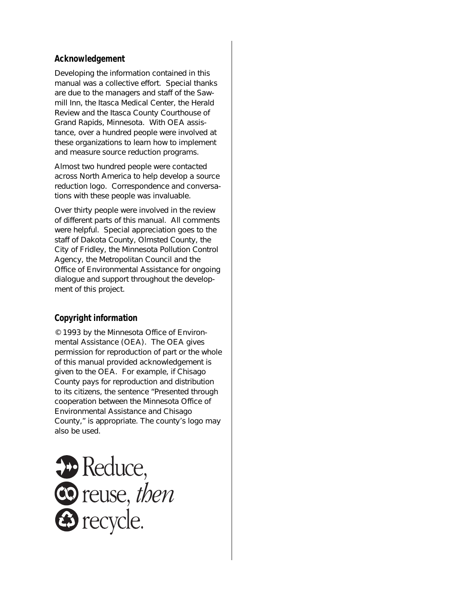### **Acknowledgement**

Developing the information contained in this manual was a collective effort. Special thanks are due to the managers and staff of the Sawmill Inn, the Itasca Medical Center, the Herald Review and the Itasca County Courthouse of Grand Rapids, Minnesota. With OEA assistance, over a hundred people were involved at these organizations to learn how to implement and measure source reduction programs.

Almost two hundred people were contacted across North America to help develop a source reduction logo. Correspondence and conversations with these people was invaluable.

Over thirty people were involved in the review of different parts of this manual. All comments were helpful. Special appreciation goes to the staff of Dakota County, Olmsted County, the City of Fridley, the Minnesota Pollution Control Agency, the Metropolitan Council and the Office of Environmental Assistance for ongoing dialogue and support throughout the development of this project.

### **Copyright information**

© 1993 by the Minnesota Office of Environmental Assistance (OEA). The OEA gives permission for reproduction of part or the whole of this manual provided acknowledgement is given to the OEA. For example, if Chisago County pays for reproduction and distribution to its citizens, the sentence "Presented through cooperation between the Minnesota Office of Environmental Assistance and Chisago County," is appropriate. The county's logo may also be used.

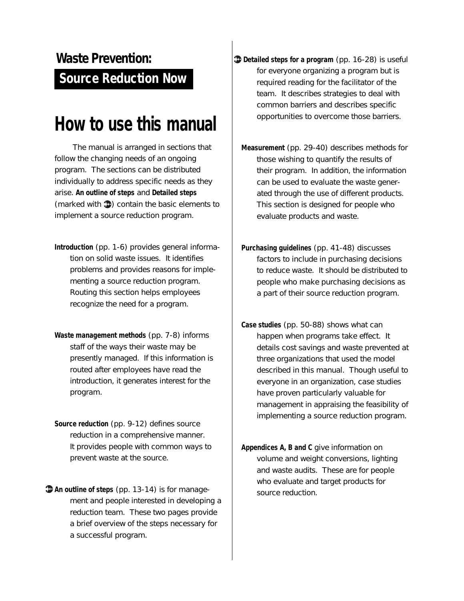### **Source Reduction Now Waste Prevention:**

### **How to use this manual**

The manual is arranged in sections that follow the changing needs of an ongoing program. The sections can be distributed individually to address specific needs as they arise. **An outline of steps** and **Detailed steps** (marked with  $\mathbf{D}$ ) contain the basic elements to implement a source reduction program.

- **Introduction** (pp. 1-6) provides general information on solid waste issues. It identifies problems and provides reasons for implementing a source reduction program. Routing this section helps employees recognize the need for a program.
- **Waste management methods** (pp. 7-8) informs staff of the ways their waste may be presently managed. If this information is routed after employees have read the introduction, it generates interest for the program.
- **Source reduction** (pp. 9-12) defines source reduction in a comprehensive manner. It provides people with common ways to prevent waste at the source.
- **An outline of steps** (pp. 13-14) is for management and people interested in developing a reduction team. These two pages provide a brief overview of the steps necessary for a successful program.
- **Detailed steps for a program** (pp. 16-28) is useful for everyone organizing a program but is required reading for the facilitator of the team. It describes strategies to deal with common barriers and describes specific opportunities to overcome those barriers.
	- **Measurement** (pp. 29-40) describes methods for those wishing to quantify the results of their program. In addition, the information can be used to evaluate the waste generated through the use of different products. This section is designed for people who evaluate products and waste.
	- **Purchasing guidelines** (pp. 41-48) discusses factors to include in purchasing decisions to reduce waste. It should be distributed to people who make purchasing decisions as a part of their source reduction program.
	- **Case studies** (pp. 50-88) shows what can happen when programs take effect. It details cost savings and waste prevented at three organizations that used the model described in this manual. Though useful to everyone in an organization, case studies have proven particularly valuable for management in appraising the feasibility of implementing a source reduction program.
	- **Appendices A, B and C** give information on volume and weight conversions, lighting and waste audits. These are for people who evaluate and target products for source reduction.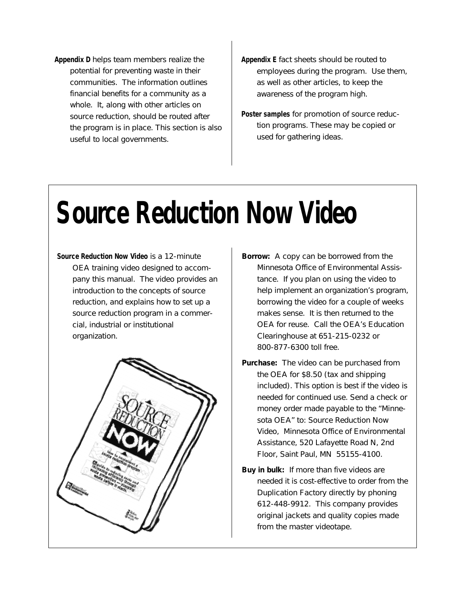- **Appendix D** helps team members realize the potential for preventing waste in their communities. The information outlines financial benefits for a community as a whole. It, along with other articles on source reduction, should be routed after the program is in place. This section is also useful to local governments.
- **Appendix E** fact sheets should be routed to employees during the program. Use them, as well as other articles, to keep the awareness of the program high.
- **Poster samples** for promotion of source reduction programs. These may be copied or used for gathering ideas.

# **Source Reduction Now Video**

**Source Reduction Now Video** is a 12-minute OEA training video designed to accompany this manual. The video provides an introduction to the concepts of source reduction, and explains how to set up a source reduction program in a commercial, industrial or institutional organization.



- **Borrow:** A copy can be borrowed from the Minnesota Office of Environmental Assistance. If you plan on using the video to help implement an organization's program, borrowing the video for a couple of weeks makes sense. It is then returned to the OEA for reuse. Call the OEA's Education Clearinghouse at 651-215-0232 or 800-877-6300 toll free.
- **Purchase:** The video can be purchased from the OEA for \$8.50 (tax and shipping included). This option is best if the video is needed for continued use. Send a check or money order made payable to the "Minnesota OEA" to: Source Reduction Now Video, Minnesota Office of Environmental Assistance, 520 Lafayette Road N, 2nd Floor, Saint Paul, MN 55155-4100.
- **Buy in bulk:** If more than five videos are needed it is cost-effective to order from the Duplication Factory directly by phoning 612-448-9912. This company provides original jackets and quality copies made from the master videotape.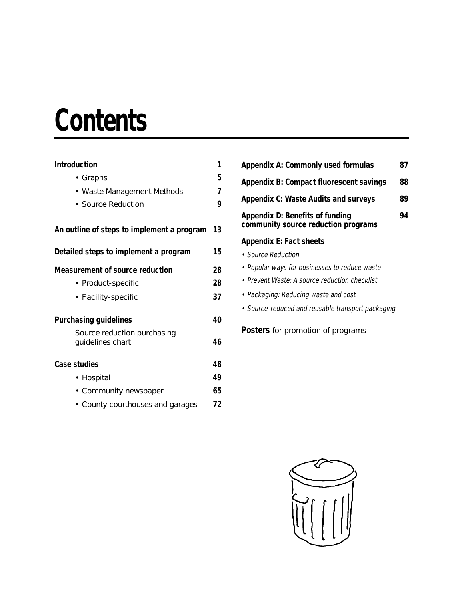## **Contents**

| <b>Introduction</b>                             | 1  |
|-------------------------------------------------|----|
| • Graphs                                        | 5  |
| • Waste Management Methods                      | 7  |
| • Source Reduction                              | 9  |
| An outline of steps to implement a program      | 13 |
| Detailed steps to implement a program           | 15 |
| <b>Measurement of source reduction</b>          | 28 |
| • Product-specific                              | 28 |
| • Facility-specific                             | 37 |
| <b>Purchasing guidelines</b>                    | 40 |
| Source reduction purchasing<br>guidelines chart | 46 |
| <b>Case studies</b>                             | 48 |
| • Hospital                                      | 49 |
| • Community newspaper                           | 65 |
| • County courthouses and garages                | 72 |

| <b>Appendix A: Commonly used formulas</b>                                     | 87 |  |
|-------------------------------------------------------------------------------|----|--|
| Appendix B: Compact fluorescent savings                                       | 88 |  |
| <b>Appendix C: Waste Audits and surveys</b>                                   |    |  |
| <b>Appendix D: Benefits of funding</b><br>community source reduction programs |    |  |
| <b>Appendix E: Fact sheets</b>                                                |    |  |
| • Source Reduction                                                            |    |  |
| • Popular ways for businesses to reduce waste                                 |    |  |
| • Prevent Waste: A source reduction checklist                                 |    |  |
|                                                                               |    |  |

- Packaging: Reducing waste and cost
- Source-reduced and reusable transport packaging

**Posters** [for promotion of programs](#page-115-0)

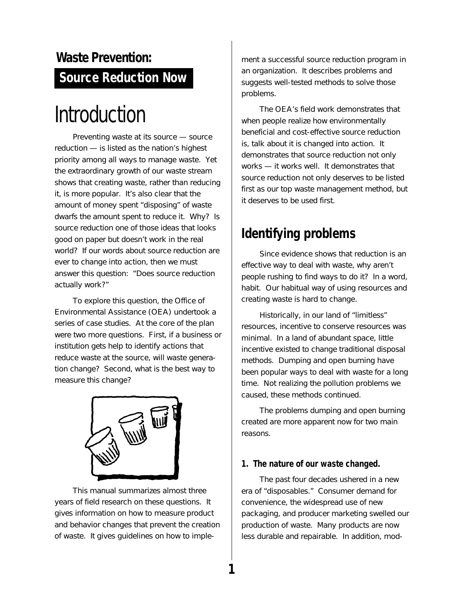### <span id="page-5-0"></span>**Source Reduction Now Waste Prevention:**

## Introduction

Preventing waste at its source — source reduction — is listed as the nation's highest priority among all ways to manage waste. Yet the extraordinary growth of our waste stream shows that creating waste, rather than reducing it, is more popular. It's also clear that the amount of money spent "disposing" of waste dwarfs the amount spent to reduce it. Why? Is source reduction one of those ideas that looks good on paper but doesn't work in the real world? If our words about source reduction are ever to change into action, then we must answer this question: "Does source reduction actually work?"

To explore this question, the Office of Environmental Assistance (OEA) undertook a series of case studies. At the core of the plan were two more questions. First, if a business or institution gets help to identify actions that reduce waste at the source, will waste generation change? Second, what is the best way to measure this change?



This manual summarizes almost three years of field research on these questions. It gives information on how to measure product and behavior changes that prevent the creation of waste. It gives guidelines on how to implement a successful source reduction program in an organization. It describes problems and suggests well-tested methods to solve those problems.

The OEA's field work demonstrates that when people realize how environmentally beneficial and cost-effective source reduction is, talk about it is changed into action. It demonstrates that source reduction not only works — it works well. It demonstrates that source reduction not only deserves to be listed first as our top waste management method, but it deserves to be used first.

### **Identifying problems**

Since evidence shows that reduction is an effective way to deal with waste, why aren't people rushing to find ways to do it? In a word, habit. Our habitual way of using resources and creating waste is hard to change.

Historically, in our land of "limitless" resources, incentive to conserve resources was minimal. In a land of abundant space, little incentive existed to change traditional disposal methods. Dumping and open burning have been popular ways to deal with waste for a long time. Not realizing the pollution problems we caused, these methods continued.

The problems dumping and open burning created are more apparent now for two main reasons.

### **1. The nature of our waste changed.**

**1**

The past four decades ushered in a new era of "disposables." Consumer demand for convenience, the widespread use of new packaging, and producer marketing swelled our production of waste. Many products are now less durable and repairable. In addition, mod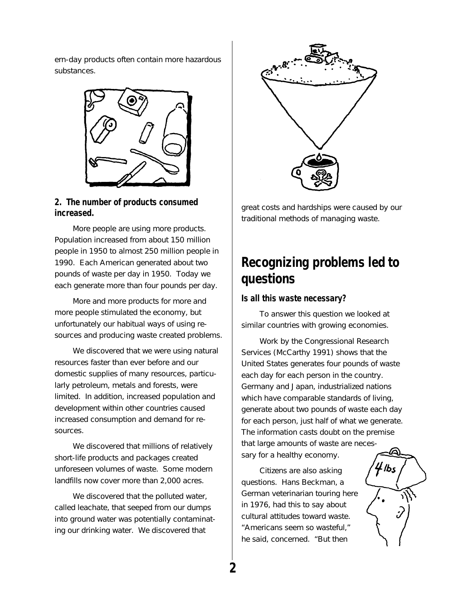ern-day products often contain more hazardous substances.



### **2. The number of products consumed increased.**

More people are using more products. Population increased from about 150 million people in 1950 to almost 250 million people in 1990. Each American generated about two pounds of waste per day in 1950. Today we each generate more than four pounds per day.

More and more products for more and more people stimulated the economy, but unfortunately our habitual ways of using resources and producing waste created problems.

We discovered that we were using natural resources faster than ever before and our domestic supplies of many resources, particularly petroleum, metals and forests, were limited. In addition, increased population and development within other countries caused increased consumption and demand for resources.

We discovered that millions of relatively short-life products and packages created unforeseen volumes of waste. Some modern landfills now cover more than 2,000 acres.

We discovered that the polluted water, called leachate, that seeped from our dumps into ground water was potentially contaminating our drinking water. We discovered that



great costs and hardships were caused by our traditional methods of managing waste.

### **Recognizing problems led to questions**

### **Is all this waste necessary?**

To answer this question we looked at similar countries with growing economies.

Work by the Congressional Research Services (McCarthy 1991) shows that the United States generates four pounds of waste each day for each person in the country. Germany and Japan, industrialized nations which have comparable standards of living, generate about two pounds of waste each day for each person, just half of what we generate. The information casts doubt on the premise that large amounts of waste are necessary for a healthy economy.

Citizens are also asking questions. Hans Beckman, a German veterinarian touring here in 1976, had this to say about cultural attitudes toward waste. "Americans seem so wasteful," he said, concerned. "But then

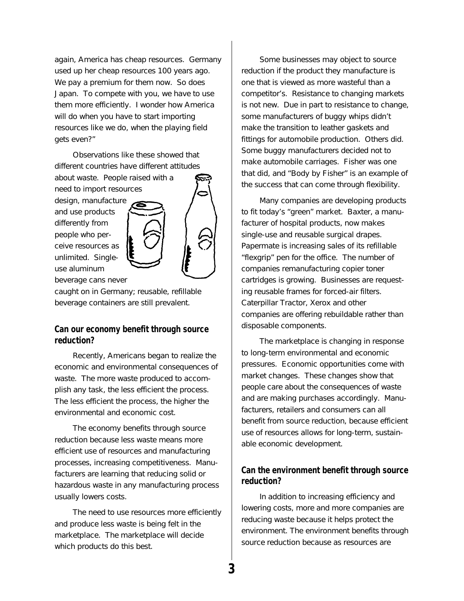again, America has cheap resources. Germany used up her cheap resources 100 years ago. We pay a premium for them now. So does Japan. To compete with you, we have to use them more efficiently. I wonder how America will do when you have to start importing resources like we do, when the playing field gets even?"

Observations like these showed that different countries have different attitudes

about waste. People raised with a need to import resources

design, manufacture and use products differently from people who perceive resources as unlimited. Singleuse aluminum beverage cans never



caught on in Germany; reusable, refillable beverage containers are still prevalent.

### **Can our economy benefit through source reduction?**

Recently, Americans began to realize the economic and environmental consequences of waste. The more waste produced to accomplish any task, the less efficient the process. The less efficient the process, the higher the environmental and economic cost.

The economy benefits through source reduction because less waste means more efficient use of resources and manufacturing processes, increasing competitiveness. Manufacturers are learning that reducing solid or hazardous waste in any manufacturing process usually lowers costs.

The need to use resources more efficiently and produce less waste is being felt in the marketplace. The marketplace will decide which products do this best.

Some businesses may object to source reduction if the product they manufacture is one that is viewed as more wasteful than a competitor's. Resistance to changing markets is not new. Due in part to resistance to change, some manufacturers of buggy whips didn't make the transition to leather gaskets and fittings for automobile production. Others did. Some buggy manufacturers decided not to make automobile carriages. Fisher was one that did, and "Body by Fisher" is an example of the success that can come through flexibility.

Many companies are developing products to fit today's "green" market. Baxter, a manufacturer of hospital products, now makes single-use and reusable surgical drapes. Papermate is increasing sales of its refillable "flexgrip" pen for the office. The number of companies remanufacturing copier toner cartridges is growing. Businesses are requesting reusable frames for forced-air filters. Caterpillar Tractor, Xerox and other companies are offering rebuildable rather than disposable components.

The marketplace is changing in response to long-term environmental and economic pressures. Economic opportunities come with market changes. These changes show that people care about the consequences of waste and are making purchases accordingly. Manufacturers, retailers and consumers can all benefit from source reduction, because efficient use of resources allows for long-term, sustainable economic development.

### **Can the environment benefit through source reduction?**

In addition to increasing efficiency and lowering costs, more and more companies are reducing waste because it helps protect the environment. The environment benefits through source reduction because as resources are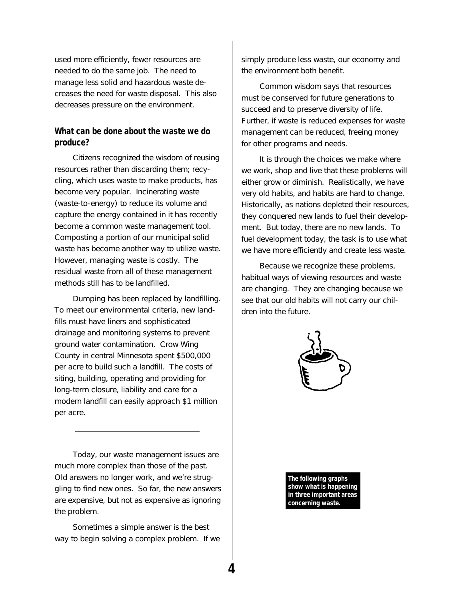used more efficiently, fewer resources are needed to do the same job. The need to manage less solid and hazardous waste decreases the need for waste disposal. This also decreases pressure on the environment.

### **What can be done about the waste we do produce?**

Citizens recognized the wisdom of reusing resources rather than discarding them; recycling, which uses waste to make products, has become very popular. Incinerating waste (waste-to-energy) to reduce its volume and capture the energy contained in it has recently become a common waste management tool. Composting a portion of our municipal solid waste has become another way to utilize waste. However, managing waste is costly. The residual waste from all of these management methods still has to be landfilled.

Dumping has been replaced by landfilling. To meet our environmental criteria, new landfills must have liners and sophisticated drainage and monitoring systems to prevent ground water contamination. Crow Wing County in central Minnesota spent \$500,000 per acre to build such a landfill. The costs of siting, building, operating and providing for long-term closure, liability and care for a modern landfill can easily approach \$1 million per acre.

Today, our waste management issues are much more complex than those of the past. Old answers no longer work, and we're struggling to find new ones. So far, the new answers are expensive, but not as expensive as ignoring the problem.

Sometimes a simple answer is the best way to begin solving a complex problem. If we simply produce less waste, our economy and the environment both benefit.

Common wisdom says that resources must be conserved for future generations to succeed and to preserve diversity of life. Further, if waste is reduced expenses for waste management can be reduced, freeing money for other programs and needs.

It is through the choices we make where we work, shop and live that these problems will either grow or diminish. Realistically, we have very old habits, and habits are hard to change. Historically, as nations depleted their resources, they conquered new lands to fuel their development. But today, there are no new lands. To fuel development today, the task is to use what we have more efficiently and create less waste.

Because we recognize these problems, habitual ways of viewing resources and waste are changing. They are changing because we see that our old habits will not carry our children into the future.



**The following graphs show what is happening in three important areas concerning waste.**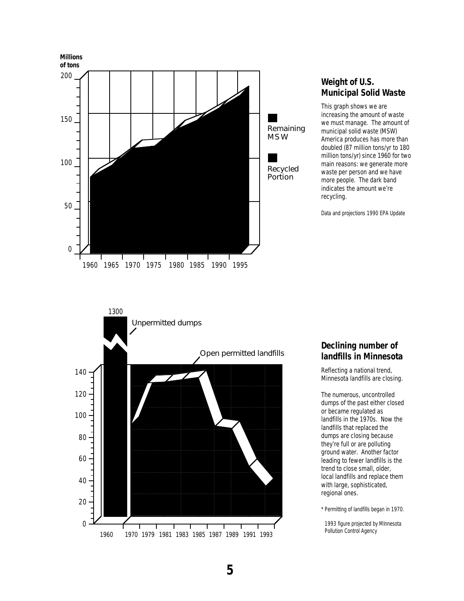

### **Weight of U.S. Municipal Solid Waste**

This graph shows we are increasing the amount of waste we must manage. The amount of municipal solid waste (MSW) America produces has more than doubled (87 million tons/yr to 180 million tons/yr) since 1960 for two main reasons: we generate more waste per person and we have more people. The dark band indicates the amount we're recycling.

Data and projections 1990 EPA Update



### **Declining number of landfills in Minnesota**

Reflecting a national trend, Minnesota landfills are closing.

The numerous, uncontrolled dumps of the past either closed or became regulated as landfills in the 1970s. Now the landfills that replaced the dumps are closing because they're full or are polluting ground water. Another factor leading to fewer landfills is the trend to close small, older, local landfills and replace them with large, sophisticated, regional ones.

\* Permitting of landfills began in 1970.

1993 figure projected by MInnesota Pollution Control Agency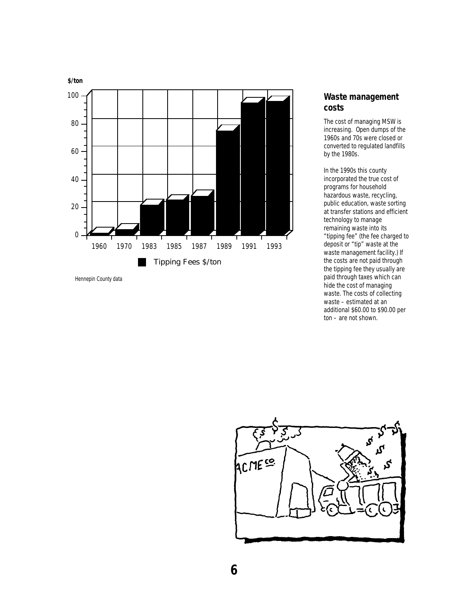

Hennepin County data

### **Waste management costs**

The cost of managing MSW is increasing. Open dumps of the 1960s and 70s were closed or converted to regulated landfills by the 1980s.

In the 1990s this county incorporated the true cost of programs for household hazardous waste, recycling, public education, waste sorting at transfer stations and efficient technology to manage remaining waste into its "tipping fee" (the fee charged to deposit or "tip" waste at the waste management facility.) If the costs are not paid through the tipping fee they usually are paid through taxes which can hide the cost of managing waste. The costs of collecting waste – estimated at an additional \$60.00 to \$90.00 per ton – are not shown.

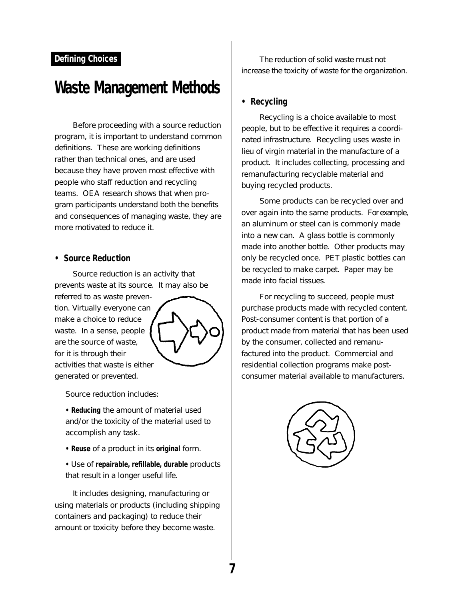### **Defining Choices**

### **Waste Management Methods**

Before proceeding with a source reduction program, it is important to understand common definitions. These are working definitions rather than technical ones, and are used because they have proven most effective with people who staff reduction and recycling teams. OEA research shows that when program participants understand both the benefits and consequences of managing waste, they are more motivated to reduce it.

#### **• Source Reduction**

Source reduction is an activity that prevents waste at its source. It may also be referred to as waste prevention. Virtually everyone can make a choice to reduce waste. In a sense, people are the source of waste, for it is through their activities that waste is either generated or prevented.

Source reduction includes:

**• Reducing** the amount of material used and/or the toxicity of the material used to accomplish any task.

- **Reuse** of a product in its **original** form.
- Use of **repairable, refillable, durable** products that result in a longer useful life.

It includes designing, manufacturing or using materials or products (including shipping containers and packaging) to reduce their amount or toxicity before they become waste.

The reduction of solid waste must not increase the toxicity of waste for the organization.

### **• Recycling**

Recycling is a choice available to most people, but to be effective it requires a coordinated infrastructure. Recycling uses waste in lieu of virgin material in the manufacture of a product. It includes collecting, processing and remanufacturing recyclable material and buying recycled products.

Some products can be recycled over and over again into the same products. For example, an aluminum or steel can is commonly made into a new can. A glass bottle is commonly made into another bottle. Other products may only be recycled once. PET plastic bottles can be recycled to make carpet. Paper may be made into facial tissues.

For recycling to succeed, people must purchase products made with recycled content. Post-consumer content is that portion of a product made from material that has been used by the consumer, collected and remanufactured into the product. Commercial and residential collection programs make postconsumer material available to manufacturers.

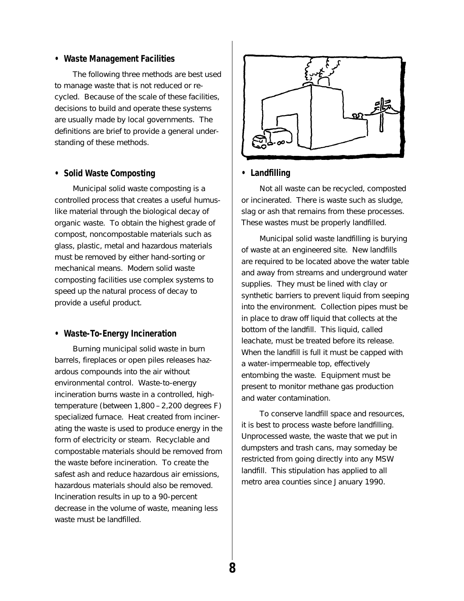#### **• Waste Management Facilities**

The following three methods are best used to manage waste that is not reduced or recycled. Because of the scale of these facilities, decisions to build and operate these systems are usually made by local governments. The definitions are brief to provide a general understanding of these methods.

#### **• Solid Waste Composting**

Municipal solid waste composting is a controlled process that creates a useful humuslike material through the biological decay of organic waste. To obtain the highest grade of compost, noncompostable materials such as glass, plastic, metal and hazardous materials must be removed by either hand-sorting or mechanical means. Modern solid waste composting facilities use complex systems to speed up the natural process of decay to provide a useful product.

#### **• Waste-To-Energy Incineration**

Burning municipal solid waste in burn barrels, fireplaces or open piles releases hazardous compounds into the air without environmental control. Waste-to-energy incineration burns waste in a controlled, hightemperature (between 1,800 – 2,200 degrees F) specialized furnace. Heat created from incinerating the waste is used to produce energy in the form of electricity or steam. Recyclable and compostable materials should be removed from the waste before incineration. To create the safest ash and reduce hazardous air emissions, hazardous materials should also be removed. Incineration results in up to a 90-percent decrease in the volume of waste, meaning less waste must be landfilled.



### **• Landfilling**

Not all waste can be recycled, composted or incinerated. There is waste such as sludge, slag or ash that remains from these processes. These wastes must be properly landfilled.

Municipal solid waste landfilling is burying of waste at an engineered site. New landfills are required to be located above the water table and away from streams and underground water supplies. They must be lined with clay or synthetic barriers to prevent liquid from seeping into the environment. Collection pipes must be in place to draw off liquid that collects at the bottom of the landfill. This liquid, called leachate, must be treated before its release. When the landfill is full it must be capped with a water-impermeable top, effectively entombing the waste. Equipment must be present to monitor methane gas production and water contamination.

To conserve landfill space and resources, it is best to process waste before landfilling. Unprocessed waste, the waste that we put in dumpsters and trash cans, may someday be restricted from going directly into any MSW landfill. This stipulation has applied to all metro area counties since January 1990.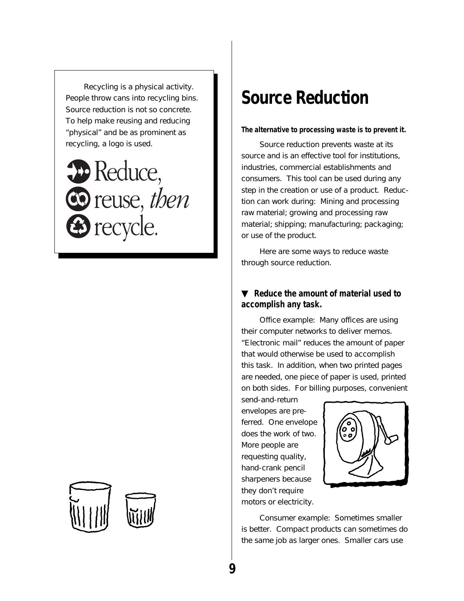Recycling is a physical activity. People throw cans into recycling bins. Source reduction is not so concrete. To help make reusing and reducing "physical" and be as prominent as recycling, a logo is used.





### **Source Reduction**

#### **The alternative to processing waste is to prevent it.**

Source reduction prevents waste at its source and is an effective tool for institutions, industries, commercial establishments and consumers. This tool can be used during any step in the creation or use of a product. Reduction can work during: Mining and processing raw material; growing and processing raw material; shipping; manufacturing; packaging; or use of the product.

Here are some ways to reduce waste through source reduction.

### ▼ **Reduce the amount of material used to accomplish any task.**

Office example: Many offices are using their computer networks to deliver memos. "Electronic mail" reduces the amount of paper that would otherwise be used to accomplish this task. In addition, when two printed pages are needed, one piece of paper is used, printed on both sides. For billing purposes, convenient

send-and-return envelopes are preferred. One envelope does the work of two. More people are requesting quality, hand-crank pencil sharpeners because they don't require motors or electricity.



Consumer example: Sometimes smaller is better. Compact products can sometimes do the same job as larger ones. Smaller cars use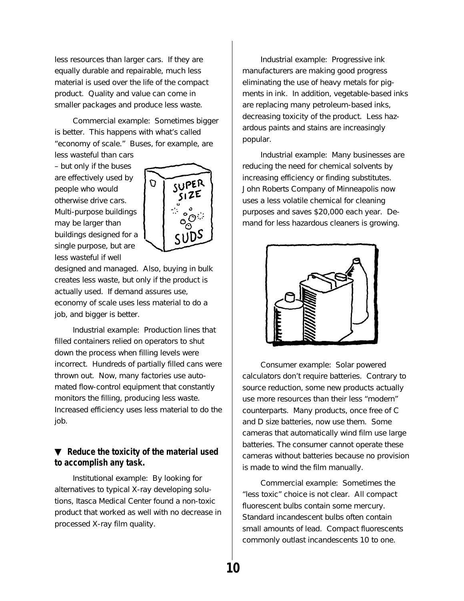less resources than larger cars. If they are equally durable and repairable, much less material is used over the life of the compact product. Quality and value can come in smaller packages and produce less waste.

Commercial example: Sometimes bigger is better. This happens with what's called "economy of scale." Buses, for example, are

less wasteful than cars – but only if the buses are effectively used by people who would otherwise drive cars. Multi-purpose buildings may be larger than buildings designed for a single purpose, but are less wasteful if well



designed and managed. Also, buying in bulk creates less waste, but only if the product is actually used. If demand assures use, economy of scale uses less material to do a job, and bigger is better.

Industrial example: Production lines that filled containers relied on operators to shut down the process when filling levels were incorrect. Hundreds of partially filled cans were thrown out. Now, many factories use automated flow-control equipment that constantly monitors the filling, producing less waste. Increased efficiency uses less material to do the job.

### ▼ **Reduce the toxicity of the material used to accomplish any task.**

Institutional example: By looking for alternatives to typical X-ray developing solutions, Itasca Medical Center found a non-toxic product that worked as well with no decrease in processed X-ray film quality.

Industrial example: Progressive ink manufacturers are making good progress eliminating the use of heavy metals for pigments in ink. In addition, vegetable-based inks are replacing many petroleum-based inks, decreasing toxicity of the product. Less hazardous paints and stains are increasingly popular.

Industrial example: Many businesses are reducing the need for chemical solvents by increasing efficiency or finding substitutes. John Roberts Company of Minneapolis now uses a less volatile chemical for cleaning purposes and saves \$20,000 each year. Demand for less hazardous cleaners is growing.



Consumer example: Solar powered calculators don't require batteries. Contrary to source reduction, some new products actually use more resources than their less "modern" counterparts. Many products, once free of C and D size batteries, now use them. Some cameras that automatically wind film use large batteries. The consumer cannot operate these cameras without batteries because no provision is made to wind the film manually.

Commercial example: Sometimes the "less toxic" choice is not clear. All compact fluorescent bulbs contain some mercury. Standard incandescent bulbs often contain small amounts of lead. Compact fluorescents commonly outlast incandescents 10 to one.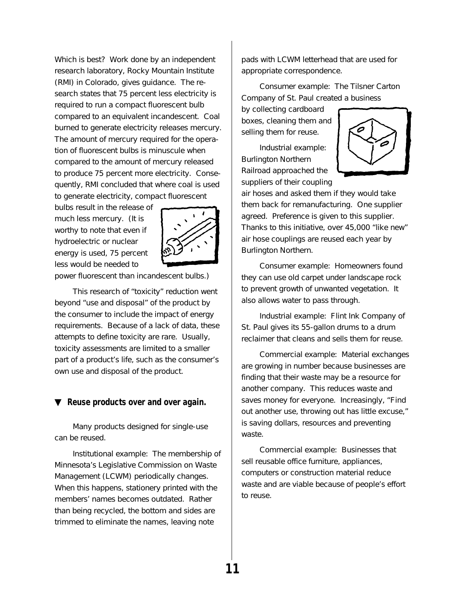Which is best? Work done by an independent research laboratory, Rocky Mountain Institute (RMI) in Colorado, gives guidance. The research states that 75 percent less electricity is required to run a compact fluorescent bulb compared to an equivalent incandescent. Coal burned to generate electricity releases mercury. The amount of mercury required for the operation of fluorescent bulbs is minuscule when compared to the amount of mercury released to produce 75 percent more electricity. Consequently, RMI concluded that where coal is used to generate electricity, compact fluorescent

bulbs result in the release of much less mercury. (It is worthy to note that even if hydroelectric or nuclear energy is used, 75 percent less would be needed to



power fluorescent than incandescent bulbs.)

This research of "toxicity" reduction went beyond "use and disposal" of the product by the consumer to include the impact of energy requirements. Because of a lack of data, these attempts to define toxicity are rare. Usually, toxicity assessments are limited to a smaller part of a product's life, such as the consumer's own use and disposal of the product.

#### ▼ **Reuse products over and over again.**

Many products designed for single-use can be reused.

Institutional example: The membership of Minnesota's Legislative Commission on Waste Management (LCWM) periodically changes. When this happens, stationery printed with the members' names becomes outdated. Rather than being recycled, the bottom and sides are trimmed to eliminate the names, leaving note

pads with LCWM letterhead that are used for appropriate correspondence.

Consumer example: The Tilsner Carton Company of St. Paul created a business

by collecting cardboard boxes, cleaning them and selling them for reuse.

Industrial example: Burlington Northern Railroad approached the suppliers of their coupling



air hoses and asked them if they would take them back for remanufacturing. One supplier agreed. Preference is given to this supplier. Thanks to this initiative, over 45,000 "like new" air hose couplings are reused each year by Burlington Northern.

Consumer example: Homeowners found they can use old carpet under landscape rock to prevent growth of unwanted vegetation. It also allows water to pass through.

Industrial example: Flint Ink Company of St. Paul gives its 55-gallon drums to a drum reclaimer that cleans and sells them for reuse.

Commercial example: Material exchanges are growing in number because businesses are finding that their waste may be a resource for another company. This reduces waste and saves money for everyone. Increasingly, "Find out another use, throwing out has little excuse," is saving dollars, resources and preventing waste.

Commercial example: Businesses that sell reusable office furniture, appliances, computers or construction material reduce waste and are viable because of people's effort to reuse.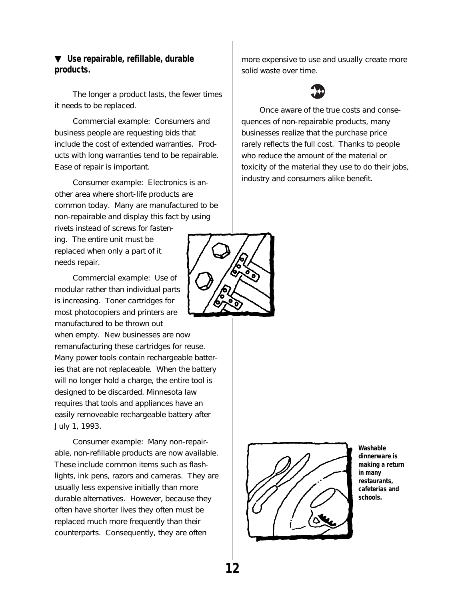### ▼ **Use repairable, refillable, durable products.**

The longer a product lasts, the fewer times it needs to be replaced.

Commercial example: Consumers and business people are requesting bids that include the cost of extended warranties. Products with long warranties tend to be repairable. Ease of repair is important.

Consumer example: Electronics is another area where short-life products are common today. Many are manufactured to be non-repairable and display this fact by using rivets instead of screws for fasten-

ing. The entire unit must be replaced when only a part of it needs repair.

Commercial example: Use of modular rather than individual parts is increasing. Toner cartridges for most photocopiers and printers are manufactured to be thrown out

when empty. New businesses are now remanufacturing these cartridges for reuse. Many power tools contain rechargeable batteries that are not replaceable. When the battery will no longer hold a charge, the entire tool is designed to be discarded. Minnesota law requires that tools and appliances have an easily removeable rechargeable battery after July 1, 1993.

Consumer example: Many non-repairable, non-refillable products are now available. These include common items such as flashlights, ink pens, razors and cameras. They are usually less expensive initially than more durable alternatives. However, because they often have shorter lives they often must be replaced much more frequently than their counterparts. Consequently, they are often

more expensive to use and usually create more solid waste over time.



Once aware of the true costs and consequences of non-repairable products, many businesses realize that the purchase price rarely reflects the full cost. Thanks to people who reduce the amount of the material or toxicity of the material they use to do their jobs, industry and consumers alike benefit.





**Washable dinnerware is making a return in many restaurants, cafeterias and schools.**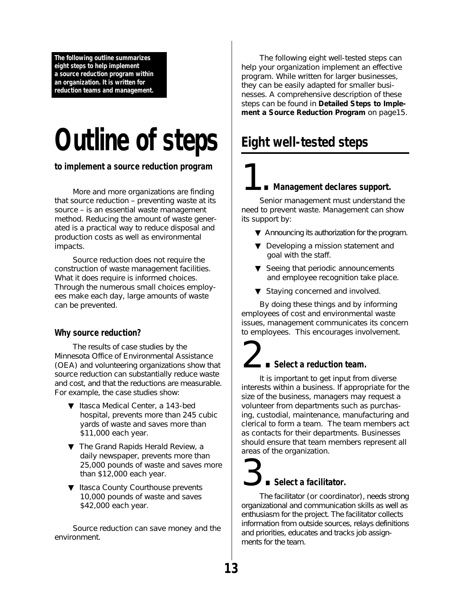<span id="page-17-0"></span>**The following outline summarizes eight steps to help implement a source reduction program within an organization. It is written for reduction teams and management.**

# **Outline of steps**

**to implement a source reduction program**

More and more organizations are finding that source reduction – preventing waste at its source – is an essential waste management method. Reducing the amount of waste generated is a practical way to reduce disposal and production costs as well as environmental impacts.

Source reduction does not require the construction of waste management facilities. What it does require is informed choices. Through the numerous small choices employees make each day, large amounts of waste can be prevented.

### **Why source reduction?**

The results of case studies by the Minnesota Office of Environmental Assistance (OEA) and volunteering organizations show that source reduction can substantially reduce waste and cost, and that the reductions are measurable. For example, the case studies show:

- ▼ Itasca Medical Center, a 143-bed hospital, prevents more than 245 cubic yards of waste and saves more than \$11,000 each year.
- ▼ The Grand Rapids Herald Review, a daily newspaper, prevents more than 25,000 pounds of waste and saves more than \$12,000 each year.
- ▼ Itasca County Courthouse prevents 10,000 pounds of waste and saves \$42,000 each year.

Source reduction can save money and the environment.

The following eight well-tested steps can help your organization implement an effective program. While written for larger businesses, they can be easily adapted for smaller businesses. A comprehensive description of these steps can be found in **Detailed Steps to Implement a Source Reduction Program** on page15.

### **Eight well-tested steps**

### 1. **Management declares support.**

Senior management must understand the need to prevent waste. Management can show its support by:

- ▼ Announcing its authorization for the program.
- ▼ Developing a mission statement and goal with the staff.
- $\blacktriangledown$  Seeing that periodic announcements and employee recognition take place.
- ▼ Staying concerned and involved.

By doing these things and by informing employees of cost and environmental waste issues, management communicates its concern to employees. This encourages involvement.

# 2. **Select a reduction team.**

It is important to get input from diverse interests within a business. If appropriate for the size of the business, managers may request a volunteer from departments such as purchasing, custodial, maintenance, manufacturing and clerical to form a team. The team members act as contacts for their departments. Businesses should ensure that team members represent all areas of the organization.

## 3. **Select a facilitator.**

The facilitator (or coordinator), needs strong organizational and communication skills as well as enthusiasm for the project. The facilitator collects information from outside sources, relays definitions and priorities, educates and tracks job assignments for the team.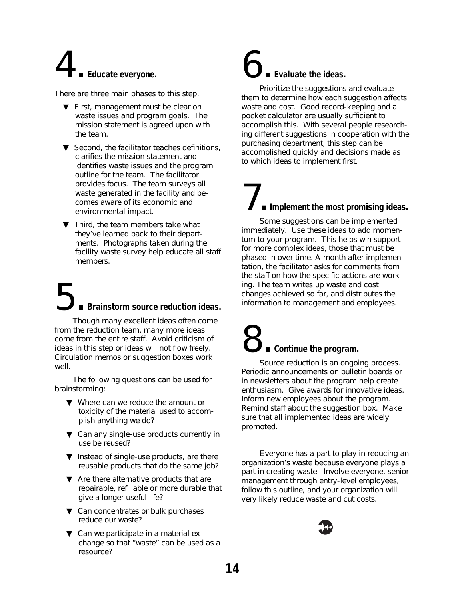# 4. **Educate everyone.**

There are three main phases to this step.

- ▼ First, management must be clear on waste issues and program goals. The mission statement is agreed upon with the team.
- ▼ Second, the facilitator teaches definitions, clarifies the mission statement and identifies waste issues and the program outline for the team. The facilitator provides focus. The team surveys all waste generated in the facility and becomes aware of its economic and environmental impact.
- ▼ Third, the team members take what they've learned back to their departments. Photographs taken during the facility waste survey help educate all staff members.

# 5. **Brainstorm source reduction ideas.**

Though many excellent ideas often come from the reduction team, many more ideas come from the entire staff. Avoid criticism of ideas in this step or ideas will not flow freely. Circulation memos or suggestion boxes work well.

The following questions can be used for brainstorming:

- ▼ Where can we reduce the amount or toxicity of the material used to accomplish anything we do?
- ▼ Can any single-use products currently in use be reused?
- ▼ Instead of single-use products, are there reusable products that do the same job?
- ▼ Are there alternative products that are repairable, refillable or more durable that give a longer useful life?
- ▼ Can concentrates or bulk purchases reduce our waste?
- ▼ Can we participate in a material exchange so that "waste" can be used as a resource?

## 6. **Evaluate the ideas.**

Prioritize the suggestions and evaluate them to determine how each suggestion affects waste and cost. Good record-keeping and a pocket calculator are usually sufficient to accomplish this. With several people researching different suggestions in cooperation with the purchasing department, this step can be accomplished quickly and decisions made as to which ideas to implement first.

## 7. **Implement the most promising ideas.**

Some suggestions can be implemented immediately. Use these ideas to add momentum to your program. This helps win support for more complex ideas, those that must be phased in over time. A month after implementation, the facilitator asks for comments from the staff on how the specific actions are working. The team writes up waste and cost changes achieved so far, and distributes the information to management and employees.

## 8. **Continue the program.**

Source reduction is an ongoing process. Periodic announcements on bulletin boards or in newsletters about the program help create enthusiasm. Give awards for innovative ideas. Inform new employees about the program. Remind staff about the suggestion box. Make sure that all implemented ideas are widely promoted.

Everyone has a part to play in reducing an organization's waste because everyone plays a part in creating waste. Involve everyone, senior management through entry-level employees, follow this outline, and your organization will very likely reduce waste and cut costs.

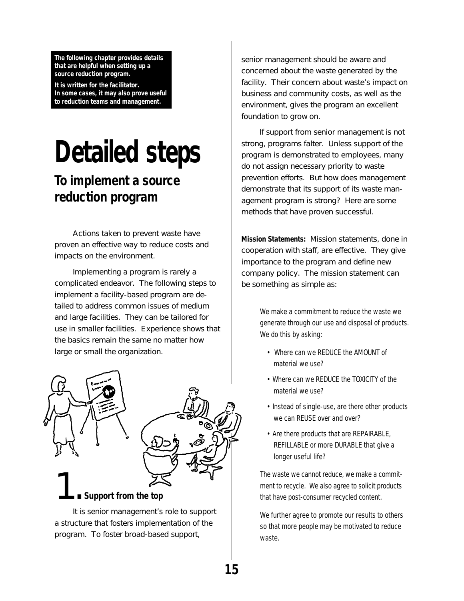<span id="page-19-0"></span>**The following chapter provides details that are helpful when setting up a source reduction program.**

**It is written for the facilitator. In some cases, it may also prove useful to reduction teams and management.**

# **Detailed steps**

### **To implement a source reduction program**

Actions taken to prevent waste have proven an effective way to reduce costs and impacts on the environment.

Implementing a program is rarely a complicated endeavor. The following steps to implement a facility-based program are detailed to address common issues of medium and large facilities. They can be tailored for use in smaller facilities. Experience shows that the basics remain the same no matter how large or small the organization.



It is senior management's role to support a structure that fosters implementation of the program. To foster broad-based support,

senior management should be aware and concerned about the waste generated by the facility. Their concern about waste's impact on business and community costs, as well as the environment, gives the program an excellent foundation to grow on.

If support from senior management is not strong, programs falter. Unless support of the program is demonstrated to employees, many do not assign necessary priority to waste prevention efforts. But how does management demonstrate that its support of its waste management program is strong? Here are some methods that have proven successful.

**Mission Statements:** Mission statements, done in cooperation with staff, are effective. They give importance to the program and define new company policy. The mission statement can be something as simple as:

> We make a commitment to reduce the waste we generate through our use and disposal of products. We do this by asking:

- Where can we REDUCE the AMOUNT of material we use?
- Where can we REDUCE the TOXICITY of the material we use?
- Instead of single-use, are there other products we can REUSE over and over?
- Are there products that are REPAIRABLE, REFILLABLE or more DURABLE that give a longer useful life?

The waste we cannot reduce, we make a commitment to recycle. We also agree to solicit products that have post-consumer recycled content.

We further agree to promote our results to others so that more people may be motivated to reduce waste.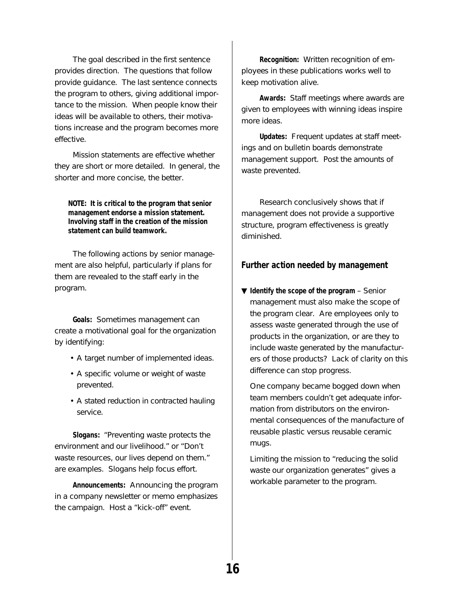The goal described in the first sentence provides direction. The questions that follow provide guidance. The last sentence connects the program to others, giving additional importance to the mission. When people know their ideas will be available to others, their motivations increase and the program becomes more effective.

Mission statements are effective whether they are short or more detailed. In general, the shorter and more concise, the better.

**NOTE: It is critical to the program that senior management endorse a mission statement. Involving staff in the creation of the mission statement can build teamwork.**

The following actions by senior management are also helpful, particularly if plans for them are revealed to the staff early in the program.

**Goals:** Sometimes management can create a motivational goal for the organization by identifying:

- A target number of implemented ideas.
- A specific volume or weight of waste prevented.
- A stated reduction in contracted hauling service.

**Slogans:** "Preventing waste protects the environment and our livelihood." or "Don't waste resources, our lives depend on them." are examples. Slogans help focus effort.

**Announcements:** Announcing the program in a company newsletter or memo emphasizes the campaign. Host a "kick-off" event.

**Recognition:** Written recognition of employees in these publications works well to keep motivation alive.

**Awards:** Staff meetings where awards are given to employees with winning ideas inspire more ideas.

**Updates:** Frequent updates at staff meetings and on bulletin boards demonstrate management support. Post the amounts of waste prevented.

Research conclusively shows that if management does not provide a supportive structure, program effectiveness is greatly diminished.

### **Further action needed by management**

▼ **Identify the scope of the program** – Senior management must also make the scope of the program clear. Are employees only to assess waste generated through the use of products in the organization, or are they to include waste generated by the manufacturers of those products? Lack of clarity on this difference can stop progress.

One company became bogged down when team members couldn't get adequate information from distributors on the environmental consequences of the manufacture of reusable plastic versus reusable ceramic mugs.

Limiting the mission to "reducing the solid waste our organization generates" gives a workable parameter to the program.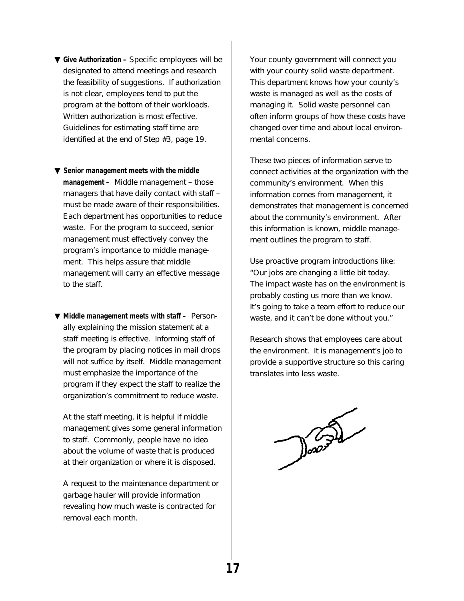- ▼ **Give Authorization –** Specific employees will be designated to attend meetings and research the feasibility of suggestions. If authorization is not clear, employees tend to put the program at the bottom of their workloads. Written authorization is most effective. Guidelines for estimating staff time are identified at the end of Step #3, page 19.
- ▼ **Senior management meets with the middle management –** Middle management – those managers that have daily contact with staff – must be made aware of their responsibilities. Each department has opportunities to reduce waste. For the program to succeed, senior management must effectively convey the program's importance to middle management. This helps assure that middle management will carry an effective message to the staff.
- ▼ **Middle management meets with staff –** Personally explaining the mission statement at a staff meeting is effective. Informing staff of the program by placing notices in mail drops will not suffice by itself. Middle management must emphasize the importance of the program if they expect the staff to realize the organization's commitment to reduce waste.

At the staff meeting, it is helpful if middle management gives some general information to staff. Commonly, people have no idea about the volume of waste that is produced at their organization or where it is disposed.

A request to the maintenance department or garbage hauler will provide information revealing how much waste is contracted for removal each month.

Your county government will connect you with your county solid waste department. This department knows how your county's waste is managed as well as the costs of managing it. Solid waste personnel can often inform groups of how these costs have changed over time and about local environmental concerns.

These two pieces of information serve to connect activities at the organization with the community's environment. When this information comes from management, it demonstrates that management is concerned about the community's environment. After this information is known, middle management outlines the program to staff.

Use proactive program introductions like: "Our jobs are changing a little bit today. The impact waste has on the environment is probably costing us more than we know. It's going to take a team effort to reduce our waste, and it can't be done without you."

Research shows that employees care about the environment. It is management's job to provide a supportive structure so this caring translates into less waste.

Doors de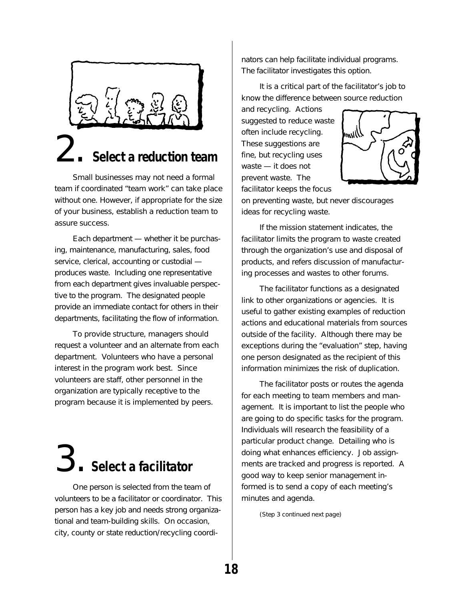

## 2. **Select a reduction team**

Small businesses may not need a formal team if coordinated "team work" can take place without one. However, if appropriate for the size of your business, establish a reduction team to assure success.

Each department — whether it be purchasing, maintenance, manufacturing, sales, food service, clerical, accounting or custodial produces waste. Including one representative from each department gives invaluable perspective to the program. The designated people provide an immediate contact for others in their departments, facilitating the flow of information.

To provide structure, managers should request a volunteer and an alternate from each department. Volunteers who have a personal interest in the program work best. Since volunteers are staff, other personnel in the organization are typically receptive to the program because it is implemented by peers.

# 3. **Select a facilitator**

One person is selected from the team of volunteers to be a facilitator or coordinator. This person has a key job and needs strong organizational and team-building skills. On occasion, city, county or state reduction/recycling coordinators can help facilitate individual programs. The facilitator investigates this option.

It is a critical part of the facilitator's job to know the difference between source reduction

and recycling. Actions suggested to reduce waste often include recycling. These suggestions are fine, but recycling uses waste — it does not prevent waste. The facilitator keeps the focus



on preventing waste, but never discourages ideas for recycling waste.

If the mission statement indicates, the facilitator limits the program to waste created through the organization's use and disposal of products, and refers discussion of manufacturing processes and wastes to other forums.

The facilitator functions as a designated link to other organizations or agencies. It is useful to gather existing examples of reduction actions and educational materials from sources outside of the facility. Although there may be exceptions during the "evaluation" step, having one person designated as the recipient of this information minimizes the risk of duplication.

The facilitator posts or routes the agenda for each meeting to team members and management. It is important to list the people who are going to do specific tasks for the program. Individuals will research the feasibility of a particular product change. Detailing who is doing what enhances efficiency. Job assignments are tracked and progress is reported. A good way to keep senior management informed is to send a copy of each meeting's minutes and agenda.

(Step 3 continued next page)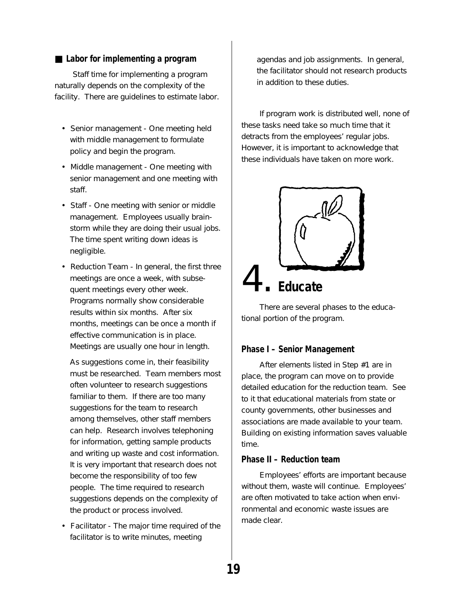#### ■ Labor for implementing a program

Staff time for implementing a program naturally depends on the complexity of the facility. There are guidelines to estimate labor.

- Senior management One meeting held with middle management to formulate policy and begin the program.
- Middle management One meeting with senior management and one meeting with staff.
- Staff One meeting with senior or middle management. Employees usually brainstorm while they are doing their usual jobs. The time spent writing down ideas is negligible.
- Reduction Team In general, the first three meetings are once a week, with subsequent meetings every other week. Programs normally show considerable results within six months. After six months, meetings can be once a month if effective communication is in place. Meetings are usually one hour in length.

As suggestions come in, their feasibility must be researched. Team members most often volunteer to research suggestions familiar to them. If there are too many suggestions for the team to research among themselves, other staff members can help. Research involves telephoning for information, getting sample products and writing up waste and cost information. It is very important that research does not become the responsibility of too few people. The time required to research suggestions depends on the complexity of the product or process involved.

• Facilitator - The major time required of the facilitator is to write minutes, meeting

agendas and job assignments. In general, the facilitator should not research products in addition to these duties.

If program work is distributed well, none of these tasks need take so much time that it detracts from the employees' regular jobs. However, it is important to acknowledge that these individuals have taken on more work.



There are several phases to the educational portion of the program.

#### **Phase I – Senior Management**

After elements listed in Step #1 are in place, the program can move on to provide detailed education for the reduction team. See to it that educational materials from state or county governments, other businesses and associations are made available to your team. Building on existing information saves valuable time.

### **Phase II – Reduction team**

Employees' efforts are important because without them, waste will continue. Employees' are often motivated to take action when environmental and economic waste issues are made clear.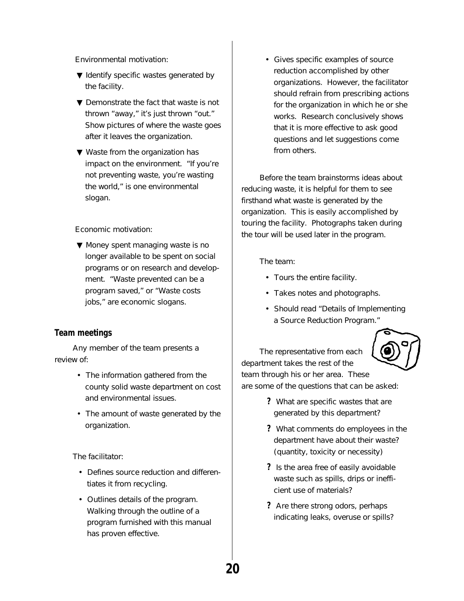Environmental motivation:

- ▼ Identify specific wastes generated by the facility.
- ▼ Demonstrate the fact that waste is not thrown "away," it's just thrown "out." Show pictures of where the waste goes after it leaves the organization.
- ▼ Waste from the organization has impact on the environment. "If you're not preventing waste, you're wasting the world," is one environmental slogan.

Economic motivation:

▼ Money spent managing waste is no longer available to be spent on social programs or on research and development. "Waste prevented can be a program saved," or "Waste costs jobs," are economic slogans.

#### **Team meetings**

Any member of the team presents a review of:

- The information gathered from the county solid waste department on cost and environmental issues.
- The amount of waste generated by the organization.

The facilitator:

- Defines source reduction and differentiates it from recycling.
- Outlines details of the program. Walking through the outline of a program furnished with this manual has proven effective.

• Gives specific examples of source reduction accomplished by other organizations. However, the facilitator should refrain from prescribing actions for the organization in which he or she works. Research conclusively shows that it is more effective to ask good questions and let suggestions come from others.

Before the team brainstorms ideas about reducing waste, it is helpful for them to see firsthand what waste is generated by the organization. This is easily accomplished by touring the facility. Photographs taken during the tour will be used later in the program.

The team:

- Tours the entire facility.
- Takes notes and photographs.
- Should read "Details of Implementing a Source Reduction Program."

The representative from each department takes the rest of the team through his or her area. These are some of the questions that can be asked:

- **?** What are specific wastes that are generated by this department?
- **?** What comments do employees in the department have about their waste? (quantity, toxicity or necessity)
- **?** Is the area free of easily avoidable waste such as spills, drips or inefficient use of materials?
- **?** Are there strong odors, perhaps indicating leaks, overuse or spills?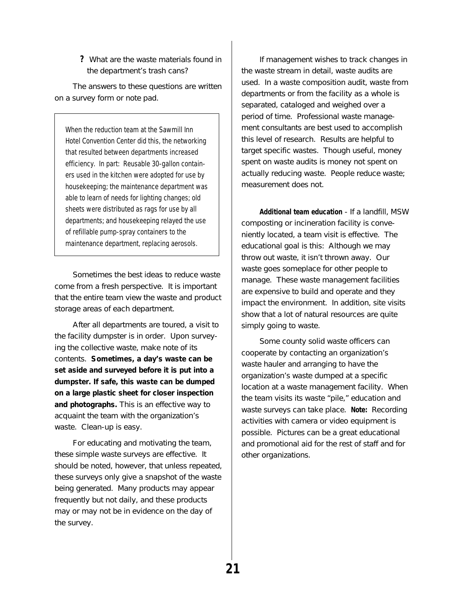**?** What are the waste materials found in the department's trash cans?

The answers to these questions are written on a survey form or note pad.

When the reduction team at the Sawmill Inn Hotel Convention Center did this, the networking that resulted between departments increased efficiency. In part: Reusable 30-gallon containers used in the kitchen were adopted for use by housekeeping; the maintenance department was able to learn of needs for lighting changes; old sheets were distributed as rags for use by all departments; and housekeeping relayed the use of refillable pump-spray containers to the maintenance department, replacing aerosols.

Sometimes the best ideas to reduce waste come from a fresh perspective. It is important that the entire team view the waste and product storage areas of each department.

After all departments are toured, a visit to the facility dumpster is in order. Upon surveying the collective waste, make note of its contents. **Sometimes, a day's waste can be set aside and surveyed before it is put into a dumpster. If safe, this waste can be dumped on a large plastic sheet for closer inspection and photographs.** This is an effective way to acquaint the team with the organization's waste. Clean-up is easy.

For educating and motivating the team, these simple waste surveys are effective. It should be noted, however, that unless repeated, these surveys only give a snapshot of the waste being generated. Many products may appear frequently but not daily, and these products may or may not be in evidence on the day of the survey.

If management wishes to track changes in the waste stream in detail, waste audits are used. In a waste composition audit, waste from departments or from the facility as a whole is separated, cataloged and weighed over a period of time. Professional waste management consultants are best used to accomplish this level of research. Results are helpful to target specific wastes. Though useful, money spent on waste audits is money not spent on actually reducing waste. People reduce waste; measurement does not.

**Additional team education** - If a landfill, MSW composting or incineration facility is conveniently located, a team visit is effective. The educational goal is this: Although we may throw out waste, it isn't thrown away. Our waste goes someplace for other people to manage. These waste management facilities are expensive to build and operate and they impact the environment. In addition, site visits show that a lot of natural resources are quite simply going to waste.

Some county solid waste officers can cooperate by contacting an organization's waste hauler and arranging to have the organization's waste dumped at a specific location at a waste management facility. When the team visits its waste "pile," education and waste surveys can take place. **Note:** Recording activities with camera or video equipment is possible. Pictures can be a great educational and promotional aid for the rest of staff and for other organizations.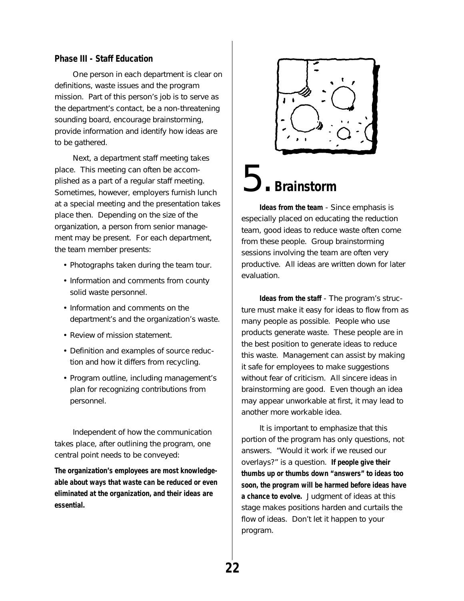#### **Phase III - Staff Education**

One person in each department is clear on definitions, waste issues and the program mission. Part of this person's job is to serve as the department's contact, be a non-threatening sounding board, encourage brainstorming, provide information and identify how ideas are to be gathered.

Next, a department staff meeting takes place. This meeting can often be accomplished as a part of a regular staff meeting. Sometimes, however, employers furnish lunch at a special meeting and the presentation takes place then. Depending on the size of the organization, a person from senior management may be present. For each department, the team member presents:

- Photographs taken during the team tour.
- Information and comments from county solid waste personnel.
- Information and comments on the department's and the organization's waste.
- Review of mission statement.
- Definition and examples of source reduction and how it differs from recycling.
- Program outline, including management's plan for recognizing contributions from personnel.

Independent of how the communication takes place, after outlining the program, one central point needs to be conveyed:

**The organization's employees are most knowledgeable about ways that waste can be reduced or even eliminated at the organization, and their ideas are essential.**



## 5. **Brainstorm**

**Ideas from the team** - Since emphasis is especially placed on educating the reduction team, good ideas to reduce waste often come from these people. Group brainstorming sessions involving the team are often very productive. All ideas are written down for later evaluation.

**Ideas from the staff** - The program's structure must make it easy for ideas to flow from as many people as possible. People who use products generate waste. These people are in the best position to generate ideas to reduce this waste. Management can assist by making it safe for employees to make suggestions without fear of criticism. All sincere ideas in brainstorming are good. Even though an idea may appear unworkable at first, it may lead to another more workable idea.

It is important to emphasize that this portion of the program has only questions, not answers. "Would it work if we reused our overlays?" is a question. **If people give their thumbs up or thumbs down "answers" to ideas too soon, the program will be harmed before ideas have a chance to evolve.** Judgment of ideas at this stage makes positions harden and curtails the flow of ideas. Don't let it happen to your program.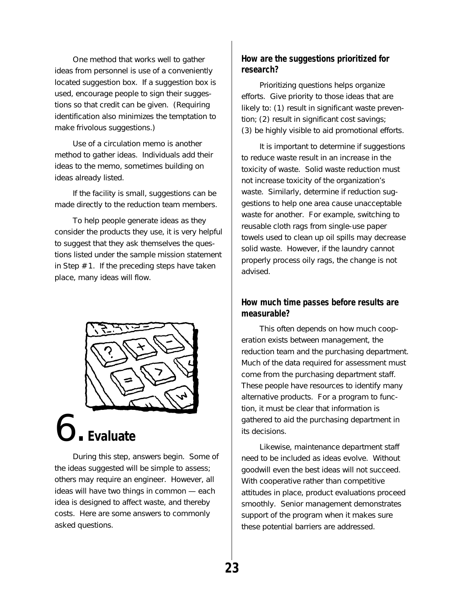One method that works well to gather ideas from personnel is use of a conveniently located suggestion box. If a suggestion box is used, encourage people to sign their suggestions so that credit can be given. (Requiring identification also minimizes the temptation to make frivolous suggestions.)

Use of a circulation memo is another method to gather ideas. Individuals add their ideas to the memo, sometimes building on ideas already listed.

If the facility is small, suggestions can be made directly to the reduction team members.

To help people generate ideas as they consider the products they use, it is very helpful to suggest that they ask themselves the questions listed under the sample mission statement in Step # 1. If the preceding steps have taken place, many ideas will flow.



## 6. **Evaluate**

During this step, answers begin. Some of the ideas suggested will be simple to assess; others may require an engineer. However, all ideas will have two things in common — each idea is designed to affect waste, and thereby costs. Here are some answers to commonly asked questions.

### **How are the suggestions prioritized for research?**

Prioritizing questions helps organize efforts. Give priority to those ideas that are likely to: (1) result in significant waste prevention; (2) result in significant cost savings; (3) be highly visible to aid promotional efforts.

It is important to determine if suggestions to reduce waste result in an increase in the toxicity of waste. Solid waste reduction must not increase toxicity of the organization's waste. Similarly, determine if reduction suggestions to help one area cause unacceptable waste for another. For example, switching to reusable cloth rags from single-use paper towels used to clean up oil spills may decrease solid waste. However, if the laundry cannot properly process oily rags, the change is not advised.

### **How much time passes before results are measurable?**

This often depends on how much cooperation exists between management, the reduction team and the purchasing department. Much of the data required for assessment must come from the purchasing department staff. These people have resources to identify many alternative products. For a program to function, it must be clear that information is gathered to aid the purchasing department in its decisions.

Likewise, maintenance department staff need to be included as ideas evolve. Without goodwill even the best ideas will not succeed. With cooperative rather than competitive attitudes in place, product evaluations proceed smoothly. Senior management demonstrates support of the program when it makes sure these potential barriers are addressed.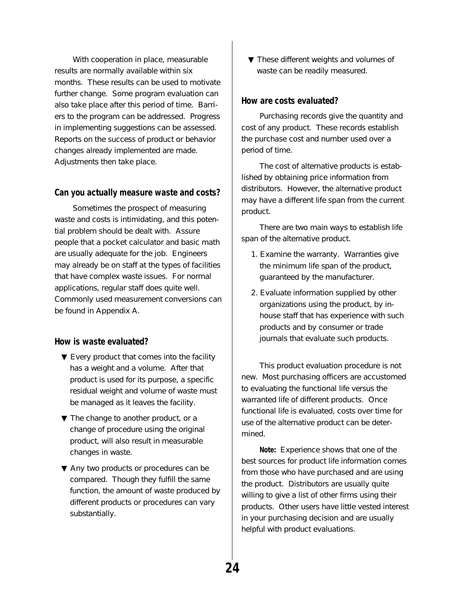With cooperation in place, measurable results are normally available within six months. These results can be used to motivate further change. Some program evaluation can also take place after this period of time. Barriers to the program can be addressed. Progress in implementing suggestions can be assessed. Reports on the success of product or behavior changes already implemented are made. Adjustments then take place.

#### **Can you actually measure waste and costs?**

Sometimes the prospect of measuring waste and costs is intimidating, and this potential problem should be dealt with. Assure people that a pocket calculator and basic math are usually adequate for the job. Engineers may already be on staff at the types of facilities that have complex waste issues. For normal applications, regular staff does quite well. Commonly used measurement conversions can be found in Appendix A.

### **How is waste evaluated?**

- ▼ Every product that comes into the facility has a weight and a volume. After that product is used for its purpose, a specific residual weight and volume of waste must be managed as it leaves the facility.
- ▼ The change to another product, or a change of procedure using the original product, will also result in measurable changes in waste.
- ▼ Any two products or procedures can be compared. Though they fulfill the same function, the amount of waste produced by different products or procedures can vary substantially.

▼ These different weights and volumes of waste can be readily measured.

#### **How are costs evaluated?**

Purchasing records give the quantity and cost of any product. These records establish the purchase cost and number used over a period of time.

The cost of alternative products is established by obtaining price information from distributors. However, the alternative product may have a different life span from the current product.

There are two main ways to establish life span of the alternative product.

- 1. Examine the warranty. Warranties give the minimum life span of the product, guaranteed by the manufacturer.
- 2. Evaluate information supplied by other organizations using the product, by inhouse staff that has experience with such products and by consumer or trade journals that evaluate such products.

This product evaluation procedure is not new. Most purchasing officers are accustomed to evaluating the functional life versus the warranted life of different products. Once functional life is evaluated, costs over time for use of the alternative product can be determined.

**Note:** Experience shows that one of the best sources for product life information comes from those who have purchased and are using the product. Distributors are usually quite willing to give a list of other firms using their products. Other users have little vested interest in your purchasing decision and are usually helpful with product evaluations.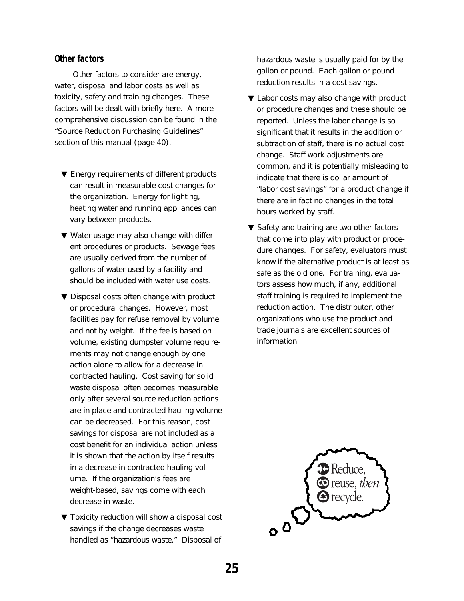### **Other factors**

Other factors to consider are energy, water, disposal and labor costs as well as toxicity, safety and training changes. These factors will be dealt with briefly here. A more comprehensive discussion can be found in the "Source Reduction Purchasing Guidelines" section of this manual (page 40).

- ▼ Energy requirements of different products can result in measurable cost changes for the organization. Energy for lighting, heating water and running appliances can vary between products.
- ▼ Water usage may also change with different procedures or products. Sewage fees are usually derived from the number of gallons of water used by a facility and should be included with water use costs.
- ▼ Disposal costs often change with product or procedural changes. However, most facilities pay for refuse removal by volume and not by weight. If the fee is based on volume, existing dumpster volume requirements may not change enough by one action alone to allow for a decrease in contracted hauling. Cost saving for solid waste disposal often becomes measurable only after several source reduction actions are in place and contracted hauling volume can be decreased. For this reason, cost savings for disposal are not included as a cost benefit for an individual action unless it is shown that the action by itself results in a decrease in contracted hauling volume. If the organization's fees are weight-based, savings come with each decrease in waste.
- ▼ Toxicity reduction will show a disposal cost savings if the change decreases waste handled as "hazardous waste." Disposal of

hazardous waste is usually paid for by the gallon or pound. Each gallon or pound reduction results in a cost savings.

- ▼ Labor costs may also change with product or procedure changes and these should be reported. Unless the labor change is so significant that it results in the addition or subtraction of staff, there is no actual cost change. Staff work adjustments are common, and it is potentially misleading to indicate that there is dollar amount of "labor cost savings" for a product change if there are in fact no changes in the total hours worked by staff.
- ▼ Safety and training are two other factors that come into play with product or procedure changes. For safety, evaluators must know if the alternative product is at least as safe as the old one. For training, evaluators assess how much, if any, additional staff training is required to implement the reduction action. The distributor, other organizations who use the product and trade journals are excellent sources of information.

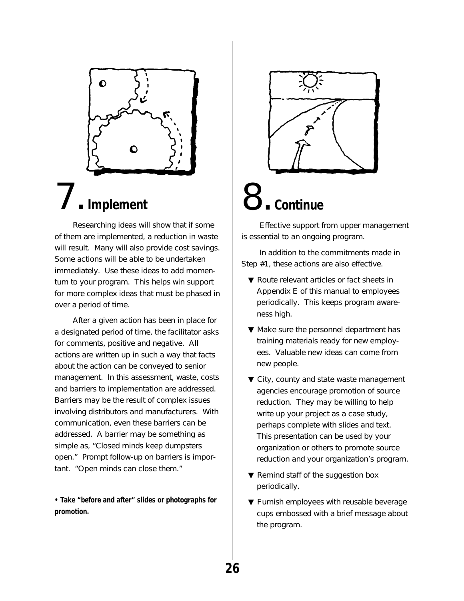

## 7. **Implement**

Researching ideas will show that if some of them are implemented, a reduction in waste will result. Many will also provide cost savings. Some actions will be able to be undertaken immediately. Use these ideas to add momentum to your program. This helps win support for more complex ideas that must be phased in over a period of time.

After a given action has been in place for a designated period of time, the facilitator asks for comments, positive and negative. All actions are written up in such a way that facts about the action can be conveyed to senior management. In this assessment, waste, costs and barriers to implementation are addressed. Barriers may be the result of complex issues involving distributors and manufacturers. With communication, even these barriers can be addressed. A barrier may be something as simple as, "Closed minds keep dumpsters open." Prompt follow-up on barriers is important. "Open minds can close them."

**• Take "before and after" slides or photographs for promotion.**



# 8. **Continue**

Effective support from upper management is essential to an ongoing program.

In addition to the commitments made in Step #1, these actions are also effective.

- ▼ Route relevant articles or fact sheets in Appendix E of this manual to employees periodically. This keeps program awareness high.
- ▼ Make sure the personnel department has training materials ready for new employees. Valuable new ideas can come from new people.
- ▼ City, county and state waste management agencies encourage promotion of source reduction. They may be willing to help write up your project as a case study, perhaps complete with slides and text. This presentation can be used by your organization or others to promote source reduction and your organization's program.
- ▼ Remind staff of the suggestion box periodically.
- ▼ Furnish employees with reusable beverage cups embossed with a brief message about the program.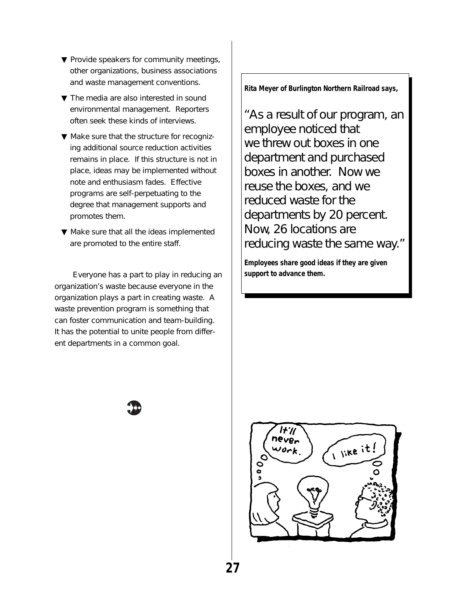- ▼ Provide speakers for community meetings, other organizations, business associations and waste management conventions.
- ▼ The media are also interested in sound environmental management. Reporters often seek these kinds of interviews.
- ▼ Make sure that the structure for recognizing additional source reduction activities remains in place. If this structure is not in place, ideas may be implemented without note and enthusiasm fades. Effective programs are self-perpetuating to the degree that management supports and promotes them.
- ▼ Make sure that all the ideas implemented are promoted to the entire staff.

Everyone has a part to play in reducing an organization's waste because everyone in the organization plays a part in creating waste. A waste prevention program is something that can foster communication and team-building. It has the potential to unite people from different departments in a common goal.

**Rita Meyer of Burlington Northern Railroad says,**

"As a result of our program, an employee noticed that we threw out boxes in one department and purchased boxes in another. Now we reuse the boxes, and we reduced waste for the departments by 20 percent. Now, 26 locations are reducing waste the same way."

**Employees share good ideas if they are given support to advance them.**



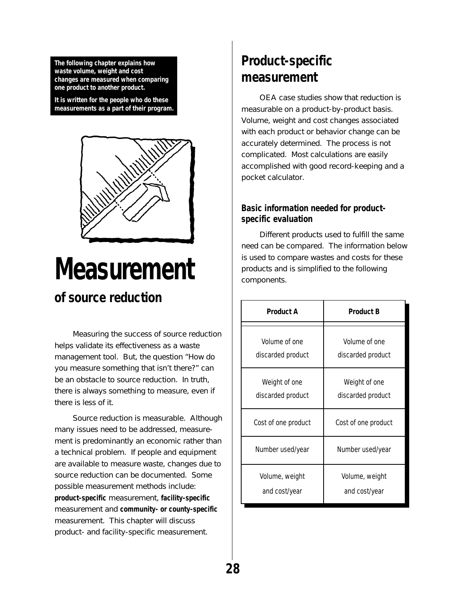<span id="page-32-0"></span>**The following chapter explains how waste volume, weight and cost changes are measured when comparing one product to another product.**

**It is written for the people who do these measurements as a part of their program.**



## **Measurement of source reduction**

Measuring the success of source reduction helps validate its effectiveness as a waste management tool. But, the question "How do you measure something that isn't there?" can be an obstacle to source reduction. In truth, there is always something to measure, even if there is less of it.

Source reduction is measurable. Although many issues need to be addressed, measurement is predominantly an economic rather than a technical problem. If people and equipment are available to measure waste, changes due to source reduction can be documented. Some possible measurement methods include: **product-specific** measurement, **facility-specific** measurement and **community- or county-specific** measurement. This chapter will discuss product- and facility-specific measurement.

### **Product-specific measurement**

OEA case studies show that reduction is measurable on a product-by-product basis. Volume, weight and cost changes associated with each product or behavior change can be accurately determined. The process is not complicated. Most calculations are easily accomplished with good record-keeping and a pocket calculator.

### **Basic information needed for productspecific evaluation**

Different products used to fulfill the same need can be compared. The information below is used to compare wastes and costs for these products and is simplified to the following components.

| <b>Product A</b>    | <b>Product B</b>    |
|---------------------|---------------------|
| Volume of one       | Volume of one       |
| discarded product   | discarded product   |
| Weight of one       | Weight of one       |
| discarded product   | discarded product   |
| Cost of one product | Cost of one product |
| Number used/year    | Number used/year    |
| Volume, weight      | Volume, weight      |
| and cost/year       | and cost/year       |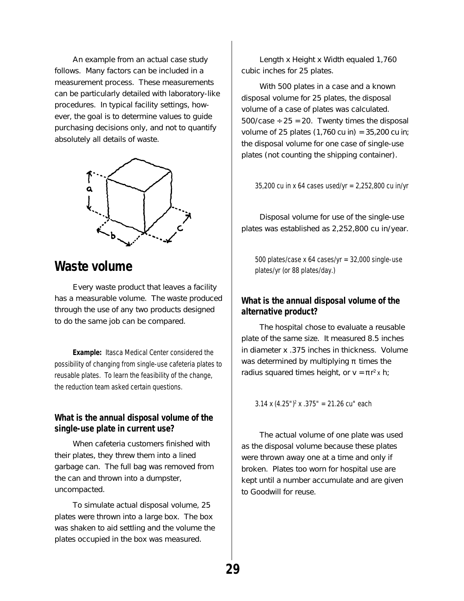An example from an actual case study follows. Many factors can be included in a measurement process. These measurements can be particularly detailed with laboratory-like procedures. In typical facility settings, however, the goal is to determine values to guide purchasing decisions only, and not to quantify absolutely all details of waste.



### **Waste volume**

Every waste product that leaves a facility has a measurable volume. The waste produced through the use of any two products designed to do the same job can be compared.

**Example:** Itasca Medical Center considered the possibility of changing from single-use cafeteria plates to reusable plates. To learn the feasibility of the change, the reduction team asked certain questions.

### **What is the annual disposal volume of the single-use plate in current use?**

When cafeteria customers finished with their plates, they threw them into a lined garbage can. The full bag was removed from the can and thrown into a dumpster, uncompacted.

To simulate actual disposal volume, 25 plates were thrown into a large box. The box was shaken to aid settling and the volume the plates occupied in the box was measured.

Length x Height x Width equaled 1,760 cubic inches for 25 plates.

With 500 plates in a case and a known disposal volume for 25 plates, the disposal volume of a case of plates was calculated.  $500/case \div 25 = 20$ . Twenty times the disposal volume of 25 plates  $(1,760 \text{ cu in}) = 35,200 \text{ cu in}$ ; the disposal volume for one case of single-use plates (not counting the shipping container).

35,200 cu in x 64 cases used/yr = 2,252,800 cu in/yr

Disposal volume for use of the single-use plates was established as 2,252,800 cu in/year.

500 plates/case x 64 cases/yr =  $32,000$  single-use plates/yr (or 88 plates/day.)

### **What is the annual disposal volume of the alternative product?**

The hospital chose to evaluate a reusable plate of the same size. It measured 8.5 inches in diameter x .375 inches in thickness. Volume was determined by multiplying  $\pi$  times the radius squared times height, or  $v = \pi r^2 x$  h;

3.14 x (4.25")2 x .375" = 21.26 cu" each

The actual volume of one plate was used as the disposal volume because these plates were thrown away one at a time and only if broken. Plates too worn for hospital use are kept until a number accumulate and are given to Goodwill for reuse.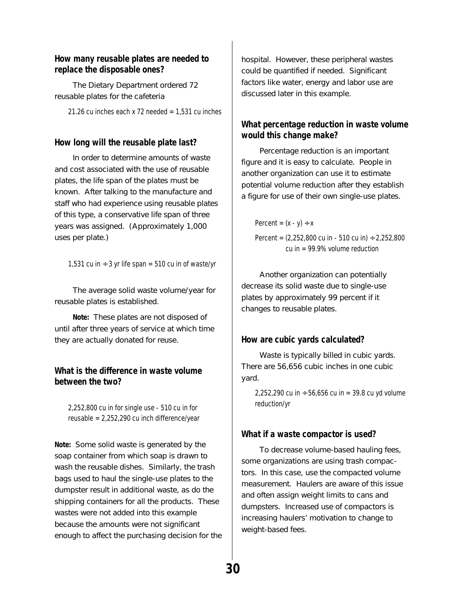### **How many reusable plates are needed to replace the disposable ones?**

The Dietary Department ordered 72 reusable plates for the cafeteria

21.26 cu inches each x 72 needed =  $1,531$  cu inches

### **How long will the reusable plate last?**

In order to determine amounts of waste and cost associated with the use of reusable plates, the life span of the plates must be known. After talking to the manufacture and staff who had experience using reusable plates of this type, a conservative life span of three years was assigned. (Approximately 1,000 uses per plate.)

1,531 cu in  $\div$  3 yr life span = 510 cu in of waste/yr

The average solid waste volume/year for reusable plates is established.

**Note:** These plates are not disposed of until after three years of service at which time they are actually donated for reuse.

### **What is the difference in waste volume between the two?**

2,252,800 cu in for single use - 510 cu in for reusable = 2,252,290 cu inch difference/year

**Note:** Some solid waste is generated by the soap container from which soap is drawn to wash the reusable dishes. Similarly, the trash bags used to haul the single-use plates to the dumpster result in additional waste, as do the shipping containers for all the products. These wastes were not added into this example because the amounts were not significant enough to affect the purchasing decision for the hospital. However, these peripheral wastes could be quantified if needed. Significant factors like water, energy and labor use are discussed later in this example.

### **What percentage reduction in waste volume would this change make?**

Percentage reduction is an important figure and it is easy to calculate. People in another organization can use it to estimate potential volume reduction after they establish a figure for use of their own single-use plates.

Percent =  $(x - y) \div x$ Percent =  $(2,252,800 \text{ cu in } -510 \text{ cu in}) \div 2,252,800$ cu in  $= 99.9\%$  volume reduction

Another organization can potentially decrease its solid waste due to single-use plates by approximately 99 percent if it changes to reusable plates.

### **How are cubic yards calculated?**

Waste is typically billed in cubic yards. There are 56,656 cubic inches in one cubic yard.

2,252,290 cu in  $\div$  56,656 cu in = 39.8 cu yd volume reduction/yr

### **What if a waste compactor is used?**

To decrease volume-based hauling fees, some organizations are using trash compactors. In this case, use the compacted volume measurement. Haulers are aware of this issue and often assign weight limits to cans and dumpsters. Increased use of compactors is increasing haulers' motivation to change to weight-based fees.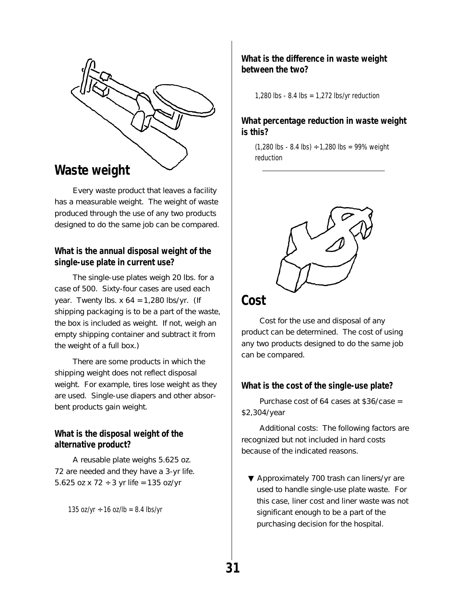

Every waste product that leaves a facility has a measurable weight. The weight of waste produced through the use of any two products designed to do the same job can be compared.

### **What is the annual disposal weight of the single-use plate in current use?**

The single-use plates weigh 20 lbs. for a case of 500. Sixty-four cases are used each year. Twenty lbs.  $x 64 = 1,280$  lbs/yr. (If shipping packaging is to be a part of the waste, the box is included as weight. If not, weigh an empty shipping container and subtract it from the weight of a full box.)

There are some products in which the shipping weight does not reflect disposal weight. For example, tires lose weight as they are used. Single-use diapers and other absorbent products gain weight.

### **What is the disposal weight of the alternative product?**

A reusable plate weighs 5.625 oz. 72 are needed and they have a 3-yr life. 5.625 oz x 72 ÷ 3 yr life =  $135$  oz/yr

135 oz/yr  $\div$  16 oz/lb = 8.4 lbs/yr

### **What is the difference in waste weight between the two?**

1,280 lbs - 8.4 lbs = 1,272 lbs/yr reduction

### **What percentage reduction in waste weight is this?**

 $(1,280$  lbs - 8.4 lbs)  $\div$  1,280 lbs = 99% weight reduction



### **Cost**

Cost for the use and disposal of any product can be determined. The cost of using any two products designed to do the same job can be compared.

### **What is the cost of the single-use plate?**

Purchase cost of 64 cases at \$36/case = \$2,304/year

Additional costs: The following factors are recognized but not included in hard costs because of the indicated reasons.

▼ Approximately 700 trash can liners/yr are used to handle single-use plate waste. For this case, liner cost and liner waste was not significant enough to be a part of the purchasing decision for the hospital.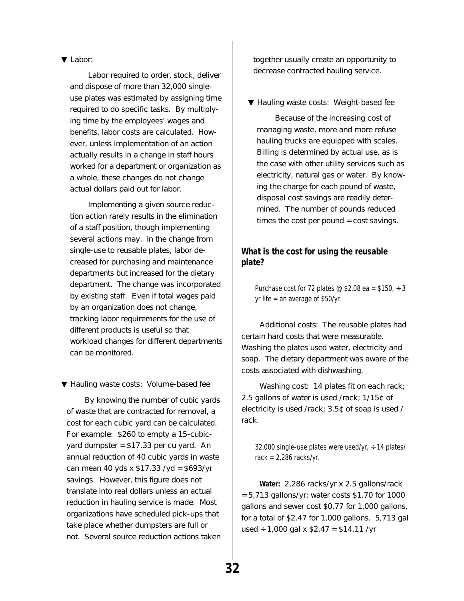#### ▼ Labor:

Labor required to order, stock, deliver and dispose of more than 32,000 singleuse plates was estimated by assigning time required to do specific tasks. By multiplying time by the employees' wages and benefits, labor costs are calculated. However, unless implementation of an action actually results in a change in staff hours worked for a department or organization as a whole, these changes do not change actual dollars paid out for labor.

Implementing a given source reduction action rarely results in the elimination of a staff position, though implementing several actions may. In the change from single-use to reusable plates, labor decreased for purchasing and maintenance departments but increased for the dietary department. The change was incorporated by existing staff. Even if total wages paid by an organization does not change, tracking labor requirements for the use of different products is useful so that workload changes for different departments can be monitored.

▼ Hauling waste costs: Volume-based fee

By knowing the number of cubic yards of waste that are contracted for removal, a cost for each cubic yard can be calculated. For example: \$260 to empty a 15-cubicyard dumpster = \$17.33 per cu yard. An annual reduction of 40 cubic yards in waste can mean 40 yds x \$17.33 /yd = \$693/yr savings. However, this figure does not translate into real dollars unless an actual reduction in hauling service is made. Most organizations have scheduled pick-ups that take place whether dumpsters are full or not. Several source reduction actions taken together usually create an opportunity to decrease contracted hauling service.

▼ Hauling waste costs: Weight-based fee

Because of the increasing cost of managing waste, more and more refuse hauling trucks are equipped with scales. Billing is determined by actual use, as is the case with other utility services such as electricity, natural gas or water. By knowing the charge for each pound of waste, disposal cost savings are readily determined. The number of pounds reduced times the cost per pound = cost savings.

#### **What is the cost for using the reusable plate?**

Purchase cost for 72 plates @ \$2.08 ea = \$150,  $\div$  3 yr life = an average of \$50/yr

Additional costs: The reusable plates had certain hard costs that were measurable. Washing the plates used water, electricity and soap. The dietary department was aware of the costs associated with dishwashing.

Washing cost: 14 plates fit on each rack; 2.5 gallons of water is used /rack; 1/15¢ of electricity is used /rack; 3.5¢ of soap is used / rack.

32,000 single-use plates were used/yr,  $\div$  14 plates/ rack =  $2,286$  racks/yr.

**Water:** 2,286 racks/yr x 2.5 gallons/rack  $= 5,713$  gallons/yr; water costs \$1.70 for 1000 gallons and sewer cost \$0.77 for 1,000 gallons, for a total of \$2.47 for 1,000 gallons. 5,713 gal used ÷ 1,000 gal x  $$2.47 = $14.11 / yr$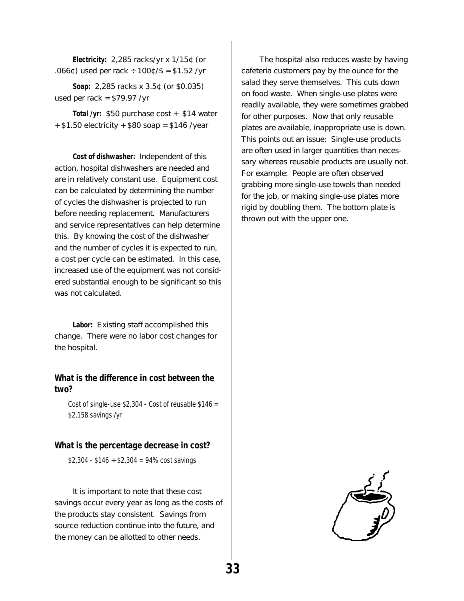**Electricity:** 2,285 racks/yr x 1/15¢ (or .066¢) used per rack ÷  $100¢$  /S = \$1.52 /yr

**Soap:** 2,285 racks x 3.5¢ (or \$0.035) used per rack = \$79.97 /yr

**Total /yr:** \$50 purchase cost + \$14 water  $+$  \$1.50 electricity  $+$  \$80 soap = \$146 /year

**Cost of dishwasher:** Independent of this action, hospital dishwashers are needed and are in relatively constant use. Equipment cost can be calculated by determining the number of cycles the dishwasher is projected to run before needing replacement. Manufacturers and service representatives can help determine this. By knowing the cost of the dishwasher and the number of cycles it is expected to run, a cost per cycle can be estimated. In this case, increased use of the equipment was not considered substantial enough to be significant so this was not calculated.

**Labor:** Existing staff accomplished this change. There were no labor cost changes for the hospital.

#### **What is the difference in cost between the two?**

Cost of single-use  $$2,304$  - Cost of reusable  $$146$  = \$2,158 savings /yr

#### **What is the percentage decrease in cost?**

 $$2,304 - $146 \div $2,304 = 94\% \text{ cost savings}$ 

It is important to note that these cost savings occur every year as long as the costs of the products stay consistent. Savings from source reduction continue into the future, and the money can be allotted to other needs.

The hospital also reduces waste by having cafeteria customers pay by the ounce for the salad they serve themselves. This cuts down on food waste. When single-use plates were readily available, they were sometimes grabbed for other purposes. Now that only reusable plates are available, inappropriate use is down. This points out an issue: Single-use products are often used in larger quantities than necessary whereas reusable products are usually not. For example: People are often observed grabbing more single-use towels than needed for the job, or making single-use plates more rigid by doubling them. The bottom plate is thrown out with the upper one.

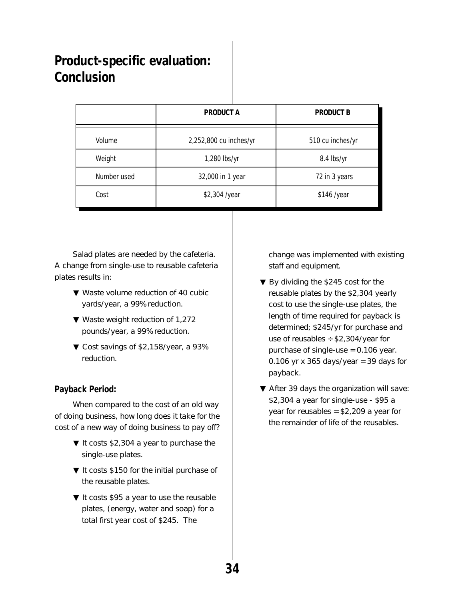### **Product-specific evaluation: Conclusion**

|             | <b>PRODUCT A</b>       | <b>PRODUCT B</b> |
|-------------|------------------------|------------------|
| Volume      | 2,252,800 cu inches/yr | 510 cu inches/yr |
| Weight      | 1,280 lbs/yr           | 8.4 lbs/yr       |
| Number used | 32,000 in 1 year       | 72 in 3 years    |
| Cost        | \$2,304 /year          | \$146 /year      |

Salad plates are needed by the cafeteria. A change from single-use to reusable cafeteria plates results in:

- ▼ Waste volume reduction of 40 cubic yards/year, a 99% reduction.
- ▼ Waste weight reduction of 1,272 pounds/year, a 99% reduction.
- ▼ Cost savings of \$2,158/year, a 93% reduction.

#### **Payback Period:**

When compared to the cost of an old way of doing business, how long does it take for the cost of a new way of doing business to pay off?

- ▼ It costs \$2,304 a year to purchase the single-use plates.
- ▼ It costs \$150 for the initial purchase of the reusable plates.
- ▼ It costs \$95 a year to use the reusable plates, (energy, water and soap) for a total first year cost of \$245. The

change was implemented with existing staff and equipment.

- ▼ By dividing the \$245 cost for the reusable plates by the \$2,304 yearly cost to use the single-use plates, the length of time required for payback is determined; \$245/yr for purchase and use of reusables  $\div$  \$2,304/year for purchase of single-use = 0.106 year. 0.106 yr x 365 days/year = 39 days for payback.
- ▼ After 39 days the organization will save: \$2,304 a year for single-use - \$95 a year for reusables = \$2,209 a year for the remainder of life of the reusables.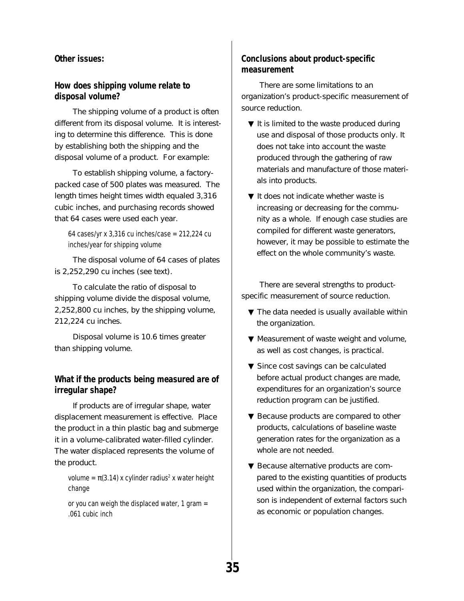#### **Other issues:**

#### **How does shipping volume relate to disposal volume?**

The shipping volume of a product is often different from its disposal volume. It is interesting to determine this difference. This is done by establishing both the shipping and the disposal volume of a product. For example:

To establish shipping volume, a factorypacked case of 500 plates was measured. The length times height times width equaled 3,316 cubic inches, and purchasing records showed that 64 cases were used each year.

64 cases/yr x  $3,316$  cu inches/case = 212,224 cu inches/year for shipping volume

The disposal volume of 64 cases of plates is 2,252,290 cu inches (see text).

To calculate the ratio of disposal to shipping volume divide the disposal volume, 2,252,800 cu inches, by the shipping volume, 212,224 cu inches.

Disposal volume is 10.6 times greater than shipping volume.

#### **What if the products being measured are of irregular shape?**

If products are of irregular shape, water displacement measurement is effective. Place the product in a thin plastic bag and submerge it in a volume-calibrated water-filled cylinder. The water displaced represents the volume of the product.

volume =  $\pi(3.14)$  x cylinder radius<sup>2</sup> x water height change

or you can weigh the displaced water, 1 gram  $=$ .061 cubic inch

#### **Conclusions about product-specific measurement**

There are some limitations to an organization's product-specific measurement of source reduction.

- $\nabla$  It is limited to the waste produced during use and disposal of those products only. It does not take into account the waste produced through the gathering of raw materials and manufacture of those materials into products.
- ▼ It does not indicate whether waste is increasing or decreasing for the community as a whole. If enough case studies are compiled for different waste generators, however, it may be possible to estimate the effect on the whole community's waste.

There are several strengths to productspecific measurement of source reduction.

- ▼ The data needed is usually available within the organization.
- ▼ Measurement of waste weight and volume, as well as cost changes, is practical.
- ▼ Since cost savings can be calculated before actual product changes are made, expenditures for an organization's source reduction program can be justified.
- ▼ Because products are compared to other products, calculations of baseline waste generation rates for the organization as a whole are not needed.
- ▼ Because alternative products are compared to the existing quantities of products used within the organization, the comparison is independent of external factors such as economic or population changes.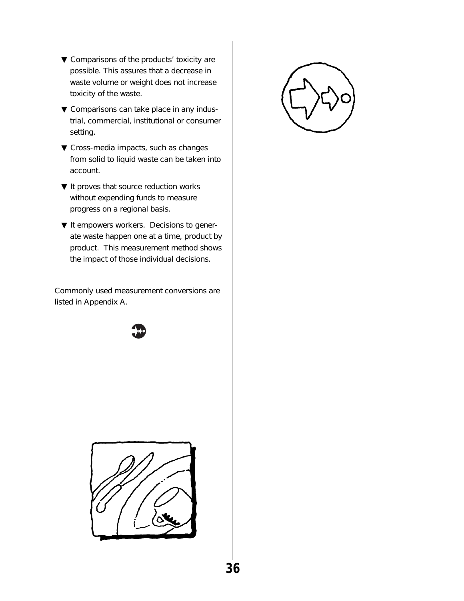- ▼ Comparisons of the products' toxicity are possible. This assures that a decrease in waste volume or weight does not increase toxicity of the waste.
- ▼ Comparisons can take place in any industrial, commercial, institutional or consumer setting.
- $\blacktriangledown$  Cross-media impacts, such as changes from solid to liquid waste can be taken into account.
- ▼ It proves that source reduction works without expending funds to measure progress on a regional basis.
- ▼ It empowers workers. Decisions to generate waste happen one at a time, product by product. This measurement method shows the impact of those individual decisions.

Commonly used measurement conversions are listed in Appendix A.





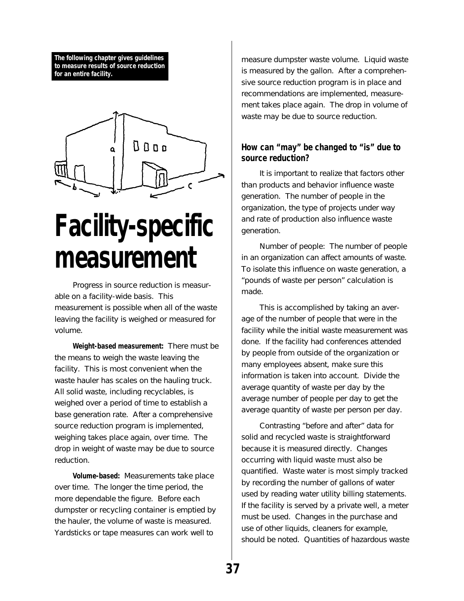**The following chapter gives guidelines to measure results of source reduction for an entire facility.**



# **Facility-specific measurement**

Progress in source reduction is measurable on a facility-wide basis. This measurement is possible when all of the waste leaving the facility is weighed or measured for volume.

**Weight-based measurement:** There must be the means to weigh the waste leaving the facility. This is most convenient when the waste hauler has scales on the hauling truck. All solid waste, including recyclables, is weighed over a period of time to establish a base generation rate. After a comprehensive source reduction program is implemented, weighing takes place again, over time. The drop in weight of waste may be due to source reduction.

**Volume-based:** Measurements take place over time. The longer the time period, the more dependable the figure. Before each dumpster or recycling container is emptied by the hauler, the volume of waste is measured. Yardsticks or tape measures can work well to

measure dumpster waste volume. Liquid waste is measured by the gallon. After a comprehensive source reduction program is in place and recommendations are implemented, measurement takes place again. The drop in volume of waste may be due to source reduction.

### **How can "may" be changed to "is" due to source reduction?**

It is important to realize that factors other than products and behavior influence waste generation. The number of people in the organization, the type of projects under way and rate of production also influence waste generation.

Number of people: The number of people in an organization can affect amounts of waste. To isolate this influence on waste generation, a "pounds of waste per person" calculation is made.

This is accomplished by taking an average of the number of people that were in the facility while the initial waste measurement was done. If the facility had conferences attended by people from outside of the organization or many employees absent, make sure this information is taken into account. Divide the average quantity of waste per day by the average number of people per day to get the average quantity of waste per person per day.

Contrasting "before and after" data for solid and recycled waste is straightforward because it is measured directly. Changes occurring with liquid waste must also be quantified. Waste water is most simply tracked by recording the number of gallons of water used by reading water utility billing statements. If the facility is served by a private well, a meter must be used. Changes in the purchase and use of other liquids, cleaners for example, should be noted. Quantities of hazardous waste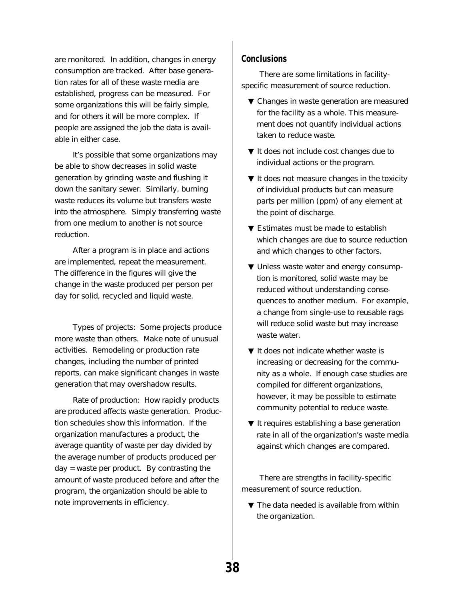are monitored. In addition, changes in energy consumption are tracked. After base generation rates for all of these waste media are established, progress can be measured. For some organizations this will be fairly simple, and for others it will be more complex. If people are assigned the job the data is available in either case.

It's possible that some organizations may be able to show decreases in solid waste generation by grinding waste and flushing it down the sanitary sewer. Similarly, burning waste reduces its volume but transfers waste into the atmosphere. Simply transferring waste from one medium to another is not source reduction.

After a program is in place and actions are implemented, repeat the measurement. The difference in the figures will give the change in the waste produced per person per day for solid, recycled and liquid waste.

Types of projects: Some projects produce more waste than others. Make note of unusual activities. Remodeling or production rate changes, including the number of printed reports, can make significant changes in waste generation that may overshadow results.

Rate of production: How rapidly products are produced affects waste generation. Production schedules show this information. If the organization manufactures a product, the average quantity of waste per day divided by the average number of products produced per day = waste per product. By contrasting the amount of waste produced before and after the program, the organization should be able to note improvements in efficiency.

#### **Conclusions**

There are some limitations in facilityspecific measurement of source reduction.

- ▼ Changes in waste generation are measured for the facility as a whole. This measurement does not quantify individual actions taken to reduce waste.
- ▼ It does not include cost changes due to individual actions or the program.
- ▼ It does not measure changes in the toxicity of individual products but can measure parts per million (ppm) of any element at the point of discharge.
- ▼ Estimates must be made to establish which changes are due to source reduction and which changes to other factors.
- ▼ Unless waste water and energy consumption is monitored, solid waste may be reduced without understanding consequences to another medium. For example, a change from single-use to reusable rags will reduce solid waste but may increase waste water.
- ▼ It does not indicate whether waste is increasing or decreasing for the community as a whole. If enough case studies are compiled for different organizations, however, it may be possible to estimate community potential to reduce waste.
- ▼ It requires establishing a base generation rate in all of the organization's waste media against which changes are compared.

There are strengths in facility-specific measurement of source reduction.

▼ The data needed is available from within the organization.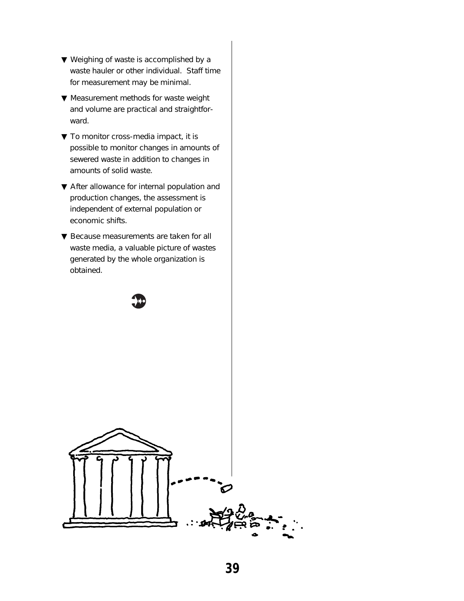- ▼ Weighing of waste is accomplished by a waste hauler or other individual. Staff time for measurement may be minimal.
- ▼ Measurement methods for waste weight and volume are practical and straightforward.
- ▼ To monitor cross-media impact, it is possible to monitor changes in amounts of sewered waste in addition to changes in amounts of solid waste.
- ▼ After allowance for internal population and production changes, the assessment is independent of external population or economic shifts.
- ▼ Because measurements are taken for all waste media, a valuable picture of wastes generated by the whole organization is obtained.

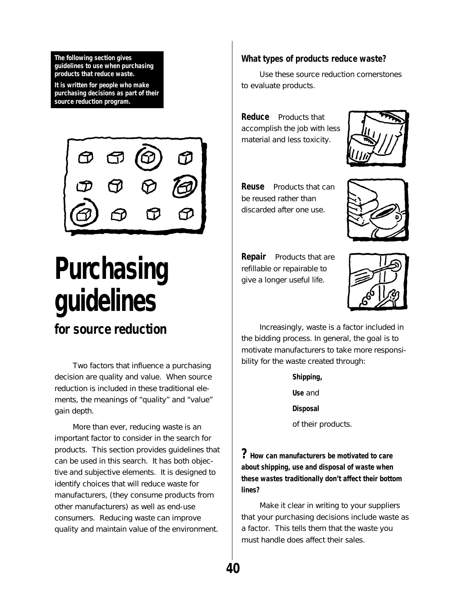**The following section gives guidelines to use when purchasing products that reduce waste.**

**It is written for people who make purchasing decisions as part of their source reduction program.**



## **Purchasing guidelines for source reduction**

Two factors that influence a purchasing decision are quality and value. When source reduction is included in these traditional elements, the meanings of "quality" and "value" gain depth.

More than ever, reducing waste is an important factor to consider in the search for products. This section provides guidelines that can be used in this search. It has both objective and subjective elements. It is designed to identify choices that will reduce waste for manufacturers, (they consume products from other manufacturers) as well as end-use consumers. Reducing waste can improve quality and maintain value of the environment.

#### **What types of products reduce waste?**

Use these source reduction cornerstones to evaluate products.

**Reduce** Products that accomplish the job with less material and less toxicity.



**Reuse** Products that can be reused rather than discarded after one use.



**Repair** Products that are refillable or repairable to give a longer useful life.



Increasingly, waste is a factor included in the bidding process. In general, the goal is to motivate manufacturers to take more responsibility for the waste created through:

> **Shipping, Use** and **Disposal** of their products.

**? How can manufacturers be motivated to care about shipping, use and disposal of waste when these wastes traditionally don't affect their bottom lines?**

Make it clear in writing to your suppliers that your purchasing decisions include waste as a factor. This tells them that the waste you must handle does affect their sales.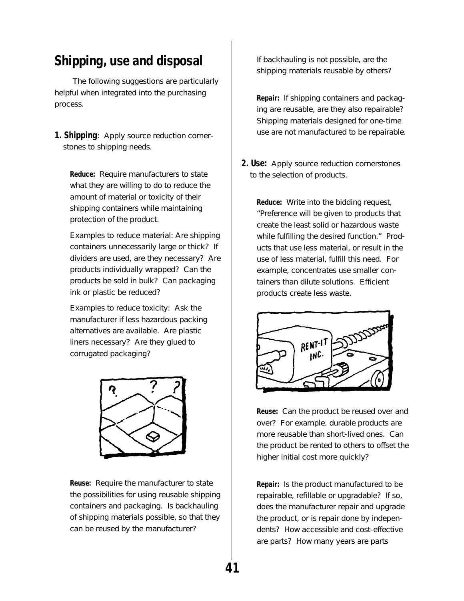### **Shipping, use and disposal**

The following suggestions are particularly helpful when integrated into the purchasing process.

**1. Shipping**: Apply source reduction cornerstones to shipping needs.

**Reduce:** Require manufacturers to state what they are willing to do to reduce the amount of material or toxicity of their shipping containers while maintaining protection of the product.

Examples to reduce material: Are shipping containers unnecessarily large or thick? If dividers are used, are they necessary? Are products individually wrapped? Can the products be sold in bulk? Can packaging ink or plastic be reduced?

Examples to reduce toxicity: Ask the manufacturer if less hazardous packing alternatives are available. Are plastic liners necessary? Are they glued to corrugated packaging?



**Reuse:** Require the manufacturer to state the possibilities for using reusable shipping containers and packaging. Is backhauling of shipping materials possible, so that they can be reused by the manufacturer?

If backhauling is not possible, are the shipping materials reusable by others?

**Repair:** If shipping containers and packaging are reusable, are they also repairable? Shipping materials designed for one-time use are not manufactured to be repairable.

**2. Use:** Apply source reduction cornerstones to the selection of products.

**Reduce:** Write into the bidding request, "Preference will be given to products that create the least solid or hazardous waste while fulfilling the desired function." Products that use less material, or result in the use of less material, fulfill this need. For example, concentrates use smaller containers than dilute solutions. Efficient products create less waste.



**Reuse:** Can the product be reused over and over? For example, durable products are more reusable than short-lived ones. Can the product be rented to others to offset the higher initial cost more quickly?

**Repair:** Is the product manufactured to be repairable, refillable or upgradable? If so, does the manufacturer repair and upgrade the product, or is repair done by independents? How accessible and cost-effective are parts? How many years are parts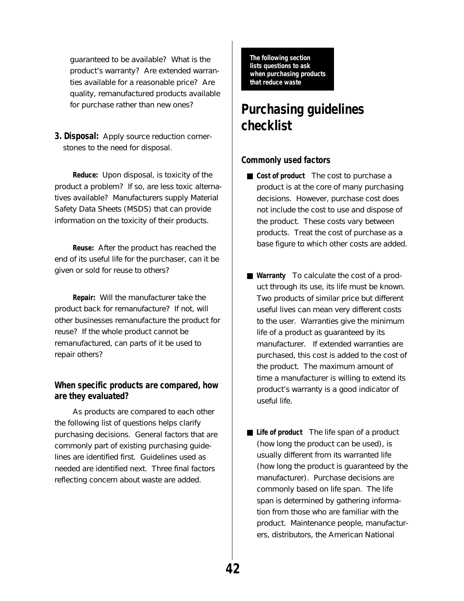guaranteed to be available? What is the product's warranty? Are extended warranties available for a reasonable price? Are quality, remanufactured products available for purchase rather than new ones?

**3. Disposal:** Apply source reduction cornerstones to the need for disposal.

**Reduce:** Upon disposal, is toxicity of the product a problem? If so, are less toxic alternatives available? Manufacturers supply Material Safety Data Sheets (MSDS) that can provide information on the toxicity of their products.

**Reuse:** After the product has reached the end of its useful life for the purchaser, can it be given or sold for reuse to others?

**Repair:** Will the manufacturer take the product back for remanufacture? If not, will other businesses remanufacture the product for reuse? If the whole product cannot be remanufactured, can parts of it be used to repair others?

#### **When specific products are compared, how are they evaluated?**

As products are compared to each other the following list of questions helps clarify purchasing decisions. General factors that are commonly part of existing purchasing guidelines are identified first. Guidelines used as needed are identified next. Three final factors reflecting concern about waste are added.

**The following section lists questions to ask when purchasing products that reduce waste**

### **Purchasing guidelines checklist**

#### **Commonly used factors**

- **Cost of product** The cost to purchase a product is at the core of many purchasing decisions. However, purchase cost does not include the cost to use and dispose of the product. These costs vary between products. Treat the cost of purchase as a base figure to which other costs are added.
- **Warranty** To calculate the cost of a product through its use, its life must be known. Two products of similar price but different useful lives can mean very different costs to the user. Warranties give the minimum life of a product as guaranteed by its manufacturer. If extended warranties are purchased, this cost is added to the cost of the product. The maximum amount of time a manufacturer is willing to extend its product's warranty is a good indicator of useful life.
- **Life of product** The life span of a product (how long the product can be used), is usually different from its warranted life (how long the product is guaranteed by the manufacturer). Purchase decisions are commonly based on life span. The life span is determined by gathering information from those who are familiar with the product. Maintenance people, manufacturers, distributors, the American National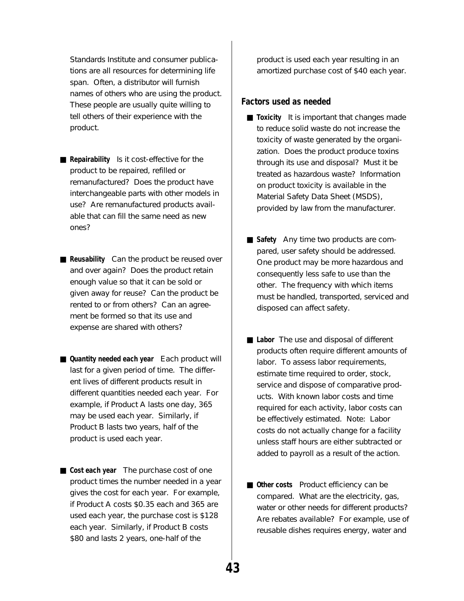Standards Institute and consumer publications are all resources for determining life span. Often, a distributor will furnish names of others who are using the product. These people are usually quite willing to tell others of their experience with the product.

- **Repairability** Is it cost-effective for the product to be repaired, refilled or remanufactured? Does the product have interchangeable parts with other models in use? Are remanufactured products available that can fill the same need as new ones?
- **Reusability** Can the product be reused over and over again? Does the product retain enough value so that it can be sold or given away for reuse? Can the product be rented to or from others? Can an agreement be formed so that its use and expense are shared with others?
- **Quantity needed each year** Each product will last for a given period of time. The different lives of different products result in different quantities needed each year. For example, if Product A lasts one day, 365 may be used each year. Similarly, if Product B lasts two years, half of the product is used each year.
- **Cost each year** The purchase cost of one product times the number needed in a year gives the cost for each year. For example, if Product A costs \$0.35 each and 365 are used each year, the purchase cost is \$128 each year. Similarly, if Product B costs \$80 and lasts 2 years, one-half of the

product is used each year resulting in an amortized purchase cost of \$40 each year.

#### **Factors used as needed**

- **Toxicity** It is important that changes made to reduce solid waste do not increase the toxicity of waste generated by the organization. Does the product produce toxins through its use and disposal? Must it be treated as hazardous waste? Information on product toxicity is available in the Material Safety Data Sheet (MSDS), provided by law from the manufacturer.
- **Safety** Any time two products are compared, user safety should be addressed. One product may be more hazardous and consequently less safe to use than the other. The frequency with which items must be handled, transported, serviced and disposed can affect safety.
- **Labor** The use and disposal of different products often require different amounts of labor. To assess labor requirements, estimate time required to order, stock, service and dispose of comparative products. With known labor costs and time required for each activity, labor costs can be effectively estimated. Note: Labor costs do not actually change for a facility unless staff hours are either subtracted or added to payroll as a result of the action.
- Other costs Product efficiency can be compared. What are the electricity, gas, water or other needs for different products? Are rebates available? For example, use of reusable dishes requires energy, water and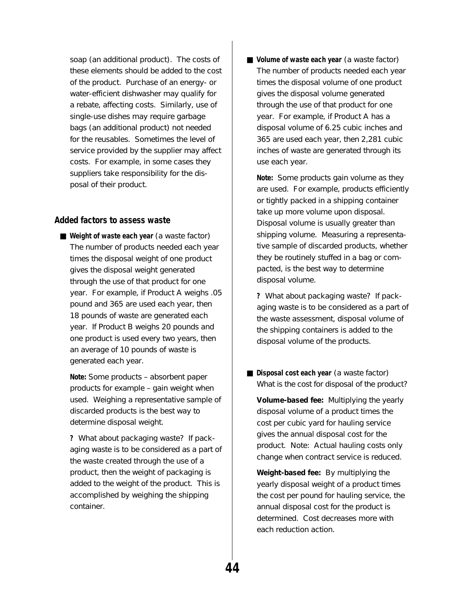soap (an additional product). The costs of these elements should be added to the cost of the product. Purchase of an energy- or water-efficient dishwasher may qualify for a rebate, affecting costs. Similarly, use of single-use dishes may require garbage bags (an additional product) not needed for the reusables. Sometimes the level of service provided by the supplier may affect costs. For example, in some cases they suppliers take responsibility for the disposal of their product.

#### **Added factors to assess waste**

■ Weight of waste each year (a waste factor) The number of products needed each year times the disposal weight of one product gives the disposal weight generated through the use of that product for one year. For example, if Product A weighs .05 pound and 365 are used each year, then 18 pounds of waste are generated each year. If Product B weighs 20 pounds and one product is used every two years, then an average of 10 pounds of waste is generated each year.

**Note:** Some products – absorbent paper products for example – gain weight when used. Weighing a representative sample of discarded products is the best way to determine disposal weight.

**?** What about packaging waste? If packaging waste is to be considered as a part of the waste created through the use of a product, then the weight of packaging is added to the weight of the product. This is accomplished by weighing the shipping container.

■ **Volume of waste each year** (a waste factor) The number of products needed each year times the disposal volume of one product gives the disposal volume generated through the use of that product for one year. For example, if Product A has a disposal volume of 6.25 cubic inches and 365 are used each year, then 2,281 cubic inches of waste are generated through its use each year.

**Note:** Some products gain volume as they are used. For example, products efficiently or tightly packed in a shipping container take up more volume upon disposal. Disposal volume is usually greater than shipping volume. Measuring a representative sample of discarded products, whether they be routinely stuffed in a bag or compacted, is the best way to determine disposal volume.

**?** What about packaging waste? If packaging waste is to be considered as a part of the waste assessment, disposal volume of the shipping containers is added to the disposal volume of the products.

■ **Disposal cost each year** (a waste factor) What is the cost for disposal of the product?

**Volume-based fee:** Multiplying the yearly disposal volume of a product times the cost per cubic yard for hauling service gives the annual disposal cost for the product. Note: Actual hauling costs only change when contract service is reduced.

**Weight-based fee:** By multiplying the yearly disposal weight of a product times the cost per pound for hauling service, the annual disposal cost for the product is determined. Cost decreases more with each reduction action.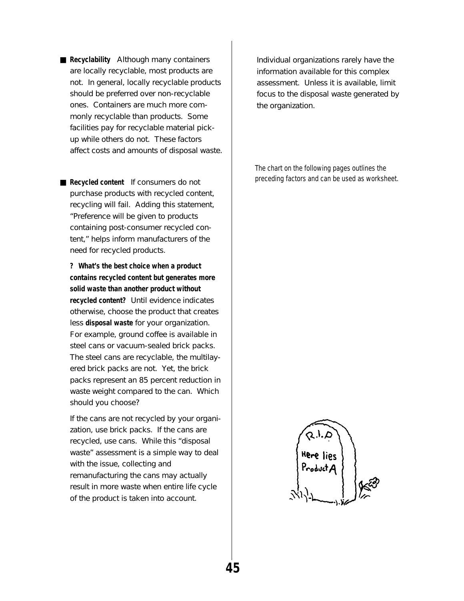■ **Recyclability** Although many containers are locally recyclable, most products are not. In general, locally recyclable products should be preferred over non-recyclable ones. Containers are much more commonly recyclable than products. Some facilities pay for recyclable material pickup while others do not. These factors affect costs and amounts of disposal waste.

■ **Recycled content** If consumers do not purchase products with recycled content, recycling will fail. Adding this statement, "Preference will be given to products containing post-consumer recycled content," helps inform manufacturers of the need for recycled products.

**? What's the best choice when a product contains recycled content but generates more solid waste than another product without recycled content?** Until evidence indicates otherwise, choose the product that creates less **disposal waste** for your organization. For example, ground coffee is available in steel cans or vacuum-sealed brick packs. The steel cans are recyclable, the multilayered brick packs are not. Yet, the brick packs represent an 85 percent reduction in waste weight compared to the can. Which should you choose?

If the cans are not recycled by your organization, use brick packs. If the cans are recycled, use cans. While this "disposal waste" assessment is a simple way to deal with the issue, collecting and remanufacturing the cans may actually result in more waste when entire life cycle of the product is taken into account.

Individual organizations rarely have the information available for this complex assessment. Unless it is available, limit focus to the disposal waste generated by the organization.

The chart on the following pages outlines the preceding factors and can be used as worksheet.

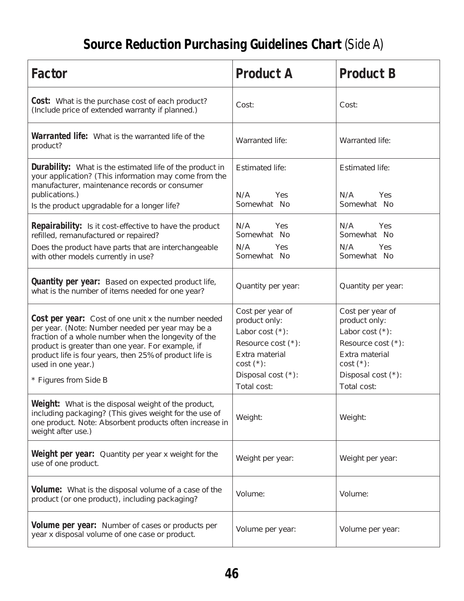## **Source Reduction Purchasing Guidelines Chart** (Side A)

| Factor                                                                                                                                                                                                                                                                                                                                | <b>Product A</b>                                                                                                                                       | <b>Product B</b>                                                                                                                                       |
|---------------------------------------------------------------------------------------------------------------------------------------------------------------------------------------------------------------------------------------------------------------------------------------------------------------------------------------|--------------------------------------------------------------------------------------------------------------------------------------------------------|--------------------------------------------------------------------------------------------------------------------------------------------------------|
| <b>Cost:</b> What is the purchase cost of each product?<br>(Include price of extended warranty if planned.)                                                                                                                                                                                                                           | Cost:                                                                                                                                                  | Cost:                                                                                                                                                  |
| <b>Warranted life:</b> What is the warranted life of the<br>product?                                                                                                                                                                                                                                                                  | <b>Warranted life:</b>                                                                                                                                 | <b>Warranted life:</b>                                                                                                                                 |
| <b>Durability:</b> What is the estimated life of the product in<br>your application? (This information may come from the<br>manufacturer, maintenance records or consumer<br>publications.)<br>Is the product upgradable for a longer life?                                                                                           | <b>Estimated life:</b><br>N/A<br>Yes<br>Somewhat No                                                                                                    | <b>Estimated life:</b><br>N/A<br>Yes<br>Somewhat No                                                                                                    |
| <b>Repairability:</b> Is it cost-effective to have the product<br>refilled, remanufactured or repaired?<br>Does the product have parts that are interchangeable<br>with other models currently in use?                                                                                                                                | N/A<br>Yes<br>Somewhat No<br>N/A<br><b>Yes</b><br>Somewhat No                                                                                          | N/A<br>Yes<br>Somewhat No<br>N/A<br>Yes<br>Somewhat No                                                                                                 |
| <b>Quantity per year:</b> Based on expected product life,<br>what is the number of items needed for one year?                                                                                                                                                                                                                         | Quantity per year:                                                                                                                                     | Quantity per year:                                                                                                                                     |
| <b>Cost per year:</b> Cost of one unit x the number needed<br>per year. (Note: Number needed per year may be a<br>fraction of a whole number when the longevity of the<br>product is greater than one year. For example, if<br>product life is four years, then 25% of product life is<br>used in one year.)<br>* Figures from Side B | Cost per year of<br>product only:<br>Labor cost $(*)$ :<br>Resource cost $(*)$ :<br>Extra material<br>$cost$ (*):<br>Disposal cost (*):<br>Total cost: | Cost per year of<br>product only:<br>Labor cost $(*)$ :<br>Resource cost $(*)$ :<br>Extra material<br>$cost$ (*):<br>Disposal cost (*):<br>Total cost: |
| Weight: What is the disposal weight of the product,<br>including packaging? (This gives weight for the use of<br>one product. Note: Absorbent products often increase in<br>weight after use.)                                                                                                                                        | Weight:                                                                                                                                                | Weight:                                                                                                                                                |
| <b>Weight per year:</b> Quantity per year x weight for the<br>use of one product.                                                                                                                                                                                                                                                     | Weight per year:                                                                                                                                       | Weight per year:                                                                                                                                       |
| <b>Volume:</b> What is the disposal volume of a case of the<br>product (or one product), including packaging?                                                                                                                                                                                                                         | Volume:                                                                                                                                                | Volume:                                                                                                                                                |
| <b>Volume per year:</b> Number of cases or products per<br>year x disposal volume of one case or product.                                                                                                                                                                                                                             | Volume per year:                                                                                                                                       | Volume per year:                                                                                                                                       |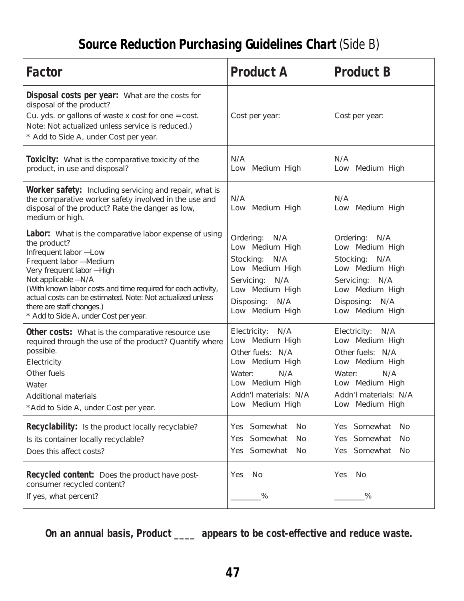### **Source Reduction Purchasing Guidelines Chart** (Side B)

| <b>Factor</b>                                                                                                                                                                                                                                                                                                                                                                           | <b>Product A</b>                                                                                                                                              | <b>Product B</b>                                                                                                                                           |
|-----------------------------------------------------------------------------------------------------------------------------------------------------------------------------------------------------------------------------------------------------------------------------------------------------------------------------------------------------------------------------------------|---------------------------------------------------------------------------------------------------------------------------------------------------------------|------------------------------------------------------------------------------------------------------------------------------------------------------------|
| Disposal costs per year: What are the costs for<br>disposal of the product?<br>Cu. yds. or gallons of waste $x \cos t$ for one = cost.<br>Note: Not actualized unless service is reduced.)<br>* Add to Side A, under Cost per year.                                                                                                                                                     | Cost per year:                                                                                                                                                | Cost per year:                                                                                                                                             |
| <b>Toxicity:</b> What is the comparative toxicity of the<br>product, in use and disposal?                                                                                                                                                                                                                                                                                               | N/A<br>Low Medium High                                                                                                                                        | N/A<br>Low Medium High                                                                                                                                     |
| <b>Worker safety:</b> Including servicing and repair, what is<br>the comparative worker safety involved in the use and<br>disposal of the product? Rate the danger as low,<br>medium or high.                                                                                                                                                                                           | N/A<br>Low Medium High                                                                                                                                        | N/A<br>Low Medium High                                                                                                                                     |
| <b>Labor:</b> What is the comparative labor expense of using<br>the product?<br>Infrequent labor -Low<br>Frequent labor -Medium<br>Very frequent labor -High<br>Not applicable -N/A<br>(With known labor costs and time required for each activity,<br>actual costs can be estimated. Note: Not actualized unless<br>there are staff changes.)<br>* Add to Side A, under Cost per year. | Ordering: N/A<br>Low Medium High<br>Stocking: N/A<br>Low Medium High<br>Servicing: N/A<br>Low Medium High<br>Disposing: N/A<br>Low Medium High                | Ordering: N/A<br>Low Medium High<br>Stocking: N/A<br>Low Medium High<br>Servicing: N/A<br>Low Medium High<br>Disposing: N/A<br>Low Medium High             |
| Other costs: What is the comparative resource use<br>required through the use of the product? Quantify where<br>possible.<br>Electricity<br>Other fuels<br>Water<br><b>Additional materials</b><br>*Add to Side A, under Cost per year.                                                                                                                                                 | N/A<br>Electricity:<br>Low Medium High<br>Other fuels: N/A<br>Low Medium High<br>N/A<br>Water:<br>Low Medium High<br>Addn'l materials: N/A<br>Low Medium High | Electricity: N/A<br>Low Medium High<br>Other fuels: N/A<br>Low Medium High<br>N/A<br>Water:<br>Low Medium High<br>Addn'l materials: N/A<br>Low Medium High |
| <b>Recyclability:</b> Is the product locally recyclable?<br>Is its container locally recyclable?<br>Does this affect costs?                                                                                                                                                                                                                                                             | Somewhat<br>N <sub>0</sub><br><b>Yes</b><br>Somewhat<br>No<br>Yes<br>Yes Somewhat<br>No                                                                       | Somewhat<br>N <sub>o</sub><br>Yes<br>Somewhat<br>N <sub>0</sub><br>Yes<br>Somewhat<br>N <sub>o</sub><br>Yes                                                |
| <b>Recycled content:</b> Does the product have post-<br>consumer recycled content?<br>If yes, what percent?                                                                                                                                                                                                                                                                             | No<br>Yes<br>$\frac{0}{2}$                                                                                                                                    | No<br>Yes<br>$\frac{0}{0}$                                                                                                                                 |

**On an annual basis, Product \_\_\_\_ appears to be cost-effective and reduce waste.**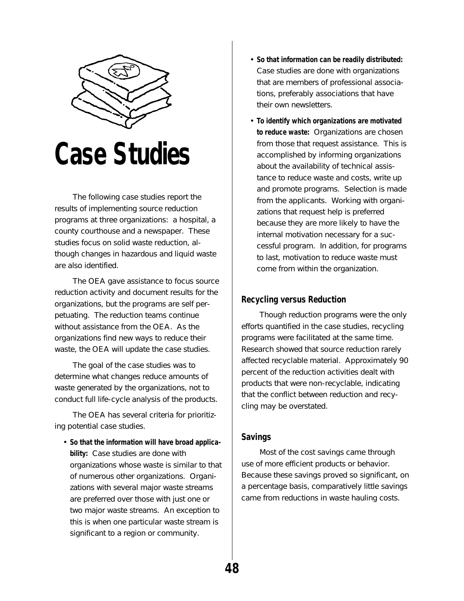

## **Case Studies**

The following case studies report the results of implementing source reduction programs at three organizations: a hospital, a county courthouse and a newspaper. These studies focus on solid waste reduction, although changes in hazardous and liquid waste are also identified.

The OEA gave assistance to focus source reduction activity and document results for the organizations, but the programs are self perpetuating. The reduction teams continue without assistance from the OEA. As the organizations find new ways to reduce their waste, the OEA will update the case studies.

The goal of the case studies was to determine what changes reduce amounts of waste generated by the organizations, not to conduct full life-cycle analysis of the products.

The OEA has several criteria for prioritizing potential case studies.

• **So that the information will have broad applicability:** Case studies are done with organizations whose waste is similar to that of numerous other organizations. Organizations with several major waste streams are preferred over those with just one or two major waste streams. An exception to this is when one particular waste stream is significant to a region or community.

- **So that information can be readily distributed:** Case studies are done with organizations that are members of professional associations, preferably associations that have their own newsletters.
- **To identify which organizations are motivated to reduce waste:** Organizations are chosen from those that request assistance. This is accomplished by informing organizations about the availability of technical assistance to reduce waste and costs, write up and promote programs. Selection is made from the applicants. Working with organizations that request help is preferred because they are more likely to have the internal motivation necessary for a successful program. In addition, for programs to last, motivation to reduce waste must come from within the organization.

#### **Recycling versus Reduction**

Though reduction programs were the only efforts quantified in the case studies, recycling programs were facilitated at the same time. Research showed that source reduction rarely affected recyclable material. Approximately 90 percent of the reduction activities dealt with products that were non-recyclable, indicating that the conflict between reduction and recycling may be overstated.

#### **Savings**

Most of the cost savings came through use of more efficient products or behavior. Because these savings proved so significant, on a percentage basis, comparatively little savings came from reductions in waste hauling costs.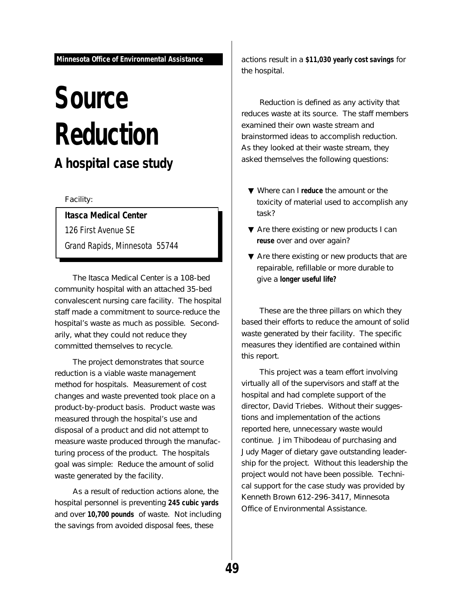## **Source Reduction A hospital case study**

Facility:

**Itasca Medical Center**

126 First Avenue SE

Grand Rapids, Minnesota 55744

The Itasca Medical Center is a 108-bed community hospital with an attached 35-bed convalescent nursing care facility. The hospital staff made a commitment to source-reduce the hospital's waste as much as possible. Secondarily, what they could not reduce they committed themselves to recycle.

The project demonstrates that source reduction is a viable waste management method for hospitals. Measurement of cost changes and waste prevented took place on a product-by-product basis. Product waste was measured through the hospital's use and disposal of a product and did not attempt to measure waste produced through the manufacturing process of the product. The hospitals goal was simple: Reduce the amount of solid waste generated by the facility.

As a result of reduction actions alone, the hospital personnel is preventing **245 cubic yards** and over **10,700 pounds** of waste. Not including the savings from avoided disposal fees, these

actions result in a **\$11,030 yearly cost savings** for the hospital.

Reduction is defined as any activity that reduces waste at its source. The staff members examined their own waste stream and brainstormed ideas to accomplish reduction. As they looked at their waste stream, they asked themselves the following questions:

- ▼ Where can I **reduce** the amount or the toxicity of material used to accomplish any task?
- ▼ Are there existing or new products I can **reuse** over and over again?
- ▼ Are there existing or new products that are repairable, refillable or more durable to give a **longer useful life?**

These are the three pillars on which they based their efforts to reduce the amount of solid waste generated by their facility. The specific measures they identified are contained within this report.

This project was a team effort involving virtually all of the supervisors and staff at the hospital and had complete support of the director, David Triebes. Without their suggestions and implementation of the actions reported here, unnecessary waste would continue. Jim Thibodeau of purchasing and Judy Mager of dietary gave outstanding leadership for the project. Without this leadership the project would not have been possible. Technical support for the case study was provided by Kenneth Brown 612-296-3417, Minnesota Office of Environmental Assistance.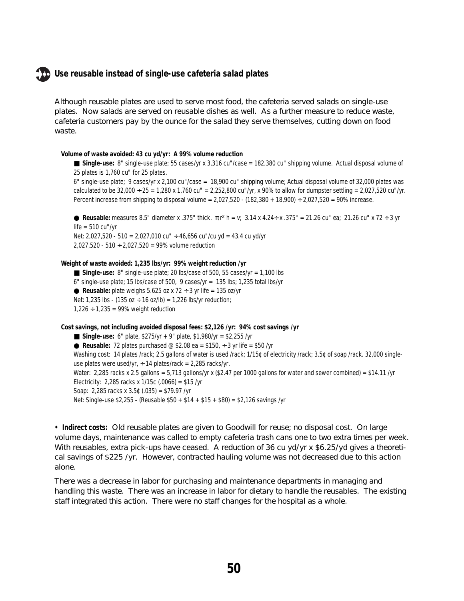#### **Use reusable instead of single-use cafeteria salad plates**

Although reusable plates are used to serve most food, the cafeteria served salads on single-use plates. Now salads are served on reusable dishes as well. As a further measure to reduce waste, cafeteria customers pay by the ounce for the salad they serve themselves, cutting down on food waste.

#### **Volume of waste avoided: 43 cu yd/yr: A 99% volume reduction**

■ Single-use: 8" single-use plate; 55 cases/yr x 3,316 cu"/case = 182,380 cu" shipping volume. Actual disposal volume of 25 plates is 1,760 cu" for 25 plates.

6" single-use plate; 9 cases/yr x 2,100 cu"/case = 18,900 cu" shipping volume; Actual disposal volume of 32,000 plates was calculated to be  $32,000 \div 25 = 1,280 \times 1,760 \text{ cu}'' = 2,252,800 \text{ cu}''/yr$ , x 90% to allow for dumpster settling = 2,027,520 cu"/yr. Percent increase from shipping to disposal volume = 2,027,520 - (182,380 + 18,900) ÷ 2,027,520 = 90% increase.

• Reusable: measures 8.5" diameter x .375" thick. πr<sup>2</sup> h = v; 3.14 x 4.24÷ x .375" = 21.26 cu" ea; 21.26 cu" x 72 ÷ 3 yr  $life = 510$  cu"/vr Net: 2,027,520 - 510 = 2,027,010 cu"  $\div$  46,656 cu"/cu yd = 43.4 cu yd/yr

2,027,520 - 510  $\div$  2,027,520 = 99% volume reduction

#### **Weight of waste avoided: 1,235 lbs/yr: 99% weight reduction /yr**

 $\blacksquare$  **Single-use:** 8" single-use plate; 20 lbs/case of 500, 55 cases/yr = 1,100 lbs 6" single-use plate; 15 lbs/case of 500, 9 cases/yr = 135 lbs; 1,235 total lbs/yr **• Reusable:** plate weighs  $5.625$  oz x  $72 \div 3$  yr life =  $135$  oz/yr Net: 1,235 lbs - (135 oz ÷ 16 oz/lb) = 1,226 lbs/yr reduction;  $1,226 \div 1,235 = 99\%$  weight reduction

**Cost savings, not including avoided disposal fees: \$2,126 /yr: 94% cost savings /yr**

■ **Single-use:** 6" plate, \$275/yr + 9" plate, \$1,980/yr = \$2,255 /yr **• Reusable:** 72 plates purchased  $\textcircled{ }$  \$2.08 ea = \$150,  $\div$  3 yr life = \$50 /yr Washing cost: 14 plates /rack; 2.5 gallons of water is used /rack; 1/15¢ of electricity /rack; 3.5¢ of soap /rack. 32,000 singleuse plates were used/yr,  $\div$  14 plates/rack = 2,285 racks/yr. Water: 2,285 racks x 2.5 gallons = 5,713 gallons/yr x (\$2.47 per 1000 gallons for water and sewer combined) = \$14.11 /yr Electricity: 2,285 racks x  $1/15$ ¢ (.0066) = \$15 /yr Soap: 2,285 racks x 3.5¢ (.035) = \$79.97 /yr Net: Single-use \$2,255 - (Reusable \$50 + \$14 + \$15 + \$80) = \$2,126 savings /yr

**• Indirect costs:** Old reusable plates are given to Goodwill for reuse; no disposal cost. On large volume days, maintenance was called to empty cafeteria trash cans one to two extra times per week. With reusables, extra pick-ups have ceased. A reduction of 36 cu yd/yr x  $$6.25$ /yd gives a theoretical savings of \$225 /yr. However, contracted hauling volume was not decreased due to this action alone.

There was a decrease in labor for purchasing and maintenance departments in managing and handling this waste. There was an increase in labor for dietary to handle the reusables. The existing staff integrated this action. There were no staff changes for the hospital as a whole.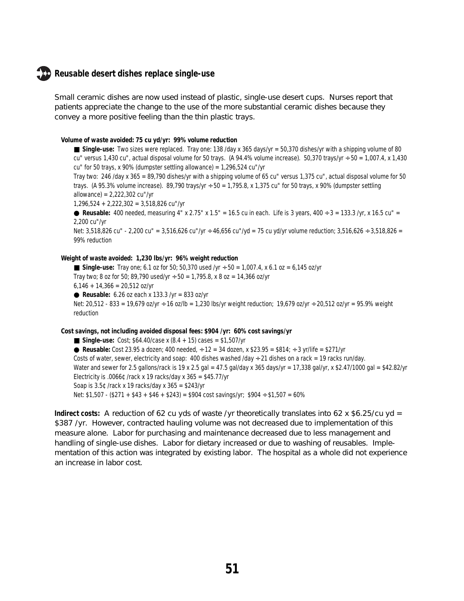#### **Reusable desert dishes replace single-use**

Small ceramic dishes are now used instead of plastic, single-use desert cups. Nurses report that patients appreciate the change to the use of the more substantial ceramic dishes because they convey a more positive feeling than the thin plastic trays.

#### **Volume of waste avoided: 75 cu yd/yr: 99% volume reduction**

■ Single-use: Two sizes were replaced. Tray one: 138 /day x 365 days/yr = 50,370 dishes/yr with a shipping volume of 80 cu" versus 1,430 cu", actual disposal volume for 50 trays. (A 94.4% volume increase). 50,370 trays/yr  $\div$  50 = 1,007.4, x 1,430 cu" for 50 trays, x 90% (dumpster settling allowance) = 1,296,524 cu"/yr

Tray two: 246 /day x 365 = 89,790 dishes/yr with a shipping volume of 65 cu" versus 1,375 cu", actual disposal volume for 50 trays. (A 95.3% volume increase). 89,790 trays/yr  $\div$  50 = 1,795.8, x 1,375 cu" for 50 trays, x 90% (dumpster settling allowance) = 2,222,302 cu"/yr

1,296,524 + 2,222,302 = 3,518,826 cu"/yr

● Reusable: 400 needed, measuring 4" x 2.75" x 1.5" = 16.5 cu in each. Life is 3 years,  $400 \div 3 = 133.3$  /yr, x 16.5 cu" = 2,200 cu"/yr

Net: 3,518,826 cu" - 2,200 cu" = 3,516,626 cu"/yr ÷ 46,656 cu"/yd = 75 cu yd/yr volume reduction; 3,516,626 ÷ 3,518,826 = 99% reduction

#### **Weight of waste avoided: 1,230 lbs/yr: 96% weight reduction**

■ **Single-use:** Tray one; 6.1 oz for 50; 50,370 used /yr ÷ 50 = 1,007.4, x 6.1 oz = 6,145 oz/yr Tray two; 8 oz for 50; 89,790 used/yr  $\div$  50 = 1,795.8, x 8 oz = 14,366 oz/yr  $6,146 + 14,366 = 20,512$  oz/yr **• Reusable:** 6.26 oz each x 133.3 /yr = 833 oz/yr Net: 20,512 - 833 = 19,679 oz/yr ÷ 16 oz/lb = 1,230 lbs/yr weight reduction; 19,679 oz/yr ÷ 20,512 oz/yr = 95.9% weight reduction

#### **Cost savings, not including avoided disposal fees: \$904 /yr: 60% cost savings/yr**

■ **Single-use:** Cost; \$64.40/case x (8.4 + 15) cases = \$1,507/yr ● Reusable: Cost 23.95 a dozen; 400 needed,  $\div$  12 = 34 dozen, x \$23.95 = \$814;  $\div$  3 yr/life = \$271/yr Costs of water, sewer, electricity and soap: 400 dishes washed /day  $\div$  21 dishes on a rack = 19 racks run/day. Water and sewer for 2.5 gallons/rack is 19 x 2.5 gal = 47.5 gal/day x 365 days/yr = 17,338 gal/yr, x \$2.47/1000 gal = \$42.82/yr Electricity is .0066 $\text{\textdegree}$  /rack x 19 racks/day x 365 = \$45.77/yr Soap is 3.5¢ /rack x 19 racks/day x 365 = \$243/yr Net:  $$1,507 - ($271 + $43 + $46 + $243) = $904 \text{ cost savings/yr}; $904 \div $1,507 = 60\%$ 

**Indirect costs:** A reduction of 62 cu yds of waste /yr theoretically translates into 62 x \$6.25/cu yd = \$387 /yr. However, contracted hauling volume was not decreased due to implementation of this measure alone. Labor for purchasing and maintenance decreased due to less management and handling of single-use dishes. Labor for dietary increased or due to washing of reusables. Implementation of this action was integrated by existing labor. The hospital as a whole did not experience an increase in labor cost.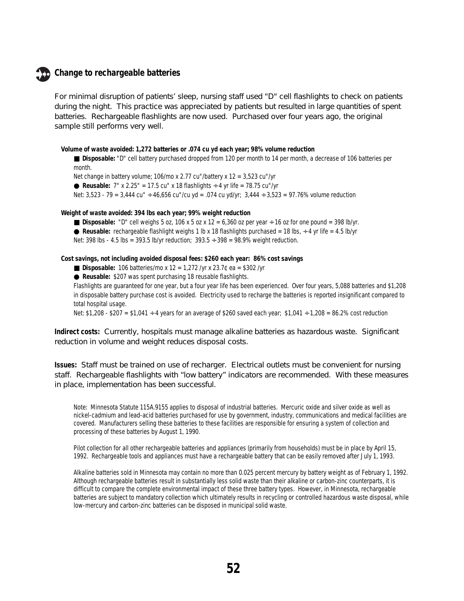#### **Change to rechargeable batteries**

For minimal disruption of patients' sleep, nursing staff used "D" cell flashlights to check on patients during the night. This practice was appreciated by patients but resulted in large quantities of spent batteries. Rechargeable flashlights are now used. Purchased over four years ago, the original sample still performs very well.

**Volume of waste avoided: 1,272 batteries or .074 cu yd each year; 98% volume reduction**

■ Disposable: "D" cell battery purchased dropped from 120 per month to 14 per month, a decrease of 106 batteries per month.

Net change in battery volume; 106/mo x 2.77 cu"/battery x 12 = 3,523 cu"/yr ● **Reusable:**  $7''$  x 2.25" = 17.5 cu" x 18 flashlights  $\div$  4 yr life = 78.75 cu"/yr Net: 3,523 - 79 = 3,444 cu" ÷ 46,656 cu"/cu yd = .074 cu yd/yr; 3,444 ÷ 3,523 = 97.76% volume reduction

**Weight of waste avoided: 394 lbs each year; 99% weight reduction**

- **Disposable:** "D" cell weighs 5 oz, 106 x 5 oz x 12 = 6,360 oz per year  $\div$  16 oz for one pound = 398 lb/yr.
- **Reusable:** rechargeable flashlight weighs 1 lb x 18 flashlights purchased = 18 lbs,  $\div$  4 yr life = 4.5 lb/yr

Net: 398 lbs - 4.5 lbs = 393.5 lb/yr reduction;  $393.5 \div 398 = 98.9\%$  weight reduction.

**Cost savings, not including avoided disposal fees: \$260 each year: 86% cost savings**

- **Disposable:** 106 batteries/mo x 12 = 1,272 /yr x 23.7¢ ea = \$302 /yr
- ● **Reusable:** \$207 was spent purchasing 18 reusable flashlights.

Flashlights are guaranteed for one year, but a four year life has been experienced. Over four years, 5,088 batteries and \$1,208 in disposable battery purchase cost is avoided. Electricity used to recharge the batteries is reported insignificant compared to total hospital usage.

Net: \$1,208 - \$207 = \$1,041 ÷ 4 years for an average of \$260 saved each year; \$1,041 ÷ 1,208 = 86.2% cost reduction

**Indirect costs:** Currently, hospitals must manage alkaline batteries as hazardous waste. Significant reduction in volume and weight reduces disposal costs.

**Issues:** Staff must be trained on use of recharger. Electrical outlets must be convenient for nursing staff. Rechargeable flashlights with "low battery" indicators are recommended. With these measures in place, implementation has been successful.

Note: Minnesota Statute 115A.9155 applies to disposal of industrial batteries. Mercuric oxide and silver oxide as well as nickel-cadmium and lead-acid batteries purchased for use by government, industry, communications and medical facilities are covered. Manufacturers selling these batteries to these facilities are responsible for ensuring a system of collection and processing of these batteries by August 1, 1990.

Pilot collection for all other rechargeable batteries and appliances (primarily from households) must be in place by April 15, 1992. Rechargeable tools and appliances must have a rechargeable battery that can be easily removed after July 1, 1993.

Alkaline batteries sold in Minnesota may contain no more than 0.025 percent mercury by battery weight as of February 1, 1992. Although rechargeable batteries result in substantially less solid waste than their alkaline or carbon-zinc counterparts, it is difficult to compare the complete environmental impact of these three battery types. However, in Minnesota, rechargeable batteries are subject to mandatory collection which ultimately results in recycling or controlled hazardous waste disposal, while low-mercury and carbon-zinc batteries can be disposed in municipal solid waste.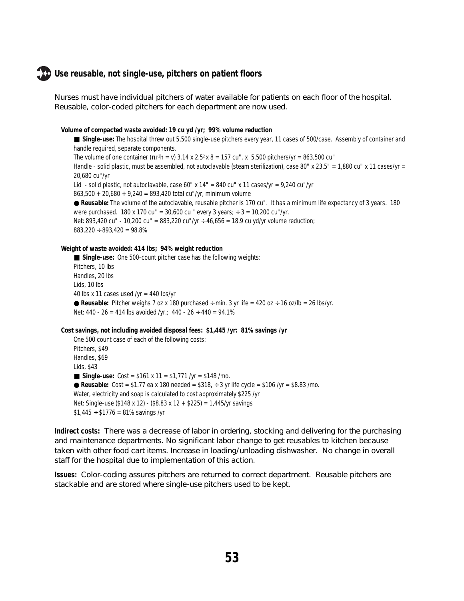#### **Use reusable, not single-use, pitchers on patient floors**

Nurses must have individual pitchers of water available for patients on each floor of the hospital. Reusable, color-coded pitchers for each department are now used.

#### **Volume of compacted waste avoided: 19 cu yd /yr; 99% volume reduction**

■ Single-use: The hospital threw out 5,500 single-use pitchers every year, 11 cases of 500/case. Assembly of container and handle required, separate components. The volume of one container ( $\pi$ r<sup>2</sup>h = v) 3.14 x 2.5<sup>2</sup> x 8 = 157 cu". x 5,500 pitchers/yr = 863,500 cu" Handle - solid plastic, must be assembled, not autoclavable (steam sterilization), case 80" x 23.5" = 1,880 cu" x 11 cases/yr = 20,680 cu"/yr Lid - solid plastic, not autoclavable, case 60" x  $14" = 840$  cu" x 11 cases/yr =  $9,240$  cu"/yr  $863,500 + 20,680 + 9,240 = 893,420$  total cu"/yr, minimum volume ● **Reusable:** The volume of the autoclavable, reusable pitcher is 170 cu". It has a minimum life expectancy of 3 years. 180 were purchased. 180 x 170 cu" =  $30,600$  cu " every 3 years;  $\div$  3 = 10,200 cu"/yr. Net: 893,420 cu" - 10,200 cu" = 883,220 cu"/yr ÷ 46,656 = 18.9 cu yd/yr volume reduction;  $883,220 \div 893,420 = 98.8\%$ 

#### **Weight of waste avoided: 414 lbs; 94% weight reduction**

■ Single-use: One 500-count pitcher case has the following weights: Pitchers, 10 lbs Handles, 20 lbs Lids, 10 lbs 40 lbs x 11 cases used /yr = 440 lbs/yr  $\bullet$  **Reusable:** Pitcher weighs 7 oz x 180 purchased  $\div$  min. 3 yr life = 420 oz  $\div$  16 oz/lb = 26 lbs/yr. Net: 440 - 26 = 414 lbs avoided /yr.; 440 - 26  $\div$  440 = 94.1%

#### **Cost savings, not including avoided disposal fees: \$1,445 /yr: 81% savings /yr**

One 500 count case of each of the following costs: Pitchers, \$49 Handles, \$69 Lids, \$43 ■ **Single-use:** Cost = \$161 x 11 = \$1,771 /yr = \$148 /mo. ● **Reusable:** Cost = \$1.77 ea x 180 needed = \$318,  $\div$  3 yr life cycle = \$106 /yr = \$8.83 /mo. Water, electricity and soap is calculated to cost approximately \$225 /yr Net: Single-use (\$148 x 12) - (\$8.83 x 12 + \$225) = 1,445/yr savings  $$1,445 \div $1776 = 81\%$  savings /yr

**Indirect costs:** There was a decrease of labor in ordering, stocking and delivering for the purchasing and maintenance departments. No significant labor change to get reusables to kitchen because taken with other food cart items. Increase in loading/unloading dishwasher. No change in overall staff for the hospital due to implementation of this action.

**Issues:** Color-coding assures pitchers are returned to correct department. Reusable pitchers are stackable and are stored where single-use pitchers used to be kept.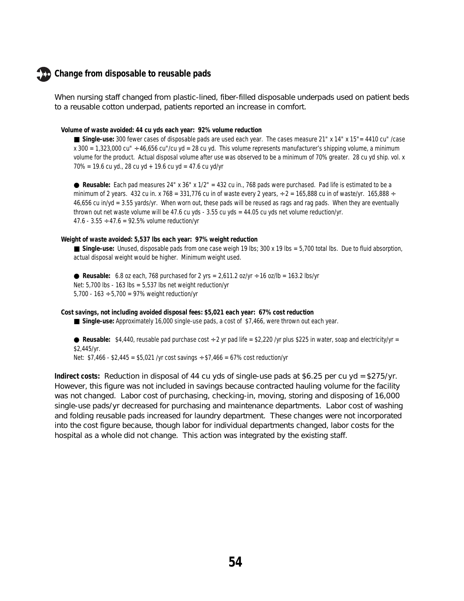#### **Change from disposable to reusable pads**

When nursing staff changed from plastic-lined, fiber-filled disposable underpads used on patient beds to a reusable cotton underpad, patients reported an increase in comfort.

#### **Volume of waste avoided: 44 cu yds each year: 92% volume reduction**

■ **Single-use:** 300 fewer cases of disposable pads are used each year. The cases measure 21" x 14" x 15" = 4410 cu" /case  $x$  300 = 1,323,000 cu"  $\div$  46,656 cu"/cu yd = 28 cu yd. This volume represents manufacturer's shipping volume, a minimum volume for the product. Actual disposal volume after use was observed to be a minimum of 70% greater. 28 cu yd ship. vol. x  $70\% = 19.6$  cu yd., 28 cu yd + 19.6 cu yd = 47.6 cu yd/yr

● **Reusable:** Each pad measures 24" x 36" x 1/2" = 432 cu in., 768 pads were purchased. Pad life is estimated to be a minimum of 2 years. 432 cu in. x 768 = 331,776 cu in of waste every 2 years,  $\div$  2 = 165,888 cu in of waste/yr. 165,888  $\div$ 46,656 cu in/yd = 3.55 yards/yr. When worn out, these pads will be reused as rags and rag pads. When they are eventually thrown out net waste volume will be 47.6 cu yds - 3.55 cu yds = 44.05 cu yds net volume reduction/yr. 47.6 - 3.55  $\div$  47.6 = 92.5% volume reduction/yr

#### **Weight of waste avoided: 5,537 lbs each year: 97% weight reduction**

■ Single-use: Unused, disposable pads from one case weigh 19 lbs; 300 x 19 lbs = 5,700 total lbs. Due to fluid absorption, actual disposal weight would be higher. Minimum weight used.

**• Reusable:** 6.8 oz each, 768 purchased for 2 yrs =  $2,611.2$  oz/yr  $\div$  16 oz/lb = 163.2 lbs/yr Net:  $5,700$  lbs -  $163$  lbs =  $5,537$  lbs net weight reduction/yr 5,700 - 163  $\div$  5,700 = 97% weight reduction/yr

**Cost savings, not including avoided disposal fees: \$5,021 each year: 67% cost reduction**

■ Single-use: Approximately 16,000 single-use pads, a cost of \$7,466, were thrown out each year.

 $\bullet$  **Reusable:** \$4,440, reusable pad purchase cost  $\div$  2 yr pad life = \$2,220 /yr plus \$225 in water, soap and electricity/yr = \$2,445/yr.

Net:  $$7,466 - $2,445 = $5,021$  /yr cost savings  $\div$  \$7,466 = 67% cost reduction/yr

**Indirect costs:** Reduction in disposal of 44 cu yds of single-use pads at \$6.25 per cu yd = \$275/yr. However, this figure was not included in savings because contracted hauling volume for the facility was not changed. Labor cost of purchasing, checking-in, moving, storing and disposing of 16,000 single-use pads/yr decreased for purchasing and maintenance departments. Labor cost of washing and folding reusable pads increased for laundry department. These changes were not incorporated into the cost figure because, though labor for individual departments changed, labor costs for the hospital as a whole did not change. This action was integrated by the existing staff.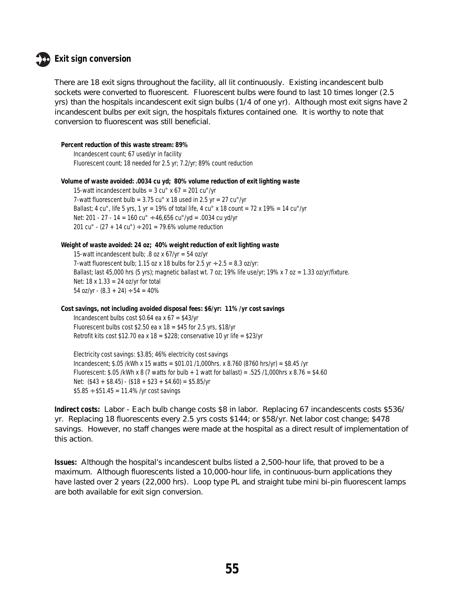

#### **Exit sign conversion**

There are 18 exit signs throughout the facility, all lit continuously. Existing incandescent bulb sockets were converted to fluorescent. Fluorescent bulbs were found to last 10 times longer (2.5) yrs) than the hospitals incandescent exit sign bulbs (1/4 of one yr). Although most exit signs have 2 incandescent bulbs per exit sign, the hospitals fixtures contained one. It is worthy to note that conversion to fluorescent was still beneficial.

```
Percent reduction of this waste stream: 89%
    Incandescent count; 67 used/yr in facility
    Fluorescent count; 18 needed for 2.5 yr; 7.2/yr; 89% count reduction
```

```
Volume of waste avoided: .0034 cu yd; 80% volume reduction of exit lighting waste
```
15-watt incandescent bulbs =  $3 \text{ cu}$ " x  $67 = 201 \text{ cu}$ "/yr 7-watt fluorescent bulb =  $3.75$  cu" x 18 used in 2.5 yr =  $27$  cu"/yr Ballast; 4 cu", life 5 yrs, 1 yr = 19% of total life, 4 cu" x 18 count = 72 x 19% = 14 cu"/yr Net: 201 - 27 - 14 = 160 cu" ÷ 46,656 cu"/yd = .0034 cu yd/yr 201 cu" -  $(27 + 14 \text{ cu})$  ÷ 201 = 79.6% volume reduction

```
Weight of waste avoided: 24 oz; 40% weight reduction of exit lighting waste
    15-watt incandescent bulb; .8 oz x 67/yr = 54 oz/yr
    7-watt fluorescent bulb; 1.15 oz x 18 bulbs for 2.5 yr \div 2.5 = 8.3 oz/yr:
    Ballast; last 45,000 hrs (5 yrs); magnetic ballast wt. 7 oz; 19% life use/yr; 19% x 7 oz = 1.33 oz/yr/fixture.
    Net: 18 x 1.33 = 24 oz/yr for total
    54 oz/yr - (8.3 + 24) \div 54 = 40\%
```

```
Cost savings, not including avoided disposal fees: $6/yr: 11% /yr cost savings
    Incandescent bulbs cost $0.64 ea x 67 = $43/yrFluorescent bulbs cost $2.50 ea x 18 = $45 for 2.5 yrs, $18/yr
    Retrofit kits cost $12.70 ea x 18 = $228; conservative 10 yr life = $23/yr
```
Electricity cost savings: \$3.85; 46% electricity cost savings Incandescent; \$.05 /kWh x 15 watts = \$01.01 /1,000hrs. x 8.760 (8760 hrs/yr) = \$8.45 /yr Fluorescent: \$.05 /kWh x 8 (7 watts for bulb + 1 watt for ballast) = .525 /1,000hrs x 8.76 = \$4.60 Net:  $($43 + $8.45) - ($18 + $23 + $4.60) = $5.85/yr$  $$5.85 \div $51.45 = 11.4\%$  /yr cost savings

**Indirect costs:** Labor - Each bulb change costs \$8 in labor. Replacing 67 incandescents costs \$536/ yr. Replacing 18 fluorescents every 2.5 yrs costs \$144; or \$58/yr. Net labor cost change; \$478 savings. However, no staff changes were made at the hospital as a direct result of implementation of this action.

**Issues:** Although the hospital's incandescent bulbs listed a 2,500-hour life, that proved to be a maximum. Although fluorescents listed a 10,000-hour life, in continuous-burn applications they have lasted over 2 years (22,000 hrs). Loop type PL and straight tube mini bi-pin fluorescent lamps are both available for exit sign conversion.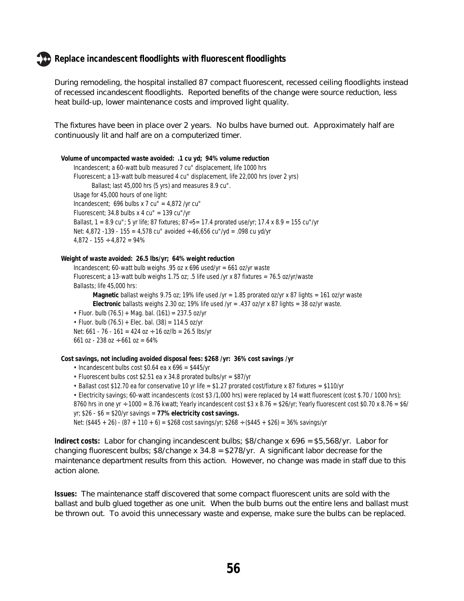#### **Replace incandescent floodlights with fluorescent floodlights**

During remodeling, the hospital installed 87 compact fluorescent, recessed ceiling floodlights instead of recessed incandescent floodlights. Reported benefits of the change were source reduction, less heat build-up, lower maintenance costs and improved light quality.

The fixtures have been in place over 2 years. No bulbs have burned out. Approximately half are continuously lit and half are on a computerized timer.

**Volume of uncompacted waste avoided: .1 cu yd; 94% volume reduction** Incandescent; a 60-watt bulb measured 7 cu" displacement, life 1000 hrs Fluorescent; a 13-watt bulb measured 4 cu" displacement, life 22,000 hrs (over 2 yrs) Ballast; last 45,000 hrs (5 yrs) and measures 8.9 cu". Usage for 45,000 hours of one light: Incandescent; 696 bulbs x 7 cu" =  $4,872$  /yr cu" Fluorescent; 34.8 bulbs x 4 cu" = 139 cu"/yr Ballast, 1 = 8.9 cu"; 5 yr life; 87 fixtures; 87÷5= 17.4 prorated use/yr; 17.4 x 8.9 = 155 cu"/yr Net: 4,872 -139 - 155 = 4,578 cu" avoided  $\div$  46,656 cu"/yd = .098 cu yd/yr  $4,872 - 155 \div 4,872 = 94\%$ 

#### **Weight of waste avoided: 26.5 lbs/yr; 64% weight reduction**

Incandescent; 60-watt bulb weighs .95 oz x 696 used/yr = 661 oz/yr waste Fluorescent; a 13-watt bulb weighs 1.75 oz; .5 life used /yr x 87 fixtures = 76.5 oz/yr/waste Ballasts; life 45,000 hrs:

**Magnetic** ballast weighs 9.75 oz; 19% life used /yr = 1.85 prorated oz/yr x 87 lights = 161 oz/yr waste **Electronic** ballasts weighs 2.30 oz; 19% life used /yr = .437 oz/yr x 87 lights = 38 oz/yr waste.

• Fluor. bulb (76.5) + Mag. bal. (161) = 237.5 oz/yr

• Fluor. bulb  $(76.5)$  + Elec. bal.  $(38)$  = 114.5 oz/yr Net:  $661 - 76 - 161 = 424$  oz  $\div$  16 oz/lb = 26.5 lbs/yr 661 oz - 238 oz ÷ 661 oz = 64%

**Cost savings, not including avoided disposal fees: \$268 /yr: 36% cost savings /yr**

```
• Incandescent bulbs cost $0.64 ea x 696 = $445/yr
```
• Fluorescent bulbs cost \$2.51 ea x 34.8 prorated bulbs/yr =  $$87/yr$ 

• Ballast cost \$12.70 ea for conservative 10 yr life = \$1.27 prorated cost/fixture x 87 fixtures = \$110/yr • Electricity savings; 60-watt incandescents (cost \$3 /1,000 hrs) were replaced by 14 watt fluorescent (cost \$.70 / 1000 hrs); 8760 hrs in one yr  $\div$  1000 = 8.76 kwatt; Yearly incandescent cost \$3 x 8.76 = \$26/yr; Yearly fluorescent cost \$0.70 x 8.76 = \$6/

yr; \$26 - \$6 = \$20/yr savings = **77% electricity cost savings.**

Net: (\$445 + 26) - (87 + 110 + 6) = \$268 cost savings/yr; \$268 ÷ (\$445 + \$26) = 36% savings/yr

**Indirect costs:** Labor for changing incandescent bulbs; \$8/change x 696 = \$5,568/yr. Labor for changing fluorescent bulbs; \$8/change x 34.8 = \$278/yr. A significant labor decrease for the maintenance department results from this action. However, no change was made in staff due to this action alone.

**Issues:** The maintenance staff discovered that some compact fluorescent units are sold with the ballast and bulb glued together as one unit. When the bulb burns out the entire lens and ballast must be thrown out. To avoid this unnecessary waste and expense, make sure the bulbs can be replaced.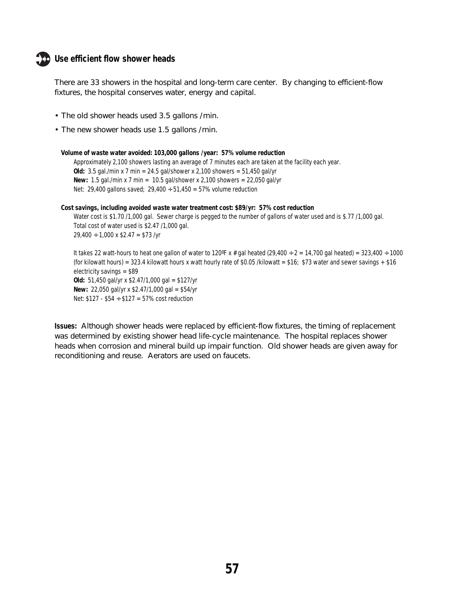#### **Use efficient flow shower heads**

There are 33 showers in the hospital and long-term care center. By changing to efficient-flow fixtures, the hospital conserves water, energy and capital.

- The old shower heads used 3.5 gallons /min.
- The new shower heads use 1.5 gallons /min.

```
Volume of waste water avoided: 103,000 gallons /year: 57% volume reduction
    Approximately 2,100 showers lasting an average of 7 minutes each are taken at the facility each year.
    Old: 3.5 gal./min x 7 min = 24.5 gal/shower x 2,100 showers = 51,450 gal/yr
    New: 1.5 gal./min x 7 min = 10.5 gal/shower x 2,100 showers = 22,050 gal/yr
    Net: 29,400 gallons saved; 29,400 \div 51,450 = 57\% volume reduction
Cost savings, including avoided waste water treatment cost: $89/yr: 57% cost reduction
    Water cost is $1.70 /1,000 gal. Sewer charge is pegged to the number of gallons of water used and is $.77 /1,000 gal.
    Total cost of water used is $2.47 /1,000 gal.
    29,400 ÷ 1,000 x $2.47 = $73 /yr
    It takes 22 watt-hours to heat one gallon of water to 120°F x # gal heated (29,400 ÷ 2 = 14,700 gal heated) = 323,400 ÷ 1000
    (for kilowatt hours) = 323.4 kilowatt hours x watt hourly rate of $0.05 /kilowatt = $16; $73 water and sewer savings + $16
    electricity savings = $89
    Old: 51,450 gal/yr x $2.47/1,000 gal = $127/yr
```
**New:** 22,050 gal/yr x \$2.47/1,000 gal = \$54/yr Net:  $$127 - $54 \div $127 = 57\% \text{ cost reduction}$ 

**Issues:** Although shower heads were replaced by efficient-flow fixtures, the timing of replacement was determined by existing shower head life-cycle maintenance. The hospital replaces shower heads when corrosion and mineral build up impair function. Old shower heads are given away for reconditioning and reuse. Aerators are used on faucets.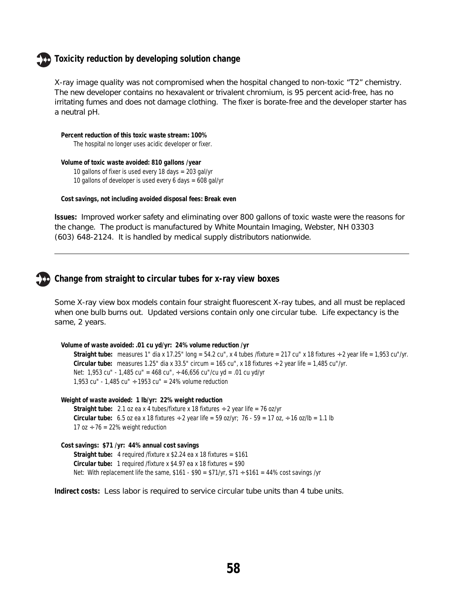#### **Toxicity reduction by developing solution change**

X-ray image quality was not compromised when the hospital changed to non-toxic "T2" chemistry. The new developer contains no hexavalent or trivalent chromium, is 95 percent acid-free, has no irritating fumes and does not damage clothing. The fixer is borate-free and the developer starter has a neutral pH.

```
Percent reduction of this toxic waste stream: 100%
    The hospital no longer uses acidic developer or fixer.
```

```
Volume of toxic waste avoided: 810 gallons /year
    10 gallons of fixer is used every 18 days = 203 gal/yr
    10 gallons of developer is used every 6 days = 608 gal/yr
```

```
Cost savings, not including avoided disposal fees: Break even
```
**Issues:** Improved worker safety and eliminating over 800 gallons of toxic waste were the reasons for the change. The product is manufactured by White Mountain Imaging, Webster, NH 03303 (603) 648-2124. It is handled by medical supply distributors nationwide.



#### **Change from straight to circular tubes for x-ray view boxes**

Some X-ray view box models contain four straight fluorescent X-ray tubes, and all must be replaced when one bulb burns out. Updated versions contain only one circular tube. Life expectancy is the same, 2 years.

```
Volume of waste avoided: .01 cu yd/yr: 24% volume reduction /yr
    Straight tube: measures 1" dia x 17.25" long = 54.2 cu", x 4 tubes /fixture = 217 cu" x 18 fixtures \div 2 year life = 1,953 cu"/yr.
    Circular tube: measures 1.25" dia x 33.5" circum = 165 cu", x 18 fixtures ÷ 2 year life = 1,485 cu"/yr.
    Net: 1,953 cu" - 1,485 cu" = 468 cu", \div 46,656 cu"/cu yd = .01 cu yd/yr
    1,953 cu" - 1,485 cu" \div 1953 cu" = 24% volume reduction
```
**Weight of waste avoided: 1 lb/yr: 22% weight reduction**

**Straight tube:** 2.1 oz ea x 4 tubes/fixture x 18 fixtures ÷ 2 year life = 76 oz/yr **Circular tube:** 6.5 oz ea x 18 fixtures  $\div$  2 year life = 59 oz/yr; 76 - 59 = 17 oz,  $\div$  16 oz/lb = 1.1 lb 17 oz  $\div$  76 = 22% weight reduction

```
Cost savings: $71 /yr: 44% annual cost savings
    Straight tube: 4 required /fixture x $2.24 ea x 18 fixtures = $161
    Circular tube: 1 required /fixture x $4.97 ea x 18 fixtures = $90
    Net: With replacement life the same, $161 - $90 = $71/yr, $71 \div $161 = 44\% cost savings /yr
```
**Indirect costs:** Less labor is required to service circular tube units than 4 tube units.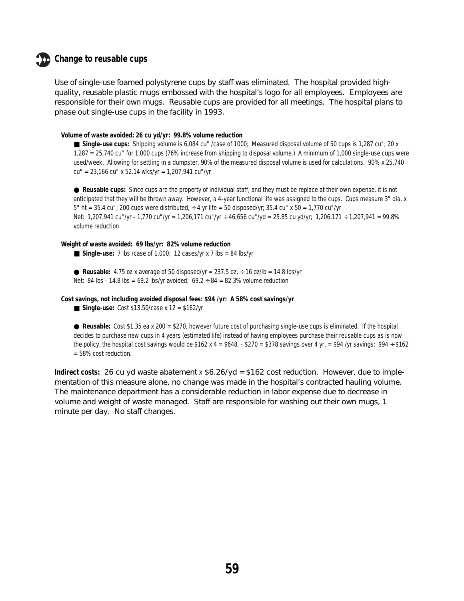#### **Change to reusable cups**

Use of single-use foamed polystyrene cups by staff was eliminated. The hospital provided highquality, reusable plastic mugs embossed with the hospital's logo for all employees. Employees are responsible for their own mugs. Reusable cups are provided for all meetings. The hospital plans to phase out single-use cups in the facility in 1993.

#### **Volume of waste avoided: 26 cu yd/yr: 99.8% volume reduction**

■ Single-use cups: Shipping volume is 6,084 cu" /case of 1000; Measured disposal volume of 50 cups is 1,287 cu"; 20 x 1,287 = 25,740 cu" for 1,000 cups (76% increase from shipping to disposal volume.) A minimum of 1,000 single-use cups were used/week. Allowing for settling in a dumpster, 90% of the measured disposal volume is used for calculations. 90% x 25,740 cu" = 23,166 cu" x 52.14 wks/yr = 1,207,941 cu"/yr

● **Reusable cups:** Since cups are the property of individual staff, and they must be replace at their own expense, it is not anticipated that they will be thrown away. However, a 4-year functional life was assigned to the cups. Cups measure 3" dia. x 5" ht = 35.4 cu"; 200 cups were distributed,  $\div$  4 yr life = 50 disposed/yr; 35.4 cu" x 50 = 1,770 cu"/yr Net: 1,207,941 cu"/yr - 1,770 cu"/yr = 1,206,171 cu"/yr ÷ 46,656 cu"/yd = 25.85 cu yd/yr; 1,206,171 ÷ 1,207,941 = 99.8% volume reduction

#### **Weight of waste avoided: 69 lbs/yr: 82% volume reduction**

- Single-use: 7 lbs /case of 1,000; 12 cases/yr x 7 lbs = 84 lbs/yr
- **Reusable:** 4.75 oz x average of 50 disposed/yr =  $237.5$  oz,  $\div$  16 oz/lb = 14.8 lbs/yr
- Net: 84 lbs 14.8 lbs = 69.2 lbs/yr avoided;  $69.2 \div 84 = 82.3\%$  volume reduction

**Cost savings, not including avoided disposal fees: \$94 /yr: A 58% cost savings/yr**

■ **Single-use:** Cost \$13.50/case x 12 = \$162/yr

● **Reusable:** Cost \$1.35 ea x 200 = \$270, however future cost of purchasing single-use cups is eliminated. If the hospital decides to purchase new cups in 4 years (estimated life) instead of having employees purchase their reusable cups as is now the policy, the hospital cost savings would be  $$162 x 4 = $648, - $270 = $378$  savings over 4 yr, = \$94 /yr savings; \$94 ÷ \$162 = 58% cost reduction.

**Indirect costs:** 26 cu yd waste abatement x  $$6.26$ /yd =  $$162$  cost reduction. However, due to implementation of this measure alone, no change was made in the hospital's contracted hauling volume. The maintenance department has a considerable reduction in labor expense due to decrease in volume and weight of waste managed. Staff are responsible for washing out their own mugs, 1 minute per day. No staff changes.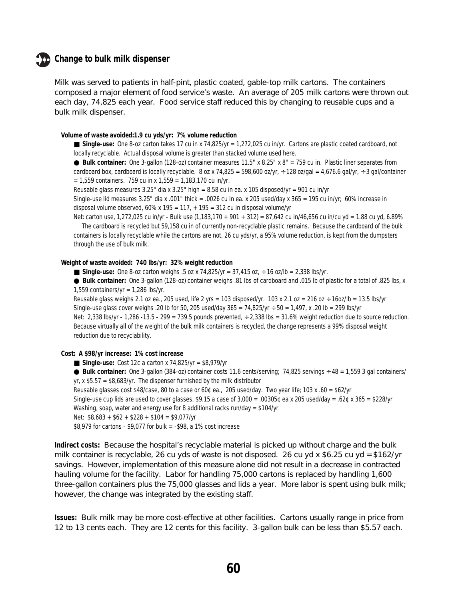#### **Change to bulk milk dispenser**

Milk was served to patients in half-pint, plastic coated, gable-top milk cartons. The containers composed a major element of food service's waste. An average of 205 milk cartons were thrown out each day, 74,825 each year. Food service staff reduced this by changing to reusable cups and a bulk milk dispenser.

#### **Volume of waste avoided:1.9 cu yds/yr: 7% volume reduction**

■ Single-use: One 8-oz carton takes 17 cu in x 74,825/yr = 1,272,025 cu in/yr. Cartons are plastic coated cardboard, not locally recyclable. Actual disposal volume is greater than stacked volume used here.

● **Bulk container:** One 3-gallon (128-oz) container measures 11.5" x 8.25" x 8" = 759 cu in. Plastic liner separates from cardboard box, cardboard is locally recyclable. 8 oz x 74,825 = 598,600 oz/yr,  $\div$  128 oz/gal = 4,676.6 gal/yr,  $\div$  3 gal/container  $= 1,559$  containers. 759 cu in x 1,559 = 1,183,170 cu in/yr.

Reusable glass measures 3.25" dia x 3.25" high = 8.58 cu in ea. x 105 disposed/yr = 901 cu in/yr

Single-use lid measures 3.25" dia x .001" thick = .0026 cu in ea. x 205 used/day x 365 = 195 cu in/yr; 60% increase in disposal volume observed, 60% x 195 = 117,  $+$  195 = 312 cu in disposal volume/yr

Net: carton use, 1,272,025 cu in/yr - Bulk use (1,183,170 + 901 + 312) = 87,642 cu in/46,656 cu in/cu yd = 1.88 cu yd, 6.89% The cardboard is recycled but 59,158 cu in of currently non-recyclable plastic remains. Because the cardboard of the bulk containers is locally recyclable while the cartons are not, 26 cu yds/yr, a 95% volume reduction, is kept from the dumpsters through the use of bulk milk.

#### **Weight of waste avoided: 740 lbs/yr: 32% weight reduction**

■ **Single-use:** One 8-oz carton weighs .5 oz x 74,825/yr = 37,415 oz, ÷ 16 oz/lb = 2,338 lbs/yr.

● **Bulk container:** One 3-gallon (128-oz) container weighs .81 lbs of cardboard and .015 lb of plastic for a total of .825 lbs, x 1,559 containers/yr =  $1,286$  lbs/yr.

Reusable glass weighs 2.1 oz ea., 205 used, life 2 yrs = 103 disposed/yr. 103 x 2.1 oz = 216 oz ÷ 16oz/lb = 13.5 lbs/yr Single-use glass cover weighs .20 lb for 50, 205 used/day  $365 = 74,825/yr \div 50 = 1,497$ , x .20 lb = 299 lbs/yr Net: 2,338 lbs/yr - 1,286 -13.5 - 299 = 739.5 pounds prevented, ÷ 2,338 lbs = 31.6% weight reduction due to source reduction. Because virtually all of the weight of the bulk milk containers is recycled, the change represents a 99% disposal weight reduction due to recyclability.

#### **Cost: A \$98/yr increase: 1% cost increase**

- ■ **Single-use:** Cost 12¢ a carton x 74,825/yr = \$8,979/yr
- **Bulk container:** One 3-gallon (384-oz) container costs 11.6 cents/serving; 74,825 servings ÷ 48 = 1,559 3 gal containers/ yr,  $x$  \$5.57 = \$8,683/yr. The dispenser furnished by the milk distributor

Reusable glasses cost \$48/case, 80 to a case or 60¢ ea., 205 used/day. Two year life; 103 x .60 = \$62/yr

Single-use cup lids are used to cover glasses, \$9.15 a case of  $3,000 = .00305$ ¢ ea x 205 used/day = .62¢ x 365 = \$228/yr Washing, soap, water and energy use for 8 additional racks run/day = \$104/yr

Net: \$8,683 + \$62 + \$228 + \$104 = \$9,077/yr

\$8,979 for cartons - \$9,077 for bulk = -\$98, a 1% cost increase

**Indirect costs:** Because the hospital's recyclable material is picked up without charge and the bulk milk container is recyclable, 26 cu yds of waste is not disposed. 26 cu yd x \$6.25 cu yd = \$162/yr savings. However, implementation of this measure alone did not result in a decrease in contracted hauling volume for the facility. Labor for handling 75,000 cartons is replaced by handling 1,600 three-gallon containers plus the 75,000 glasses and lids a year. More labor is spent using bulk milk; however, the change was integrated by the existing staff.

**Issues:** Bulk milk may be more cost-effective at other facilities. Cartons usually range in price from 12 to 13 cents each. They are 12 cents for this facility. 3-gallon bulk can be less than \$5.57 each.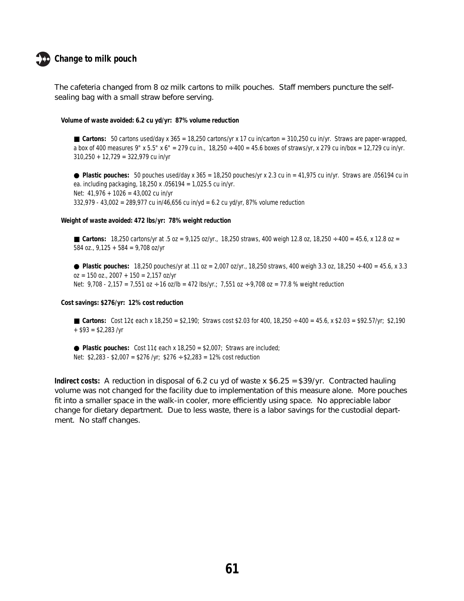

The cafeteria changed from 8 oz milk cartons to milk pouches. Staff members puncture the selfsealing bag with a small straw before serving.

#### **Volume of waste avoided: 6.2 cu yd/yr: 87% volume reduction**

**Cartons:** 50 cartons used/day x 365 = 18,250 cartons/yr x 17 cu in/carton = 310,250 cu in/yr. Straws are paper-wrapped, a box of 400 measures 9" x 5.5" x 6" = 279 cu in.,  $18,250 \div 400 = 45.6$  boxes of straws/yr, x 279 cu in/box = 12,729 cu in/yr. 310,250 + 12,729 = 322,979 cu in/yr

 $\bullet$  Plastic pouches: 50 pouches used/day x 365 = 18,250 pouches/yr x 2.3 cu in = 41,975 cu in/yr. Straws are .056194 cu in ea. including packaging, 18,250 x .056194 = 1,025.5 cu in/yr. Net: 41,976 + 1026 = 43,002 cu in/yr 332,979 - 43,002 = 289,977 cu in/46,656 cu in/yd = 6.2 cu yd/yr, 87% volume reduction

#### **Weight of waste avoided: 472 lbs/yr: 78% weight reduction**

■ Cartons:  $18,250$  cartons/yr at  $.5$  oz =  $9,125$  oz/yr.,  $18,250$  straws, 400 weigh  $12.8$  oz,  $18,250 \div 400 = 45.6$ , x  $12.8$  oz = 584 oz.,  $9,125 + 584 = 9,708$  oz/yr

● **Plastic pouches:** 18,250 pouches/yr at .11 oz = 2,007 oz/yr., 18,250 straws, 400 weigh 3.3 oz, 18,250 ÷ 400 = 45.6, x 3.3  $oz = 150 oz., 2007 + 150 = 2,157 oz/yr$ Net:  $9,708 - 2,157 = 7,551$  oz  $\div 16$  oz/lb = 472 lbs/yr.; 7,551 oz  $\div 9,708$  oz = 77.8 % weight reduction

**Cost savings: \$276/yr: 12% cost reduction**

- Cartons: Cost 12¢ each x 18,250 = \$2,190; Straws cost \$2.03 for 400, 18,250 ÷ 400 = 45.6, x \$2.03 = \$92.57/yr; \$2,190  $+$  \$93 = \$2,283 /yr
- $\bullet$  **Plastic pouches:** Cost 11¢ each x 18,250 = \$2,007; Straws are included; Net:  $$2,283 - $2,007 = $276 / yr$ ;  $$276 \div $2,283 = 12\% \text{ cost reduction}$

**Indirect costs:** A reduction in disposal of 6.2 cu yd of waste x \$6.25 = \$39/yr. Contracted hauling volume was not changed for the facility due to implementation of this measure alone. More pouches fit into a smaller space in the walk-in cooler, more efficiently using space. No appreciable labor change for dietary department. Due to less waste, there is a labor savings for the custodial department. No staff changes.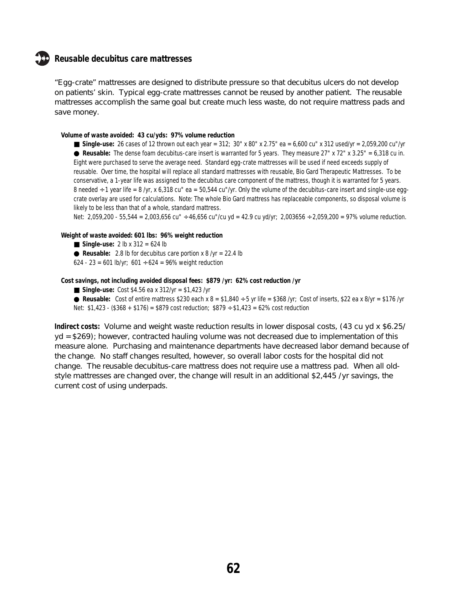#### **Reusable decubitus care mattresses**

"Egg-crate" mattresses are designed to distribute pressure so that decubitus ulcers do not develop on patients' skin. Typical egg-crate mattresses cannot be reused by another patient. The reusable mattresses accomplish the same goal but create much less waste, do not require mattress pads and save money.

#### **Volume of waste avoided: 43 cu/yds: 97% volume reduction**

■ **Single-use:** 26 cases of 12 thrown out each year = 312; 30" x 80" x 2.75" ea = 6,600 cu" x 312 used/yr = 2,059,200 cu"/yr ● **Reusable:** The dense foam decubitus-care insert is warranted for 5 years. They measure 27" x 72" x 3.25" = 6,318 cu in. Eight were purchased to serve the average need. Standard egg-crate mattresses will be used if need exceeds supply of reusable. Over time, the hospital will replace all standard mattresses with reusable, Bio Gard Therapeutic Mattresses. To be conservative, a 1-year life was assigned to the decubitus care component of the mattress, though it is warranted for 5 years. 8 needed  $\div$  1 year life = 8 /yr, x 6,318 cu" ea = 50,544 cu"/yr. Only the volume of the decubitus-care insert and single-use eggcrate overlay are used for calculations. Note: The whole Bio Gard mattress has replaceable components, so disposal volume is likely to be less than that of a whole, standard mattress.

Net: 2,059,200 - 55,544 = 2,003,656 cu" ÷ 46,656 cu"/cu yd = 42.9 cu yd/yr; 2,003656 ÷ 2,059,200 = 97% volume reduction.

#### **Weight of waste avoided: 601 lbs: 96% weight reduction**

- **Single-use:** 2 lb x 312 = 624 lb
- $\bullet$  **Reusable:** 2.8 lb for decubitus care portion x 8 /yr = 22.4 lb
- 624 23 = 601 lb/yr; 601 ÷ 624 = 96% weight reduction

#### **Cost savings, not including avoided disposal fees: \$879 /yr: 62% cost reduction /yr**

- **Single-use:** Cost \$4.56 ea x 312/yr = \$1,423 /yr
- **Reusable:** Cost of entire mattress \$230 each x  $8 = $1,840 \div 5$  yr life = \$368 /yr; Cost of inserts, \$22 ea x 8/yr = \$176 /yr Net:  $$1,423 - ($368 + $176) = $879 \text{ cost reduction}$ ;  $$879 \div $1,423 = 62\% \text{ cost reduction}$

**Indirect costs:** Volume and weight waste reduction results in lower disposal costs, (43 cu yd x \$6.25/ yd = \$269); however, contracted hauling volume was not decreased due to implementation of this measure alone. Purchasing and maintenance departments have decreased labor demand because of the change. No staff changes resulted, however, so overall labor costs for the hospital did not change. The reusable decubitus-care mattress does not require use a mattress pad. When all oldstyle mattresses are changed over, the change will result in an additional \$2,445 /yr savings, the current cost of using underpads.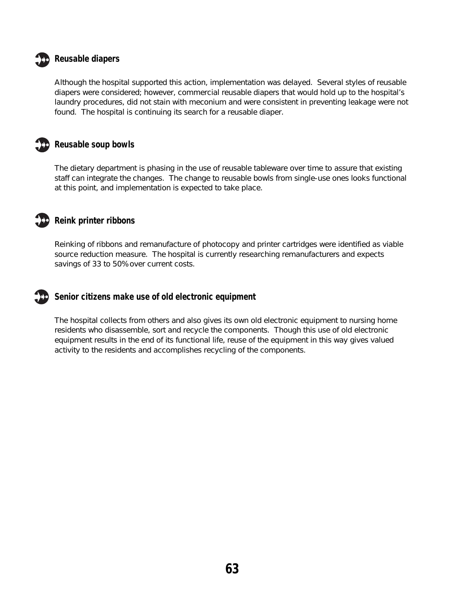

#### **Reusable diapers**

Although the hospital supported this action, implementation was delayed. Several styles of reusable diapers were considered; however, commercial reusable diapers that would hold up to the hospital's laundry procedures, did not stain with meconium and were consistent in preventing leakage were not found. The hospital is continuing its search for a reusable diaper.



#### **Reusable soup bowls**

The dietary department is phasing in the use of reusable tableware over time to assure that existing staff can integrate the changes. The change to reusable bowls from single-use ones looks functional at this point, and implementation is expected to take place.

#### **Reink printer ribbons**

Reinking of ribbons and remanufacture of photocopy and printer cartridges were identified as viable source reduction measure. The hospital is currently researching remanufacturers and expects savings of 33 to 50% over current costs.

#### **Senior citizens make use of old electronic equipment**

The hospital collects from others and also gives its own old electronic equipment to nursing home residents who disassemble, sort and recycle the components. Though this use of old electronic equipment results in the end of its functional life, reuse of the equipment in this way gives valued activity to the residents and accomplishes recycling of the components.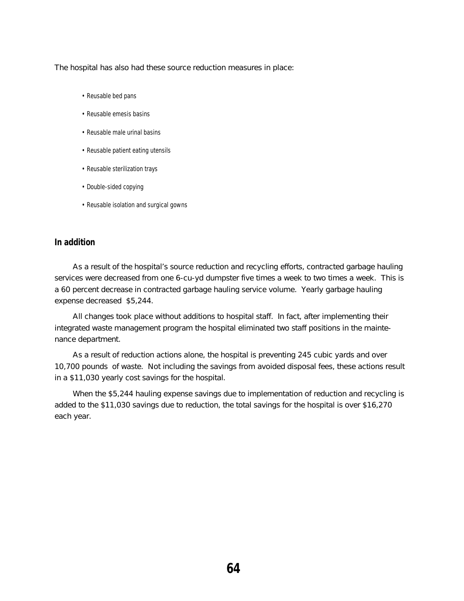The hospital has also had these source reduction measures in place:

- Reusable bed pans
- Reusable emesis basins
- Reusable male urinal basins
- Reusable patient eating utensils
- Reusable sterilization trays
- Double-sided copying
- Reusable isolation and surgical gowns

#### **In addition**

As a result of the hospital's source reduction and recycling efforts, contracted garbage hauling services were decreased from one 6-cu-yd dumpster five times a week to two times a week. This is a 60 percent decrease in contracted garbage hauling service volume. Yearly garbage hauling expense decreased \$5,244.

All changes took place without additions to hospital staff. In fact, after implementing their integrated waste management program the hospital eliminated two staff positions in the maintenance department.

As a result of reduction actions alone, the hospital is preventing 245 cubic yards and over 10,700 pounds of waste. Not including the savings from avoided disposal fees, these actions result in a \$11,030 yearly cost savings for the hospital.

When the \$5,244 hauling expense savings due to implementation of reduction and recycling is added to the \$11,030 savings due to reduction, the total savings for the hospital is over \$16,270 each year.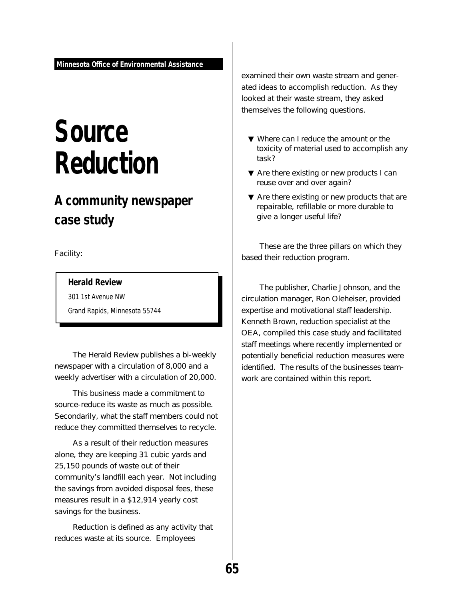## **Source Reduction**

## **A community newspaper case study**

Facility:

#### **Herald Review**

301 1st Avenue NW

Grand Rapids, Minnesota 55744

The Herald Review publishes a bi-weekly newspaper with a circulation of 8,000 and a weekly advertiser with a circulation of 20,000.

This business made a commitment to source-reduce its waste as much as possible. Secondarily, what the staff members could not reduce they committed themselves to recycle.

As a result of their reduction measures alone, they are keeping 31 cubic yards and 25,150 pounds of waste out of their community's landfill each year. Not including the savings from avoided disposal fees, these measures result in a \$12,914 yearly cost savings for the business.

Reduction is defined as any activity that reduces waste at its source. Employees

examined their own waste stream and generated ideas to accomplish reduction. As they looked at their waste stream, they asked themselves the following questions.

- ▼ Where can I reduce the amount or the toxicity of material used to accomplish any task?
- ▼ Are there existing or new products I can reuse over and over again?
- ▼ Are there existing or new products that are repairable, refillable or more durable to give a longer useful life?

These are the three pillars on which they based their reduction program.

The publisher, Charlie Johnson, and the circulation manager, Ron Oleheiser, provided expertise and motivational staff leadership. Kenneth Brown, reduction specialist at the OEA, compiled this case study and facilitated staff meetings where recently implemented or potentially beneficial reduction measures were identified. The results of the businesses teamwork are contained within this report.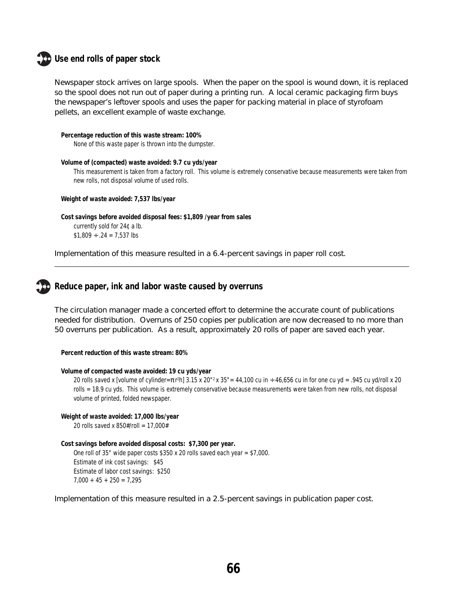#### **Use end rolls of paper stock**

Newspaper stock arrives on large spools. When the paper on the spool is wound down, it is replaced so the spool does not run out of paper during a printing run. A local ceramic packaging firm buys the newspaper's leftover spools and uses the paper for packing material in place of styrofoam pellets, an excellent example of waste exchange.

```
Percentage reduction of this waste stream: 100%
```
None of this waste paper is thrown into the dumpster.

**Volume of (compacted) waste avoided: 9.7 cu yds/year**

This measurement is taken from a factory roll. This volume is extremely conservative because measurements were taken from new rolls, not disposal volume of used rolls.

**Weight of waste avoided: 7,537 lbs/year**

```
Cost savings before avoided disposal fees: $1,809 /year from sales
    currently sold for 24¢ a lb.
    $1,809 \div .24 = 7,537 lbs
```
Implementation of this measure resulted in a 6.4-percent savings in paper roll cost.

#### **Reduce paper, ink and labor waste caused by overruns**

The circulation manager made a concerted effort to determine the accurate count of publications needed for distribution. Overruns of 250 copies per publication are now decreased to no more than 50 overruns per publication. As a result, approximately 20 rolls of paper are saved each year.

**Percent reduction of this waste stream: 80%**

```
Volume of compacted waste avoided: 19 cu yds/year
```
20 rolls saved x [volume of cylinder=π r 2 h] 3.15 x 20"2 x 35"= 44,100 cu in ÷ 46,656 cu in for one cu yd = .945 cu yd/roll x 20 rolls = 18.9 cu yds. This volume is extremely conservative because measurements were taken from new rolls, not disposal volume of printed, folded newspaper.

**Weight of waste avoided: 17,000 lbs/year**

20 rolls saved x 850#/roll = 17,000#

```
Cost savings before avoided disposal costs: $7,300 per year.
```
One roll of 35" wide paper costs \$350 x 20 rolls saved each year = \$7,000. Estimate of ink cost savings: \$45 Estimate of labor cost savings: \$250  $7,000 + 45 + 250 = 7,295$ 

Implementation of this measure resulted in a 2.5-percent savings in publication paper cost.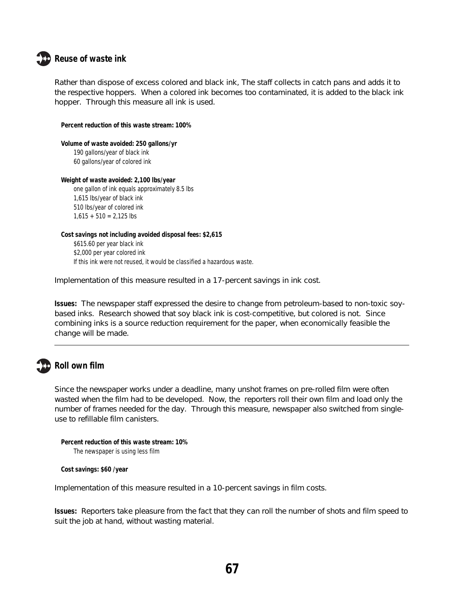

#### **Reuse of waste ink**

Rather than dispose of excess colored and black ink, The staff collects in catch pans and adds it to the respective hoppers. When a colored ink becomes too contaminated, it is added to the black ink hopper. Through this measure all ink is used.

**Percent reduction of this waste stream: 100%**

**Volume of waste avoided: 250 gallons/yr** 190 gallons/year of black ink 60 gallons/year of colored ink

**Weight of waste avoided: 2,100 lbs/year** one gallon of ink equals approximately 8.5 lbs 1,615 lbs/year of black ink 510 lbs/year of colored ink

 $1,615 + 510 = 2,125$  lbs

**Cost savings not including avoided disposal fees: \$2,615** \$615.60 per year black ink \$2,000 per year colored ink If this ink were not reused, it would be classified a hazardous waste.

Implementation of this measure resulted in a 17-percent savings in ink cost.

**Issues:** The newspaper staff expressed the desire to change from petroleum-based to non-toxic soybased inks. Research showed that soy black ink is cost-competitive, but colored is not. Since combining inks is a source reduction requirement for the paper, when economically feasible the change will be made.

### **Roll own film**

Since the newspaper works under a deadline, many unshot frames on pre-rolled film were often wasted when the film had to be developed. Now, the reporters roll their own film and load only the number of frames needed for the day. Through this measure, newspaper also switched from singleuse to refillable film canisters.

```
Percent reduction of this waste stream: 10%
    The newspaper is using less film
```
**Cost savings: \$60 /year**

Implementation of this measure resulted in a 10-percent savings in film costs.

**Issues:** Reporters take pleasure from the fact that they can roll the number of shots and film speed to suit the job at hand, without wasting material.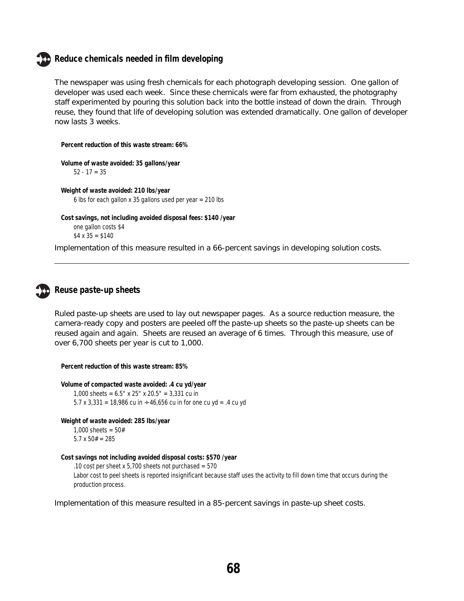### **Reduce chemicals needed in film developing**

The newspaper was using fresh chemicals for each photograph developing session. One gallon of developer was used each week. Since these chemicals were far from exhausted, the photography staff experimented by pouring this solution back into the bottle instead of down the drain. Through reuse, they found that life of developing solution was extended dramatically. One gallon of developer now lasts 3 weeks.

**Percent reduction of this waste stream: 66%**

**Volume of waste avoided: 35 gallons/year**  $52 - 17 = 35$ 

**Weight of waste avoided: 210 lbs/year** 6 lbs for each gallon x 35 gallons used per year = 210 lbs

```
Cost savings, not including avoided disposal fees: $140 /year
one gallon costs $4
$4 \times 35 = $140
```
Implementation of this measure resulted in a 66-percent savings in developing solution costs.

## **Reuse paste-up sheets**

Ruled paste-up sheets are used to lay out newspaper pages. As a source reduction measure, the camera-ready copy and posters are peeled off the paste-up sheets so the paste-up sheets can be reused again and again. Sheets are reused an average of 6 times. Through this measure, use of over 6,700 sheets per year is cut to 1,000.

**Percent reduction of this waste stream: 85%**

**Volume of compacted waste avoided: .4 cu yd/year** 1,000 sheets = 6.5" x 25" x 20.5" = 3,331 cu in 5.7 x 3,331 = 18,986 cu in ÷ 46,656 cu in for one cu yd = .4 cu yd

**Weight of waste avoided: 285 lbs/year** 1,000 sheets =  $50#$ 

5.7  $x$  50# = 285

#### **Cost savings not including avoided disposal costs: \$570 /year**

.10 cost per sheet x 5,700 sheets not purchased =  $570$ Labor cost to peel sheets is reported insignificant because staff uses the activity to fill down time that occurs during the production process.

Implementation of this measure resulted in a 85-percent savings in paste-up sheet costs.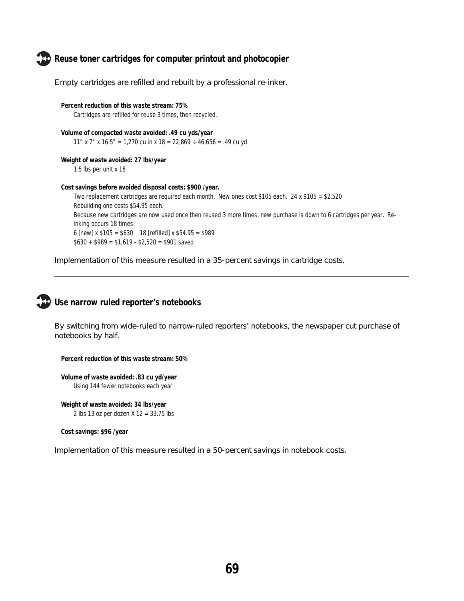**Reuse toner cartridges for computer printout and photocopier**



Empty cartridges are refilled and rebuilt by a professional re-inker.

**Percent reduction of this waste stream: 75%** Cartridges are refilled for reuse 3 times, then recycled.

**Volume of compacted waste avoided: .49 cu yds/year** 11" x 7" x 16.5" = 1,270 cu in x 18 = 22,869  $\div$  46,656 = .49 cu yd

**Weight of waste avoided: 27 lbs/year** 1.5 lbs per unit x 18

**Cost savings before avoided disposal costs: \$900 /year.**

Two replacement cartridges are required each month. New ones cost \$105 each. 24 x \$105 = \$2,520 Rebuilding one costs \$54.95 each. Because new cartridges are now used once then reused 3 more times, new purchase is down to 6 cartridges per year. Reinking occurs 18 times. 6 [new] x \$105 = \$630 18 [refilled] x \$54.95 = \$989  $$630 + $989 = $1,619 - $2,520 = $901$  saved

Implementation of this measure resulted in a 35-percent savings in cartridge costs.



## **Use narrow ruled reporter's notebooks**

By switching from wide-ruled to narrow-ruled reporters' notebooks, the newspaper cut purchase of notebooks by half.

**Percent reduction of this waste stream: 50%**

**Volume of waste avoided: .83 cu yd/year** Using 144 fewer notebooks each year

**Weight of waste avoided: 34 lbs/year** 2 lbs 13 oz per dozen X 12 = 33.75 lbs

**Cost savings: \$96 /year**

Implementation of this measure resulted in a 50-percent savings in notebook costs.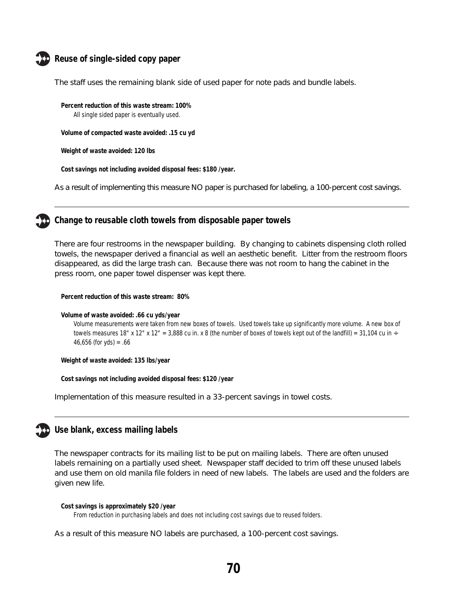

## **Reuse of single-sided copy paper**

The staff uses the remaining blank side of used paper for note pads and bundle labels.

**Percent reduction of this waste stream: 100%** All single sided paper is eventually used.

**Volume of compacted waste avoided: .15 cu yd**

**Weight of waste avoided: 120 lbs**

**Cost savings not including avoided disposal fees: \$180 /year.**

As a result of implementing this measure NO paper is purchased for labeling, a 100-percent cost savings.



### **Change to reusable cloth towels from disposable paper towels**

There are four restrooms in the newspaper building. By changing to cabinets dispensing cloth rolled towels, the newspaper derived a financial as well an aesthetic benefit. Litter from the restroom floors disappeared, as did the large trash can. Because there was not room to hang the cabinet in the press room, one paper towel dispenser was kept there.

**Percent reduction of this waste stream: 80%**

**Volume of waste avoided: .66 cu yds/year**

Volume measurements were taken from new boxes of towels. Used towels take up significantly more volume. A new box of towels measures 18" x 12" x 12" = 3,888 cu in. x 8 (the number of boxes of towels kept out of the landfill) = 31,104 cu in  $\div$ 46,656 (for yds) = .66

**Weight of waste avoided: 135 lbs/year**

**Cost savings not including avoided disposal fees: \$120 /year**

Implementation of this measure resulted in a 33-percent savings in towel costs.



### **Use blank, excess mailing labels**

The newspaper contracts for its mailing list to be put on mailing labels. There are often unused labels remaining on a partially used sheet. Newspaper staff decided to trim off these unused labels and use them on old manila file folders in need of new labels. The labels are used and the folders are given new life.

```
Cost savings is approximately $20 /year
```
From reduction in purchasing labels and does not including cost savings due to reused folders.

As a result of this measure NO labels are purchased, a 100-percent cost savings.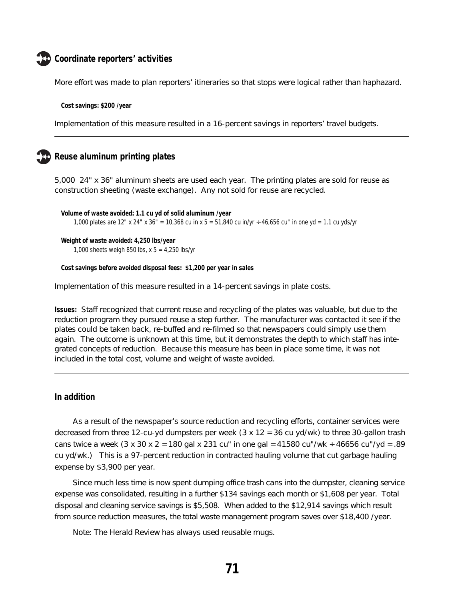## **Coordinate reporters' activities**

More effort was made to plan reporters' itineraries so that stops were logical rather than haphazard.

**Cost savings: \$200 /year**

Implementation of this measure resulted in a 16-percent savings in reporters' travel budgets.

## **Reuse aluminum printing plates**

5,000 24" x 36" aluminum sheets are used each year. The printing plates are sold for reuse as construction sheeting (waste exchange). Any not sold for reuse are recycled.

```
Volume of waste avoided: 1.1 cu yd of solid aluminum /year
1,000 plates are 12" x 24" x 36" = 10,368 cu in x 5 = 51,840 cu in/yr ÷ 46,656 cu" in one yd = 1.1 cu yds/yr
```

```
Weight of waste avoided: 4,250 lbs/year
1,000 sheets weigh 850 lbs, x 5 = 4,250 lbs/yr
```
**Cost savings before avoided disposal fees: \$1,200 per year in sales**

Implementation of this measure resulted in a 14-percent savings in plate costs.

**Issues:** Staff recognized that current reuse and recycling of the plates was valuable, but due to the reduction program they pursued reuse a step further. The manufacturer was contacted it see if the plates could be taken back, re-buffed and re-filmed so that newspapers could simply use them again. The outcome is unknown at this time, but it demonstrates the depth to which staff has integrated concepts of reduction. Because this measure has been in place some time, it was not included in the total cost, volume and weight of waste avoided.

### **In addition**

As a result of the newspaper's source reduction and recycling efforts, container services were decreased from three 12-cu-yd dumpsters per week  $(3 \times 12 = 36 \text{ cu yd/wk})$  to three 30-gallon trash cans twice a week  $(3 \times 30 \times 2 = 180$  gal  $\times 231$  cu" in one gal = 41580 cu"/wk ÷ 46656 cu"/yd = .89 cu yd/wk.) This is a 97-percent reduction in contracted hauling volume that cut garbage hauling expense by \$3,900 per year.

Since much less time is now spent dumping office trash cans into the dumpster, cleaning service expense was consolidated, resulting in a further \$134 savings each month or \$1,608 per year. Total disposal and cleaning service savings is \$5,508. When added to the \$12,914 savings which result from source reduction measures, the total waste management program saves over \$18,400 /year.

Note: The Herald Review has always used reusable mugs.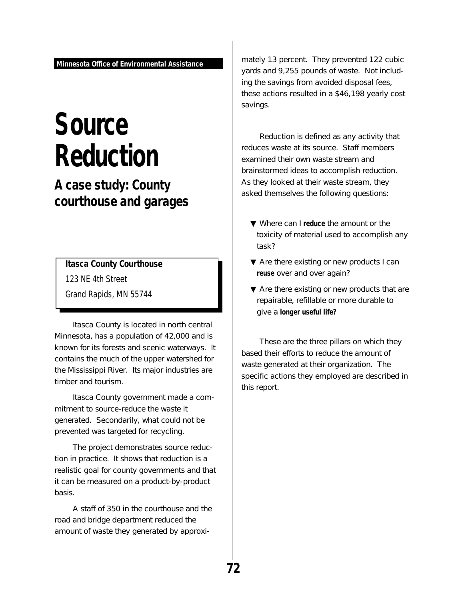# **Source Reduction**

**A case study: County courthouse and garages**

**Itasca County Courthouse**

123 NE 4th Street

Grand Rapids, MN 55744

Itasca County is located in north central Minnesota, has a population of 42,000 and is known for its forests and scenic waterways. It contains the much of the upper watershed for the Mississippi River. Its major industries are timber and tourism.

Itasca County government made a commitment to source-reduce the waste it generated. Secondarily, what could not be prevented was targeted for recycling.

The project demonstrates source reduction in practice. It shows that reduction is a realistic goal for county governments and that it can be measured on a product-by-product basis.

A staff of 350 in the courthouse and the road and bridge department reduced the amount of waste they generated by approximately 13 percent. They prevented 122 cubic yards and 9,255 pounds of waste. Not including the savings from avoided disposal fees, these actions resulted in a \$46,198 yearly cost savings.

Reduction is defined as any activity that reduces waste at its source. Staff members examined their own waste stream and brainstormed ideas to accomplish reduction. As they looked at their waste stream, they asked themselves the following questions:

- ▼ Where can I **reduce** the amount or the toxicity of material used to accomplish any task?
- ▼ Are there existing or new products I can **reuse** over and over again?
- ▼ Are there existing or new products that are repairable, refillable or more durable to give a **longer useful life?**

These are the three pillars on which they based their efforts to reduce the amount of waste generated at their organization. The specific actions they employed are described in this report.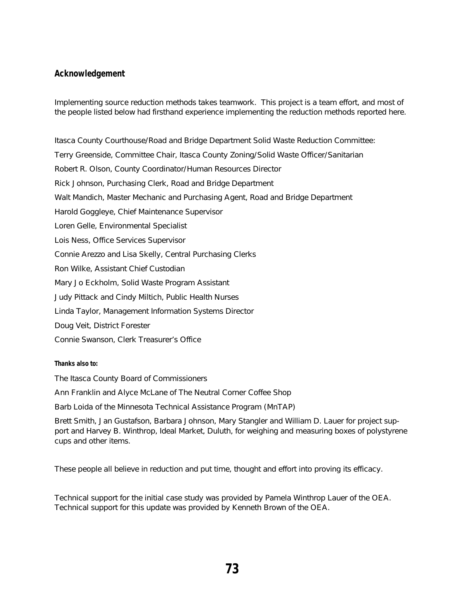### **Acknowledgement**

Implementing source reduction methods takes teamwork. This project is a team effort, and most of the people listed below had firsthand experience implementing the reduction methods reported here.

Itasca County Courthouse/Road and Bridge Department Solid Waste Reduction Committee: Terry Greenside, Committee Chair, Itasca County Zoning/Solid Waste Officer/Sanitarian Robert R. Olson, County Coordinator/Human Resources Director Rick Johnson, Purchasing Clerk, Road and Bridge Department Walt Mandich, Master Mechanic and Purchasing Agent, Road and Bridge Department Harold Goggleye, Chief Maintenance Supervisor Loren Gelle, Environmental Specialist Lois Ness, Office Services Supervisor Connie Arezzo and Lisa Skelly, Central Purchasing Clerks Ron Wilke, Assistant Chief Custodian Mary Jo Eckholm, Solid Waste Program Assistant Judy Pittack and Cindy Miltich, Public Health Nurses Linda Taylor, Management Information Systems Director Doug Veit, District Forester Connie Swanson, Clerk Treasurer's Office

#### **Thanks also to:**

The Itasca County Board of Commissioners

Ann Franklin and Alyce McLane of The Neutral Corner Coffee Shop

Barb Loida of the Minnesota Technical Assistance Program (MnTAP)

Brett Smith, Jan Gustafson, Barbara Johnson, Mary Stangler and William D. Lauer for project support and Harvey B. Winthrop, Ideal Market, Duluth, for weighing and measuring boxes of polystyrene cups and other items.

These people all believe in reduction and put time, thought and effort into proving its efficacy.

Technical support for the initial case study was provided by Pamela Winthrop Lauer of the OEA. Technical support for this update was provided by Kenneth Brown of the OEA.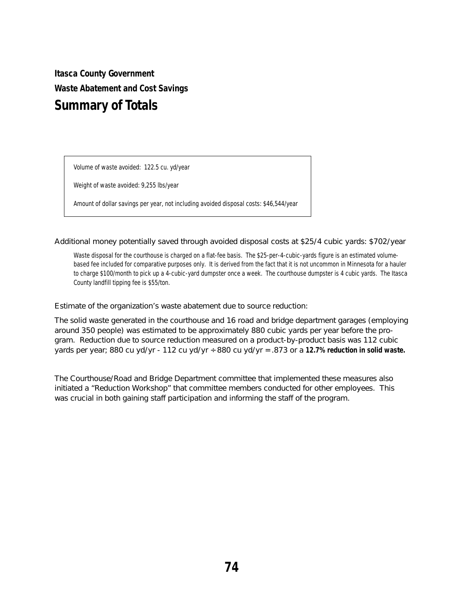**Itasca County Government Waste Abatement and Cost Savings Summary of Totals**

Volume of waste avoided: 122.5 cu. yd/year

Weight of waste avoided: 9,255 lbs/year

Amount of dollar savings per year, not including avoided disposal costs: \$46,544/year

Additional money potentially saved through avoided disposal costs at \$25/4 cubic yards: \$702/year

Waste disposal for the courthouse is charged on a flat-fee basis. The \$25-per-4-cubic-yards figure is an estimated volumebased fee included for comparative purposes only. It is derived from the fact that it is not uncommon in Minnesota for a hauler to charge \$100/month to pick up a 4-cubic-yard dumpster once a week. The courthouse dumpster is 4 cubic yards. The Itasca County landfill tipping fee is \$55/ton.

Estimate of the organization's waste abatement due to source reduction:

The solid waste generated in the courthouse and 16 road and bridge department garages (employing around 350 people) was estimated to be approximately 880 cubic yards per year before the program. Reduction due to source reduction measured on a product-by-product basis was 112 cubic yards per year; 880 cu yd/yr - 112 cu yd/yr ÷ 880 cu yd/yr = .873 or a **12.7% reduction in solid waste.**

The Courthouse/Road and Bridge Department committee that implemented these measures also initiated a "Reduction Workshop" that committee members conducted for other employees. This was crucial in both gaining staff participation and informing the staff of the program.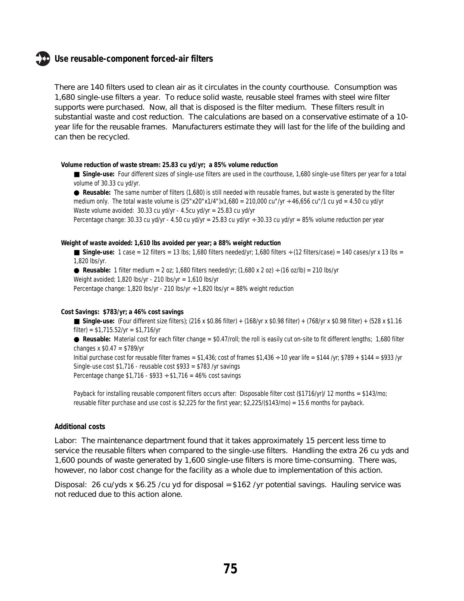### **Use reusable-component forced-air filters**

There are 140 filters used to clean air as it circulates in the county courthouse. Consumption was 1,680 single-use filters a year. To reduce solid waste, reusable steel frames with steel wire filter supports were purchased. Now, all that is disposed is the filter medium. These filters result in substantial waste and cost reduction. The calculations are based on a conservative estimate of a 10 year life for the reusable frames. Manufacturers estimate they will last for the life of the building and can then be recycled.

#### **Volume reduction of waste stream: 25.83 cu yd/yr; a 85% volume reduction**

■ **Single-use:** Four different sizes of single-use filters are used in the courthouse, 1,680 single-use filters per year for a total volume of 30.33 cu yd/yr.

● **Reusable:** The same number of filters (1,680) is still needed with reusable frames, but waste is generated by the filter medium only. The total waste volume is  $(25"x20"x1/4")x1,680 = 210,000$  cu"/yr ÷ 46,656 cu"/1 cu yd = 4.50 cu yd/yr Waste volume avoided: 30.33 cu yd/yr - 4.5cu yd/yr = 25.83 cu yd/yr

Percentage change: 30.33 cu yd/yr - 4.50 cu yd/yr = 25.83 cu yd/yr ÷ 30.33 cu yd/yr = 85% volume reduction per year

### **Weight of waste avoided: 1,610 lbs avoided per year; a 88% weight reduction**

**Single-use:**  $1 \text{ case} = 12 \text{ filters} = 13 \text{ lbs}; 1,680 \text{ filters} \text{ needed/yr}; 1,680 \text{ filters} \div (12 \text{ filters/case}) = 140 \text{ cases/yr x } 13 \text{ lbs} = 140 \text{ days}$ 1,820 lbs/yr.

 $\bullet$  **Reusable:** 1 filter medium = 2 oz; 1,680 filters needed/yr; (1,680 x 2 oz) ÷ (16 oz/lb) = 210 lbs/yr Weight avoided; 1,820 lbs/yr - 210 lbs/yr = 1,610 lbs/yr

Percentage change: 1,820 lbs/yr - 210 lbs/yr ÷ 1,820 lbs/yr = 88% weight reduction

#### **Cost Savings: \$783/yr; a 46% cost savings**

■ **Single-use:** (Four different size filters); (216 x \$0.86 filter) + (168/yr x \$0.98 filter) + (768/yr x \$0.98 filter) + (528 x \$1.16 filter) =  $$1,715.52/yr = $1,716/yr$ ● **Reusable:** Material cost for each filter change = \$0.47/roll; the roll is easily cut on-site to fit different lengths; 1,680 filter changes x  $$0.47 = $789/yr$ 

Initial purchase cost for reusable filter frames = \$1,436; cost of frames \$1,436  $\div$  10 year life = \$144 /yr; \$789 + \$144 = \$933 /yr Single-use cost \$1,716 - reusable cost \$933 = \$783 /yr savings Percentage change \$1,716 - \$933 ÷ \$1,716 = 46% cost savings

Payback for installing reusable component filters occurs after: Disposable filter cost (\$1716/yr)/ 12 months = \$143/mo; reusable filter purchase and use cost is \$2,225 for the first year; \$2,225/(\$143/mo) = 15.6 months for payback.

#### **Additional costs**

Labor: The maintenance department found that it takes approximately 15 percent less time to service the reusable filters when compared to the single-use filters. Handling the extra 26 cu yds and 1,600 pounds of waste generated by 1,600 single-use filters is more time-consuming. There was, however, no labor cost change for the facility as a whole due to implementation of this action.

Disposal: 26 cu/yds x  $$6.25$ /cu yd for disposal =  $$162$ /yr potential savings. Hauling service was not reduced due to this action alone.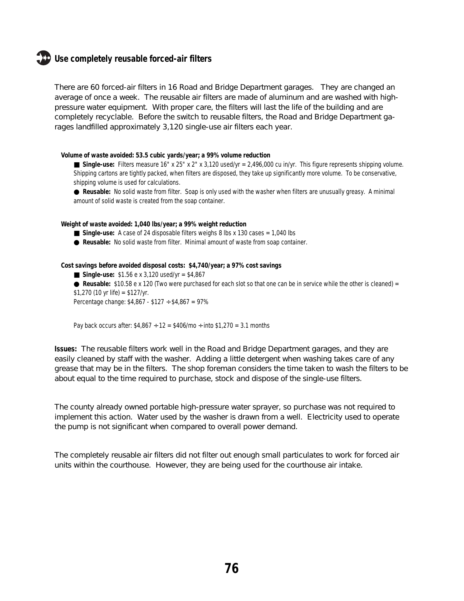### **Use completely reusable forced-air filters**

There are 60 forced-air filters in 16 Road and Bridge Department garages. They are changed an average of once a week. The reusable air filters are made of aluminum and are washed with highpressure water equipment. With proper care, the filters will last the life of the building and are completely recyclable. Before the switch to reusable filters, the Road and Bridge Department garages landfilled approximately 3,120 single-use air filters each year.

#### **Volume of waste avoided: 53.5 cubic yards/year; a 99% volume reduction**

■ **Single-use:** Filters measure 16" x 25" x 2" x 3,120 used/yr = 2,496,000 cu in/yr. This figure represents shipping volume. Shipping cartons are tightly packed, when filters are disposed, they take up significantly more volume. To be conservative, shipping volume is used for calculations.

● **Reusable:** No solid waste from filter. Soap is only used with the washer when filters are unusually greasy. A minimal amount of solid waste is created from the soap container.

**Weight of waste avoided: 1,040 lbs/year; a 99% weight reduction**

- **Single-use:** A case of 24 disposable filters weighs 8 lbs x 130 cases = 1,040 lbs
- **Reusable:** No solid waste from filter. Minimal amount of waste from soap container.

**Cost savings before avoided disposal costs: \$4,740/year; a 97% cost savings**

- $\blacksquare$  Single-use: \$1.56 e x 3,120 used/yr = \$4,867
- **Reusable:** \$10.58 e x 120 (Two were purchased for each slot so that one can be in service while the other is cleaned) =  $$1,270$  (10 yr life) =  $$127/yr$ .

Percentage change: \$4,867 - \$127 ÷ \$4,867 = 97%

Pay back occurs after:  $$4,867 \div 12 = $406/mo \div into $1,270 = 3.1$  months

**Issues:** The reusable filters work well in the Road and Bridge Department garages, and they are easily cleaned by staff with the washer. Adding a little detergent when washing takes care of any grease that may be in the filters. The shop foreman considers the time taken to wash the filters to be about equal to the time required to purchase, stock and dispose of the single-use filters.

The county already owned portable high-pressure water sprayer, so purchase was not required to implement this action. Water used by the washer is drawn from a well. Electricity used to operate the pump is not significant when compared to overall power demand.

The completely reusable air filters did not filter out enough small particulates to work for forced air units within the courthouse. However, they are being used for the courthouse air intake.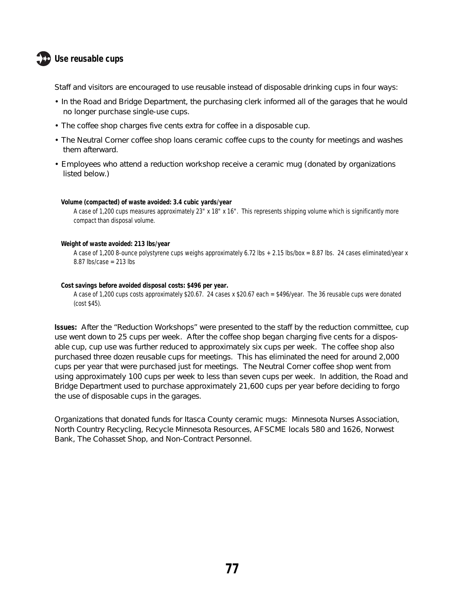## **Use reusable cups**

Staff and visitors are encouraged to use reusable instead of disposable drinking cups in four ways:

- In the Road and Bridge Department, the purchasing clerk informed all of the garages that he would no longer purchase single-use cups.
- The coffee shop charges five cents extra for coffee in a disposable cup.
- The Neutral Corner coffee shop loans ceramic coffee cups to the county for meetings and washes them afterward.
- Employees who attend a reduction workshop receive a ceramic mug (donated by organizations listed below.)

#### **Volume (compacted) of waste avoided: 3.4 cubic yards/year**

A case of 1,200 cups measures approximately 23" x 18" x 16". This represents shipping volume which is significantly more compact than disposal volume.

#### **Weight of waste avoided: 213 lbs/year**

A case of 1,200 8-ounce polystyrene cups weighs approximately 6.72 lbs + 2.15 lbs/box = 8.87 lbs. 24 cases eliminated/year x 8.87 lbs/case = 213 lbs

#### **Cost savings before avoided disposal costs: \$496 per year.**

A case of 1,200 cups costs approximately \$20.67. 24 cases x \$20.67 each = \$496/year. The 36 reusable cups were donated (cost \$45).

**Issues:** After the "Reduction Workshops" were presented to the staff by the reduction committee, cup use went down to 25 cups per week. After the coffee shop began charging five cents for a disposable cup, cup use was further reduced to approximately six cups per week. The coffee shop also purchased three dozen reusable cups for meetings. This has eliminated the need for around 2,000 cups per year that were purchased just for meetings. The Neutral Corner coffee shop went from using approximately 100 cups per week to less than seven cups per week. In addition, the Road and Bridge Department used to purchase approximately 21,600 cups per year before deciding to forgo the use of disposable cups in the garages.

Organizations that donated funds for Itasca County ceramic mugs: Minnesota Nurses Association, North Country Recycling, Recycle Minnesota Resources, AFSCME locals 580 and 1626, Norwest Bank, The Cohasset Shop, and Non-Contract Personnel.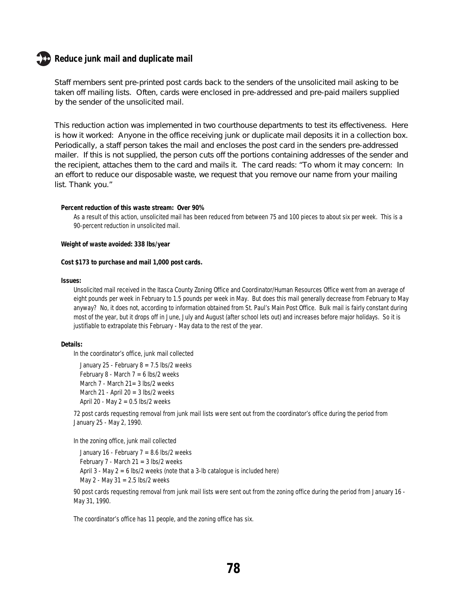### **Reduce junk mail and duplicate mail**

Staff members sent pre-printed post cards back to the senders of the unsolicited mail asking to be taken off mailing lists. Often, cards were enclosed in pre-addressed and pre-paid mailers supplied by the sender of the unsolicited mail.

This reduction action was implemented in two courthouse departments to test its effectiveness. Here is how it worked: Anyone in the office receiving junk or duplicate mail deposits it in a collection box. Periodically, a staff person takes the mail and encloses the post card in the senders pre-addressed mailer. If this is not supplied, the person cuts off the portions containing addresses of the sender and the recipient, attaches them to the card and mails it. The card reads: "To whom it may concern: In an effort to reduce our disposable waste, we request that you remove our name from your mailing list. Thank you."

#### **Percent reduction of this waste stream: Over 90%**

As a result of this action, unsolicited mail has been reduced from between 75 and 100 pieces to about six per week. This is a 90-percent reduction in unsolicited mail.

**Weight of waste avoided: 338 lbs/year**

#### **Cost \$173 to purchase and mail 1,000 post cards.**

#### **Issues:**

Unsolicited mail received in the Itasca County Zoning Office and Coordinator/Human Resources Office went from an average of eight pounds per week in February to 1.5 pounds per week in May. But does this mail generally decrease from February to May anyway? No, it does not, according to information obtained from St. Paul's Main Post Office. Bulk mail is fairly constant during most of the year, but it drops off in June, July and August (after school lets out) and increases before major holidays. So it is justifiable to extrapolate this February - May data to the rest of the year.

#### **Details:**

In the coordinator's office, junk mail collected

January 25 - February  $8 = 7.5$  lbs/2 weeks February 8 - March  $7 = 6$  lbs/2 weeks March 7 - March 21 = 3 lbs/2 weeks March 21 - April 20 =  $3$  lbs/2 weeks April 20 - May  $2 = 0.5$  lbs/2 weeks

72 post cards requesting removal from junk mail lists were sent out from the coordinator's office during the period from January 25 - May 2, 1990.

In the zoning office, junk mail collected

January 16 - February  $7 = 8.6$  lbs/2 weeks February 7 - March 21 = 3 lbs/2 weeks April 3 - May 2 = 6 lbs/2 weeks (note that a 3-lb catalogue is included here) May 2 - May 31 = 2.5 lbs/2 weeks

90 post cards requesting removal from junk mail lists were sent out from the zoning office during the period from January 16 - May 31, 1990.

The coordinator's office has 11 people, and the zoning office has six.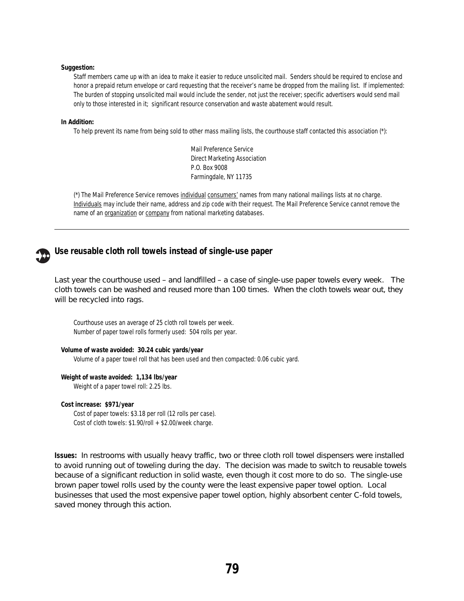#### **Suggestion:**

Staff members came up with an idea to make it easier to reduce unsolicited mail. Senders should be required to enclose and honor a prepaid return envelope or card requesting that the receiver's name be dropped from the mailing list. If implemented: The burden of stopping unsolicited mail would include the sender, not just the receiver; specific advertisers would send mail only to those interested in it; significant resource conservation and waste abatement would result.

#### **In Addition:**

To help prevent its name from being sold to other mass mailing lists, the courthouse staff contacted this association (\*):

Mail Preference Service Direct Marketing Association P.O. Box 9008 Farmingdale, NY 11735

(\*) The Mail Preference Service removes individual consumers' names from many national mailings lists at no charge. Individuals may include their name, address and zip code with their request. The Mail Preference Service cannot remove the name of an organization or company from national marketing databases.



### **Use reusable cloth roll towels instead of single-use paper**

Last year the courthouse used – and landfilled – a case of single-use paper towels every week. The cloth towels can be washed and reused more than 100 times. When the cloth towels wear out, they will be recycled into rags.

Courthouse uses an average of 25 cloth roll towels per week. Number of paper towel rolls formerly used: 504 rolls per year.

**Volume of waste avoided: 30.24 cubic yards/year** Volume of a paper towel roll that has been used and then compacted: 0.06 cubic yard.

**Weight of waste avoided: 1,134 lbs/year**

Weight of a paper towel roll: 2.25 lbs.

#### **Cost increase: \$971/year**

Cost of paper towels: \$3.18 per roll (12 rolls per case). Cost of cloth towels: \$1.90/roll + \$2.00/week charge.

**Issues:** In restrooms with usually heavy traffic, two or three cloth roll towel dispensers were installed to avoid running out of toweling during the day. The decision was made to switch to reusable towels because of a significant reduction in solid waste, even though it cost more to do so. The single-use brown paper towel rolls used by the county were the least expensive paper towel option. Local businesses that used the most expensive paper towel option, highly absorbent center C-fold towels, saved money through this action.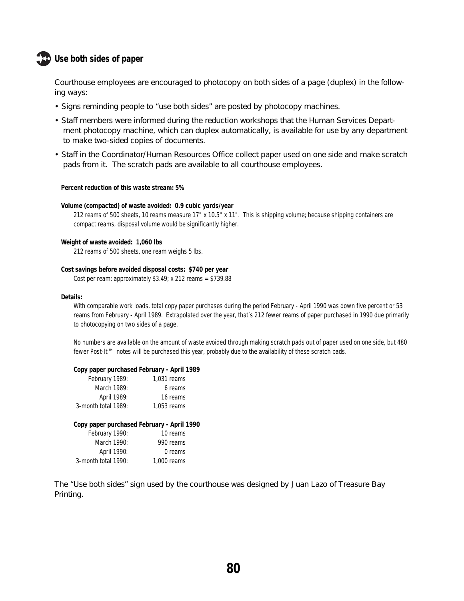## **Use both sides of paper**

Courthouse employees are encouraged to photocopy on both sides of a page (duplex) in the following ways:

- Signs reminding people to "use both sides" are posted by photocopy machines.
- Staff members were informed during the reduction workshops that the Human Services Department photocopy machine, which can duplex automatically, is available for use by any department to make two-sided copies of documents.
- Staff in the Coordinator/Human Resources Office collect paper used on one side and make scratch pads from it. The scratch pads are available to all courthouse employees.

#### **Percent reduction of this waste stream: 5%**

#### **Volume (compacted) of waste avoided: 0.9 cubic yards/year**

212 reams of 500 sheets, 10 reams measure 17" x 10.5" x 11". This is shipping volume; because shipping containers are compact reams, disposal volume would be significantly higher.

#### **Weight of waste avoided: 1,060 lbs**

212 reams of 500 sheets, one ream weighs 5 lbs.

#### **Cost savings before avoided disposal costs: \$740 per year**

Cost per ream: approximately \$3.49; x 212 reams = \$739.88

#### **Details:**

With comparable work loads, total copy paper purchases during the period February - April 1990 was down five percent or 53 reams from February - April 1989. Extrapolated over the year, that's 212 fewer reams of paper purchased in 1990 due primarily to photocopying on two sides of a page.

No numbers are available on the amount of waste avoided through making scratch pads out of paper used on one side, but 480 fewer Post-It™ notes will be purchased this year, probably due to the availability of these scratch pads.

#### **Copy paper purchased February - April 1989**

| 1.031 reams |
|-------------|
| 6 reams     |
| 16 reams    |
| 1.053 reams |
|             |

#### **Copy paper purchased February - April 1990**

| February 1990:      | 10 reams    |
|---------------------|-------------|
| March 1990:         | 990 reams   |
| April 1990:         | 0 reams     |
| 3-month total 1990: | 1,000 reams |

The "Use both sides" sign used by the courthouse was designed by Juan Lazo of Treasure Bay Printing.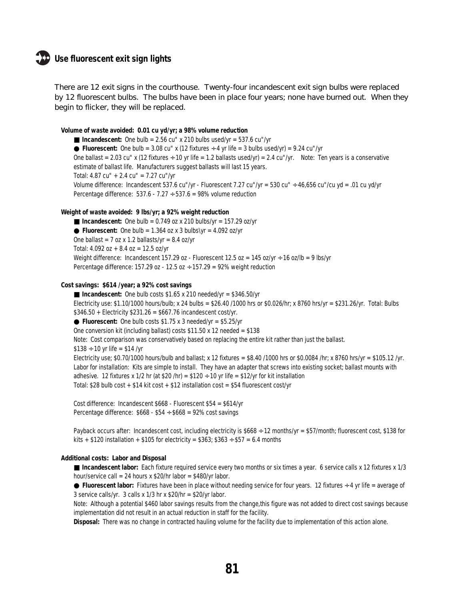### **Use fluorescent exit sign lights**

There are 12 exit signs in the courthouse. Twenty-four incandescent exit sign bulbs were replaced by 12 fluorescent bulbs. The bulbs have been in place four years; none have burned out. When they begin to flicker, they will be replaced.

#### **Volume of waste avoided: 0.01 cu yd/yr; a 98% volume reduction**

 $\blacksquare$  **Incandescent:** One bulb = 2.56 cu" x 210 bulbs used/yr = 537.6 cu"/yr **• Fluorescent:** One bulb =  $3.08 \text{ cu}^{\text{u}}$  x (12 fixtures  $\div$  4 yr life =  $3$  bulbs used/yr) =  $9.24 \text{ cu}^{\text{u}}$ /yr One ballast = 2.03 cu" x (12 fixtures  $\div$  10 yr life = 1.2 ballasts used/yr) = 2.4 cu"/yr. Note: Ten years is a conservative estimate of ballast life. Manufacturers suggest ballasts will last 15 years. Total: 4.87 cu" + 2.4 cu" = 7.27 cu"/yr Volume difference: Incandescent 537.6 cu"/yr - Fluorescent 7.27 cu"/yr = 530 cu" ÷ 46,656 cu"/cu yd = .01 cu yd/yr Percentage difference:  $537.6 - 7.27 \div 537.6 = 98\%$  volume reduction

#### **Weight of waste avoided: 9 lbs/yr; a 92% weight reduction**

 $\blacksquare$  **Incandescent:** One bulb = 0.749 oz x 210 bulbs/yr = 157.29 oz/yr  $\bullet$  **Fluorescent:** One bulb = 1.364 oz x 3 bulbs\yr = 4.092 oz/yr One ballast = 7 oz x 1.2 ballasts/yr = 8.4 oz/yr Total:  $4.092$  oz +  $8.4$  oz = 12.5 oz/yr Weight difference: Incandescent 157.29 oz - Fluorescent 12.5 oz = 145 oz/yr ÷ 16 oz/lb = 9 lbs/yr Percentage difference: 157.29 oz - 12.5 oz  $\div$  157.29 = 92% weight reduction

#### **Cost savings: \$614 /year; a 92% cost savings**

 $\blacksquare$  **Incandescent:** One bulb costs \$1.65 x 210 needed/yr = \$346.50/yr Electricity use: \$1.10/1000 hours/bulb; x 24 bulbs = \$26.40 /1000 hrs or \$0.026/hr; x 8760 hrs/yr = \$231.26/yr. Total: Bulbs  $$346.50 + Electricity $231.26 = $667.76$  incandescent cost/yr. ● **Fluorescent:** One bulb costs \$1.75 x 3 needed/yr = \$5.25/yr One conversion kit (including ballast) costs \$11.50 x 12 needed = \$138 Note: Cost comparison was conservatively based on replacing the entire kit rather than just the ballast.  $$138 \div 10$  yr life = \$14 /yr Electricity use; \$0.70/1000 hours/bulb and ballast; x 12 fixtures = \$8.40 /1000 hrs or \$0.0084 /hr; x 8760 hrs/yr = \$105.12 /yr. Labor for installation: Kits are simple to install. They have an adapter that screws into existing socket; ballast mounts with adhesive. 12 fixtures x 1/2 hr (at \$20 /hr) = \$120  $\div$  10 yr life = \$12/yr for kit installation Total: \$28 bulb cost + \$14 kit cost + \$12 installation cost = \$54 fluorescent cost/yr

Cost difference: Incandescent \$668 - Fluorescent \$54 = \$614/yr Percentage difference:  $$668 - $54 \div $668 = 92\% \text{ cost savings}$ 

Payback occurs after: Incandescent cost, including electricity is  $$668 \div 12$  months/yr = \$57/month; fluorescent cost, \$138 for kits + \$120 installation + \$105 for electricity = \$363; \$363  $\div$  \$57 = 6.4 months

#### **Additional costs: Labor and Disposal**

■ **Incandescent labor**: Each fixture required service every two months or six times a year. 6 service calls x 12 fixtures x 1/3 hour/service call = 24 hours x \$20/hr labor = \$480/yr labor.

● **Fluorescent labor:** Fixtures have been in place without needing service for four years. 12 fixtures ÷ 4 yr life = average of 3 service calls/yr. 3 calls x  $1/3$  hr x  $$20/hr = $20/yr$  labor.

Note: Although a potential \$460 labor savings results from the change,this figure was not added to direct cost savings because implementation did not result in an actual reduction in staff for the facility.

**Disposal:** There was no change in contracted hauling volume for the facility due to implementation of this action alone.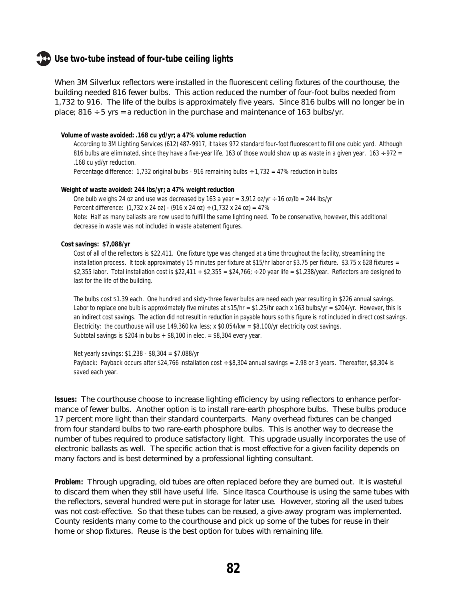### **Use two-tube instead of four-tube ceiling lights**

When 3M Silverlux reflectors were installed in the fluorescent ceiling fixtures of the courthouse, the building needed 816 fewer bulbs. This action reduced the number of four-foot bulbs needed from 1,732 to 916. The life of the bulbs is approximately five years. Since 816 bulbs will no longer be in place;  $816 \div 5$  yrs = a reduction in the purchase and maintenance of 163 bulbs/yr.

#### **Volume of waste avoided: .168 cu yd/yr; a 47% volume reduction**

According to 3M Lighting Services (612) 487-9917, it takes 972 standard four-foot fluorescent to fill one cubic yard. Although 816 bulbs are eliminated, since they have a five-year life, 163 of those would show up as waste in a given year.  $163 \div 972 =$ .168 cu yd/yr reduction.

Percentage difference: 1,732 original bulbs - 916 remaining bulbs ÷ 1,732 = 47% reduction in bulbs

#### **Weight of waste avoided: 244 lbs/yr; a 47% weight reduction**

One bulb weighs 24 oz and use was decreased by 163 a year =  $3,912$  oz/yr  $\div$  16 oz/lb = 244 lbs/yr Percent difference:  $(1,732 \times 24 \text{ oz}) - (916 \times 24 \text{ oz}) \div (1,732 \times 24 \text{ oz}) = 47\%$ Note: Half as many ballasts are now used to fulfill the same lighting need. To be conservative, however, this additional decrease in waste was not included in waste abatement figures.

#### **Cost savings: \$7,088/yr**

Cost of all of the reflectors is \$22,411. One fixture type was changed at a time throughout the facility, streamlining the installation process. It took approximately 15 minutes per fixture at \$15/hr labor or \$3.75 per fixture. \$3.75 x 628 fixtures = \$2,355 labor. Total installation cost is \$22,411 + \$2,355 = \$24,766;  $\div$  20 year life = \$1,238/year. Reflectors are designed to last for the life of the building.

The bulbs cost \$1.39 each. One hundred and sixty-three fewer bulbs are need each year resulting in \$226 annual savings. Labor to replace one bulb is approximately five minutes at \$15/hr = \$1.25/hr each x 163 bulbs/yr = \$204/yr. However, this is an indirect cost savings. The action did not result in reduction in payable hours so this figure is not included in direct cost savings. Electricity: the courthouse will use 149,360 kw less; x \$0.054/kw = \$8,100/yr electricity cost savings. Subtotal savings is \$204 in bulbs  $+$  \$8,100 in elec. = \$8,304 every year.

Net yearly savings: \$1,238 - \$8,304 = \$7,088/yr Payback: Payback occurs after \$24,766 installation cost ÷ \$8,304 annual savings = 2.98 or 3 years. Thereafter, \$8,304 is saved each year.

**Issues:** The courthouse choose to increase lighting efficiency by using reflectors to enhance performance of fewer bulbs. Another option is to install rare-earth phosphore bulbs. These bulbs produce 17 percent more light than their standard counterparts. Many overhead fixtures can be changed from four standard bulbs to two rare-earth phosphore bulbs. This is another way to decrease the number of tubes required to produce satisfactory light. This upgrade usually incorporates the use of electronic ballasts as well. The specific action that is most effective for a given facility depends on many factors and is best determined by a professional lighting consultant.

**Problem:** Through upgrading, old tubes are often replaced before they are burned out. It is wasteful to discard them when they still have useful life. Since Itasca Courthouse is using the same tubes with the reflectors, several hundred were put in storage for later use. However, storing all the used tubes was not cost-effective. So that these tubes can be reused, a give-away program was implemented. County residents many come to the courthouse and pick up some of the tubes for reuse in their home or shop fixtures. Reuse is the best option for tubes with remaining life.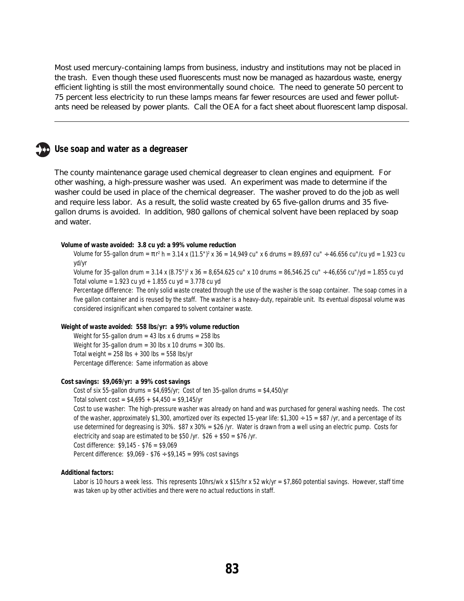Most used mercury-containing lamps from business, industry and institutions may not be placed in the trash. Even though these used fluorescents must now be managed as hazardous waste, energy efficient lighting is still the most environmentally sound choice. The need to generate 50 percent to 75 percent less electricity to run these lamps means far fewer resources are used and fewer pollutants need be released by power plants. Call the OEA for a fact sheet about fluorescent lamp disposal.

### **Use soap and water as a degreaser**

The county maintenance garage used chemical degreaser to clean engines and equipment. For other washing, a high-pressure washer was used. An experiment was made to determine if the washer could be used in place of the chemical degreaser. The washer proved to do the job as well and require less labor. As a result, the solid waste created by 65 five-gallon drums and 35 fivegallon drums is avoided. In addition, 980 gallons of chemical solvent have been replaced by soap and water.

#### **Volume of waste avoided: 3.8 cu yd: a 99% volume reduction**

Volume for 55-gallon drum = πr² h = 3.14 x (11.5")² x 36 = 14,949 cu" x 6 drums = 89,697 cu"  $\div$  46.656 cu"/cu yd = 1.923 cu yd/yr

Volume for 35-gallon drum = 3.14 x (8.75")<sup>2</sup> x 36 = 8,654.625 cu" x 10 drums = 86,546.25 cu" ÷ 46,656 cu"/yd = 1.855 cu yd Total volume =  $1.923$  cu yd +  $1.855$  cu yd =  $3.778$  cu yd

Percentage difference: The only solid waste created through the use of the washer is the soap container. The soap comes in a five gallon container and is reused by the staff. The washer is a heavy-duty, repairable unit. Its eventual disposal volume was considered insignificant when compared to solvent container waste.

#### **Weight of waste avoided: 558 lbs/yr: a 99% volume reduction**

Weight for 55-gallon drum =  $43$  lbs x 6 drums =  $258$  lbs Weight for 35-gallon drum = 30 lbs x 10 drums = 300 lbs. Total weight =  $258$  lbs +  $300$  lbs =  $558$  lbs/yr Percentage difference: Same information as above

#### **Cost savings: \$9,069/yr: a 99% cost savings**

Cost of six 55-gallon drums =  $$4,695/yr$ ; Cost of ten 35-gallon drums =  $$4,450/yr$ Total solvent  $cost = $4,695 + $4,450 = $9,145/yr$ Cost to use washer: The high-pressure washer was already on hand and was purchased for general washing needs. The cost of the washer, approximately \$1,300, amortized over its expected 15-year life: \$1,300  $\div$  15 = \$87 /yr, and a percentage of its use determined for degreasing is 30%. \$87 x 30% = \$26 /yr. Water is drawn from a well using an electric pump. Costs for electricity and soap are estimated to be \$50 /yr.  $$26 + $50 = $76$  /yr. Cost difference: \$9,145 - \$76 = \$9,069 Percent difference:  $$9,069 - $76 \div $9,145 = 99\%$  cost savings

#### **Additional factors:**

Labor is 10 hours a week less. This represents 10hrs/wk x \$15/hr x 52 wk/yr = \$7,860 potential savings. However, staff time was taken up by other activities and there were no actual reductions in staff.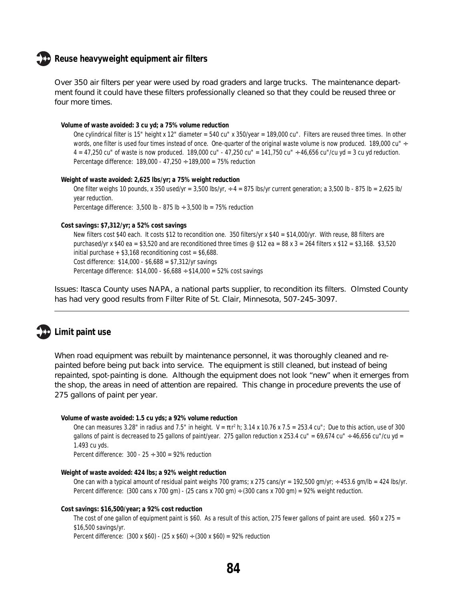### **Reuse heavyweight equipment air filters**

Over 350 air filters per year were used by road graders and large trucks. The maintenance department found it could have these filters professionally cleaned so that they could be reused three or four more times.

### **Volume of waste avoided: 3 cu yd; a 75% volume reduction**

One cylindrical filter is 15" height x 12" diameter = 540 cu" x 350/year = 189,000 cu". Filters are reused three times. In other words, one filter is used four times instead of once. One-quarter of the original waste volume is now produced. 189,000 cu" ÷  $4 = 47.250$  cu" of waste is now produced. 189,000 cu" - 47,250 cu" = 141,750 cu" ÷ 46,656 cu"/cu yd = 3 cu yd reduction. Percentage difference:  $189,000 - 47,250 \div 189,000 = 75\%$  reduction

**Weight of waste avoided: 2,625 lbs/yr; a 75% weight reduction** One filter weighs 10 pounds, x 350 used/yr = 3,500 lbs/yr,  $\div$  4 = 875 lbs/yr current generation; a 3,500 lb - 875 lb = 2,625 lb/ year reduction. Percentage difference:  $3,500$  lb -  $875$  lb  $\div$   $3,500$  lb =  $75\%$  reduction

#### **Cost savings: \$7,312/yr; a 52% cost savings**

New filters cost \$40 each. It costs \$12 to recondition one. 350 filters/yr x \$40 = \$14,000/yr. With reuse, 88 filters are purchased/yr x \$40 ea = \$3,520 and are reconditioned three times @ \$12 ea = 88 x 3 = 264 filters x \$12 = \$3,168. \$3,520 initial purchase  $+$  \$3,168 reconditioning cost = \$6,688. Cost difference: \$14,000 - \$6,688 = \$7,312/yr savings Percentage difference:  $$14,000 - $6,688 \div $14,000 = 52\% \text{ cost savings}$ 

Issues: Itasca County uses NAPA, a national parts supplier, to recondition its filters. Olmsted County has had very good results from Filter Rite of St. Clair, Minnesota, 507-245-3097.

## **Limit paint use**

When road equipment was rebuilt by maintenance personnel, it was thoroughly cleaned and repainted before being put back into service. The equipment is still cleaned, but instead of being repainted, spot-painting is done. Although the equipment does not look "new" when it emerges from the shop, the areas in need of attention are repaired. This change in procedure prevents the use of 275 gallons of paint per year.

#### **Volume of waste avoided: 1.5 cu yds; a 92% volume reduction**

One can measures 3.28" in radius and 7.5" in height. V = πr² h; 3.14 x 10.76 x 7.5 = 253.4 cu"; Due to this action, use of 300 gallons of paint is decreased to 25 gallons of paint/year. 275 gallon reduction x 253.4 cu" = 69,674 cu" ÷ 46,656 cu"/cu yd = 1.493 cu yds.

Percent difference:  $300 - 25 \div 300 = 92\%$  reduction

#### **Weight of waste avoided: 424 lbs; a 92% weight reduction**

One can with a typical amount of residual paint weighs 700 grams; x 275 cans/yr = 192,500 gm/yr;  $\div$  453.6 gm/lb = 424 lbs/yr. Percent difference: (300 cans x 700 gm) - (25 cans x 700 gm) ÷ (300 cans x 700 gm) = 92% weight reduction.

#### **Cost savings: \$16,500/year; a 92% cost reduction**

The cost of one gallon of equipment paint is \$60. As a result of this action, 275 fewer gallons of paint are used.  $$60 x 275 =$ \$16,500 savings/yr.

Percent difference:  $(300 \times $60) - (25 \times $60) \div (300 \times $60) = 92\%$  reduction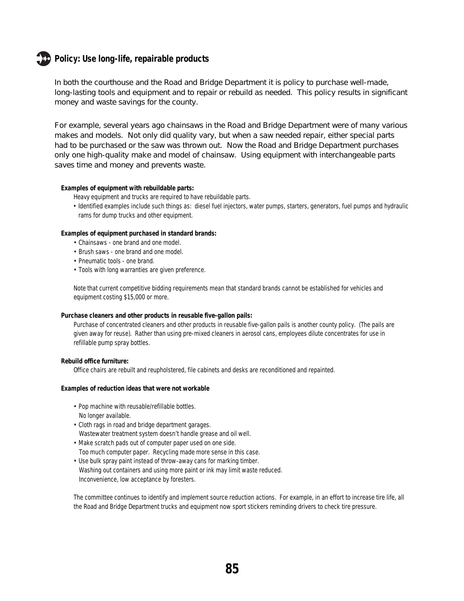## **Policy: Use long-life, repairable products**

In both the courthouse and the Road and Bridge Department it is policy to purchase well-made, long-lasting tools and equipment and to repair or rebuild as needed. This policy results in significant money and waste savings for the county.

For example, several years ago chainsaws in the Road and Bridge Department were of many various makes and models. Not only did quality vary, but when a saw needed repair, either special parts had to be purchased or the saw was thrown out. Now the Road and Bridge Department purchases only one high-quality make and model of chainsaw. Using equipment with interchangeable parts saves time and money and prevents waste.

#### **Examples of equipment with rebuildable parts:**

Heavy equipment and trucks are required to have rebuildable parts.

• Identified examples include such things as: diesel fuel injectors, water pumps, starters, generators, fuel pumps and hydraulic rams for dump trucks and other equipment.

#### **Examples of equipment purchased in standard brands:**

- Chainsaws one brand and one model.
- Brush saws one brand and one model.
- Pneumatic tools one brand.
- Tools with long warranties are given preference.

Note that current competitive bidding requirements mean that standard brands cannot be established for vehicles and equipment costing \$15,000 or more.

#### **Purchase cleaners and other products in reusable five-gallon pails:**

Purchase of concentrated cleaners and other products in reusable five-gallon pails is another county policy. (The pails are given away for reuse). Rather than using pre-mixed cleaners in aerosol cans, employees dilute concentrates for use in refillable pump spray bottles.

#### **Rebuild office furniture:**

Office chairs are rebuilt and reupholstered, file cabinets and desks are reconditioned and repainted.

#### **Examples of reduction ideas that were not workable**

- Pop machine with reusable/refillable bottles. No longer available.
- Cloth rags in road and bridge department garages. Wastewater treatment system doesn't handle grease and oil well.
- Make scratch pads out of computer paper used on one side. Too much computer paper. Recycling made more sense in this case.
- Use bulk spray paint instead of throw-away cans for marking timber. Washing out containers and using more paint or ink may limit waste reduced. Inconvenience, low acceptance by foresters.

The committee continues to identify and implement source reduction actions. For example, in an effort to increase tire life, all the Road and Bridge Department trucks and equipment now sport stickers reminding drivers to check tire pressure.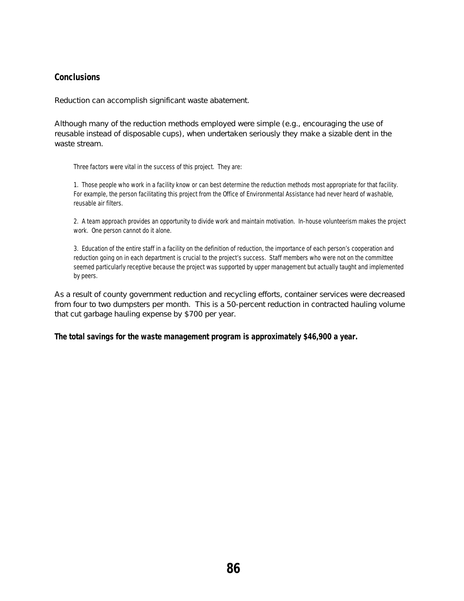## **Conclusions**

Reduction can accomplish significant waste abatement.

Although many of the reduction methods employed were simple (e.g., encouraging the use of reusable instead of disposable cups), when undertaken seriously they make a sizable dent in the waste stream.

Three factors were vital in the success of this project. They are:

1. Those people who work in a facility know or can best determine the reduction methods most appropriate for that facility. For example, the person facilitating this project from the Office of Environmental Assistance had never heard of washable, reusable air filters.

2. A team approach provides an opportunity to divide work and maintain motivation. In-house volunteerism makes the project work. One person cannot do it alone.

3. Education of the entire staff in a facility on the definition of reduction, the importance of each person's cooperation and reduction going on in each department is crucial to the project's success. Staff members who were not on the committee seemed particularly receptive because the project was supported by upper management but actually taught and implemented by peers.

As a result of county government reduction and recycling efforts, container services were decreased from four to two dumpsters per month. This is a 50-percent reduction in contracted hauling volume that cut garbage hauling expense by \$700 per year.

**The total savings for the waste management program is approximately \$46,900 a year.**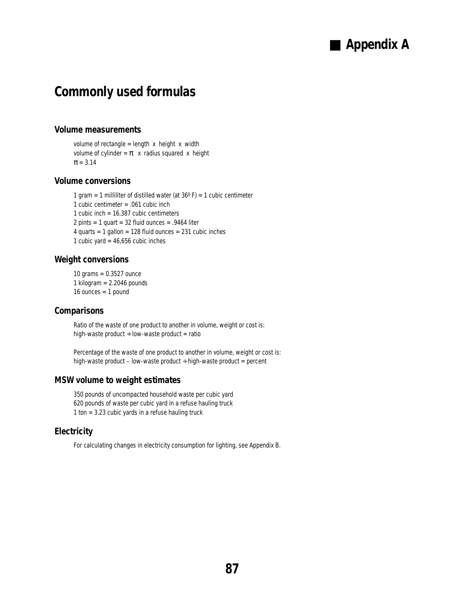## ■ Appendix **A**

## **Commonly used formulas**

### **Volume measurements**

volume of rectangle = length  $x$  height  $x$  width volume of cylinder =  $\pi$  x radius squared x height  $\pi = 3.14$ 

### **Volume conversions**

1 gram = 1 milliliter of distilled water (at  $36^{\circ}$  F) = 1 cubic centimeter 1 cubic centimeter = .061 cubic inch 1 cubic inch = 16.387 cubic centimeters 2 pints = 1 quart =  $32$  fluid ounces =  $.9464$  liter 4 quarts = 1 gallon = 128 fluid ounces = 231 cubic inches 1 cubic yard =  $46,656$  cubic inches

### **Weight conversions**

10 grams = 0.3527 ounce 1 kilogram  $= 2.2046$  pounds 16 ounces  $= 1$  pound

### **Comparisons**

Ratio of the waste of one product to another in volume, weight or cost is: high-waste product  $\div$  low-waste product = ratio

Percentage of the waste of one product to another in volume, weight or cost is: high-waste product – low-waste product  $\div$  high-waste product = percent

### **MSW volume to weight estimates**

350 pounds of uncompacted household waste per cubic yard 620 pounds of waste per cubic yard in a refuse hauling truck 1 ton = 3.23 cubic yards in a refuse hauling truck

### **Electricity**

For calculating changes in electricity consumption for lighting, see Appendix B.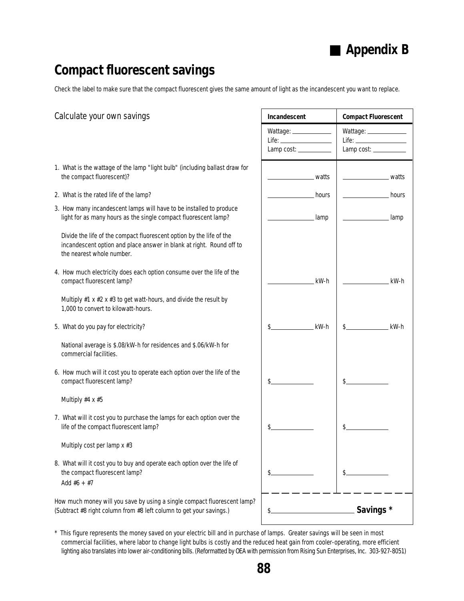## ■ **Appendix B**

## **Compact fluorescent savings**

Check the label to make sure that the compact fluorescent gives the same amount of light as the incandescent you want to replace.

| Calculate your own savings                                                                                                                                                | Incandescent                        | <b>Compact Fluorescent</b>                                                                                                                                                                                                                                                                                                                                                                                                          |
|---------------------------------------------------------------------------------------------------------------------------------------------------------------------------|-------------------------------------|-------------------------------------------------------------------------------------------------------------------------------------------------------------------------------------------------------------------------------------------------------------------------------------------------------------------------------------------------------------------------------------------------------------------------------------|
|                                                                                                                                                                           | Wattage: ____________<br>Lamp cost: | Wattage: _____________<br>$\begin{picture}(20,10) \put(0,0){\dashbox{0.5}(10,0){ }} \put(15,0){\circle{10}} \put(15,0){\circle{10}} \put(15,0){\circle{10}} \put(15,0){\circle{10}} \put(15,0){\circle{10}} \put(15,0){\circle{10}} \put(15,0){\circle{10}} \put(15,0){\circle{10}} \put(15,0){\circle{10}} \put(15,0){\circle{10}} \put(15,0){\circle{10}} \put(15,0){\circle{10}} \put(15,0){\circle{10}} \put(15,$<br>Lamp cost: |
| 1. What is the wattage of the lamp "light bulb" (including ballast draw for<br>the compact fluorescent)?                                                                  | watts                               | watts                                                                                                                                                                                                                                                                                                                                                                                                                               |
| 2. What is the rated life of the lamp?                                                                                                                                    | hours                               | hours                                                                                                                                                                                                                                                                                                                                                                                                                               |
| 3. How many incandescent lamps will have to be installed to produce<br>light for as many hours as the single compact fluorescent lamp?                                    | lamp                                | lamp                                                                                                                                                                                                                                                                                                                                                                                                                                |
| Divide the life of the compact fluorescent option by the life of the<br>incandescent option and place answer in blank at right. Round off to<br>the nearest whole number. |                                     |                                                                                                                                                                                                                                                                                                                                                                                                                                     |
| 4. How much electricity does each option consume over the life of the<br>compact fluorescent lamp?                                                                        | kW-h                                | kW-h                                                                                                                                                                                                                                                                                                                                                                                                                                |
| Multiply $#1 \times #2 \times #3$ to get watt-hours, and divide the result by<br>1,000 to convert to kilowatt-hours.                                                      |                                     |                                                                                                                                                                                                                                                                                                                                                                                                                                     |
| 5. What do you pay for electricity?                                                                                                                                       | kW-h                                | kW-h<br>\$.                                                                                                                                                                                                                                                                                                                                                                                                                         |
| National average is \$.08/kW-h for residences and \$.06/kW-h for<br>commercial facilities.                                                                                |                                     |                                                                                                                                                                                                                                                                                                                                                                                                                                     |
| 6. How much will it cost you to operate each option over the life of the<br>compact fluorescent lamp?                                                                     |                                     | \$.                                                                                                                                                                                                                                                                                                                                                                                                                                 |
| Multiply #4 x #5                                                                                                                                                          |                                     |                                                                                                                                                                                                                                                                                                                                                                                                                                     |
| 7. What will it cost you to purchase the lamps for each option over the<br>life of the compact fluorescent lamp?                                                          |                                     | \$.                                                                                                                                                                                                                                                                                                                                                                                                                                 |
| Multiply cost per lamp x #3                                                                                                                                               |                                     |                                                                                                                                                                                                                                                                                                                                                                                                                                     |
| 8. What will it cost you to buy and operate each option over the life of<br>the compact fluorescent lamp?<br>Add $#6 + #7$                                                | \$.                                 | \$.                                                                                                                                                                                                                                                                                                                                                                                                                                 |
| How much money will you save by using a single compact fluorescent lamp?<br>(Subtract #8 right column from #8 left column to get your savings.)                           | \$                                  | Savings *                                                                                                                                                                                                                                                                                                                                                                                                                           |

\* This figure represents the money saved on your electric bill and in purchase of lamps. Greater savings will be seen in most commercial facilities, where labor to change light bulbs is costly and the reduced heat gain from cooler-operating, more efficient lighting also translates into lower air-conditioning bills. (Reformatted by OEA with permission from Rising Sun Enterprises, Inc. 303-927-8051)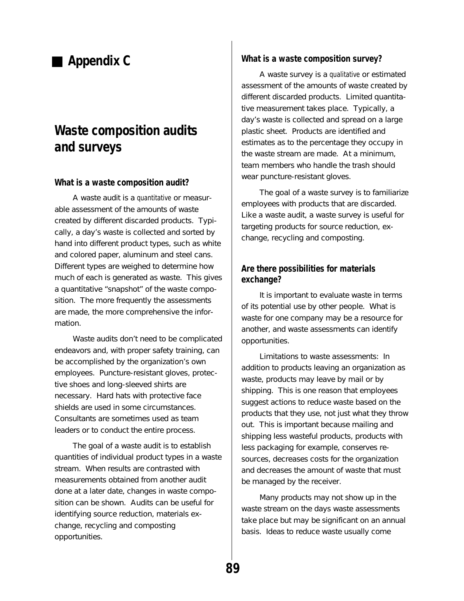## ■ **Appendix C**

## **Waste composition audits and surveys**

### **What is a waste composition audit?**

A waste audit is a quantitative or measurable assessment of the amounts of waste created by different discarded products. Typically, a day's waste is collected and sorted by hand into different product types, such as white and colored paper, aluminum and steel cans. Different types are weighed to determine how much of each is generated as waste. This gives a quantitative "snapshot" of the waste composition. The more frequently the assessments are made, the more comprehensive the information.

Waste audits don't need to be complicated endeavors and, with proper safety training, can be accomplished by the organization's own employees. Puncture-resistant gloves, protective shoes and long-sleeved shirts are necessary. Hard hats with protective face shields are used in some circumstances. Consultants are sometimes used as team leaders or to conduct the entire process.

The goal of a waste audit is to establish quantities of individual product types in a waste stream. When results are contrasted with measurements obtained from another audit done at a later date, changes in waste composition can be shown. Audits can be useful for identifying source reduction, materials exchange, recycling and composting opportunities.

### **What is a waste composition survey?**

A waste survey is a qualitative or estimated assessment of the amounts of waste created by different discarded products. Limited quantitative measurement takes place. Typically, a day's waste is collected and spread on a large plastic sheet. Products are identified and estimates as to the percentage they occupy in the waste stream are made. At a minimum, team members who handle the trash should wear puncture-resistant gloves.

The goal of a waste survey is to familiarize employees with products that are discarded. Like a waste audit, a waste survey is useful for targeting products for source reduction, exchange, recycling and composting.

## **Are there possibilities for materials exchange?**

It is important to evaluate waste in terms of its potential use by other people. What is waste for one company may be a resource for another, and waste assessments can identify opportunities.

Limitations to waste assessments: In addition to products leaving an organization as waste, products may leave by mail or by shipping. This is one reason that employees suggest actions to reduce waste based on the products that they use, not just what they throw out. This is important because mailing and shipping less wasteful products, products with less packaging for example, conserves resources, decreases costs for the organization and decreases the amount of waste that must be managed by the receiver.

Many products may not show up in the waste stream on the days waste assessments take place but may be significant on an annual basis. Ideas to reduce waste usually come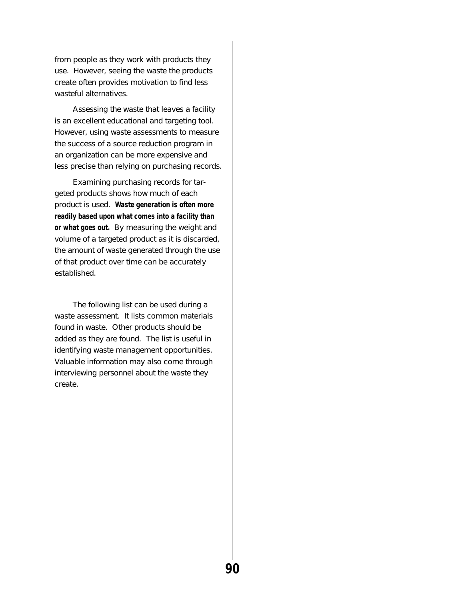from people as they work with products they use. However, seeing the waste the products create often provides motivation to find less wasteful alternatives.

Assessing the waste that leaves a facility is an excellent educational and targeting tool. However, using waste assessments to measure the success of a source reduction program in an organization can be more expensive and less precise than relying on purchasing records.

Examining purchasing records for targeted products shows how much of each product is used. **Waste generation is often more readily based upon what comes into a facility than or what goes out.** By measuring the weight and volume of a targeted product as it is discarded, the amount of waste generated through the use of that product over time can be accurately established.

The following list can be used during a waste assessment. It lists common materials found in waste. Other products should be added as they are found. The list is useful in identifying waste management opportunities. Valuable information may also come through interviewing personnel about the waste they create.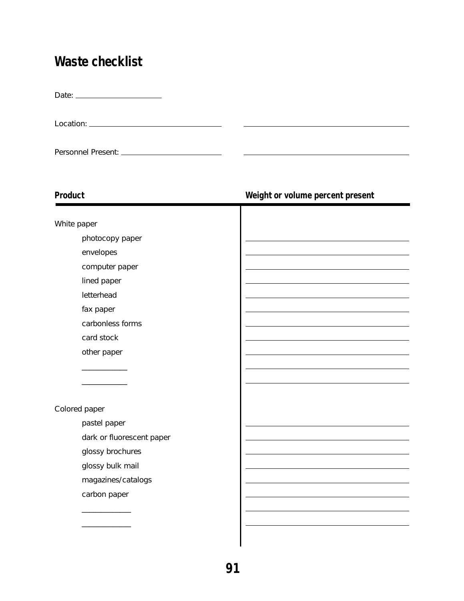## **Waste checklist**

Date:

Location:

Personnel Present:

\_\_\_\_\_\_\_\_\_\_\_\_\_

## **Product Weight or volume percent present** White paper photocopy paper envelopes computer paper lined paper letterhead fax paper carbonless forms card stock other paper \_\_\_\_\_\_\_\_\_\_\_\_ \_\_\_\_\_\_\_\_\_\_\_\_ Colored paper pastel paper dark or fluorescent paper glossy brochures glossy bulk mail magazines/catalogs carbon paper \_\_\_\_\_\_\_\_\_\_\_\_\_

L.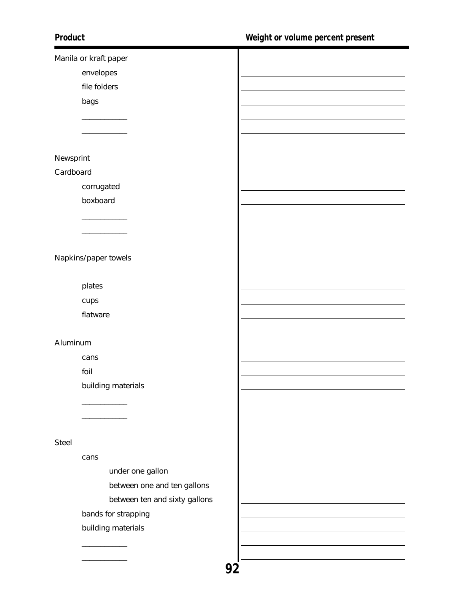| Manila or kraft paper         |  |
|-------------------------------|--|
| envelopes                     |  |
| file folders                  |  |
| bags                          |  |
|                               |  |
|                               |  |
|                               |  |
| Newsprint                     |  |
| Cardboard                     |  |
| corrugated                    |  |
| boxboard                      |  |
|                               |  |
|                               |  |
|                               |  |
| Napkins/paper towels          |  |
|                               |  |
|                               |  |
| plates                        |  |
| cups                          |  |
| flatware                      |  |
|                               |  |
| Aluminum                      |  |
| cans                          |  |
| foil                          |  |
| building materials            |  |
|                               |  |
|                               |  |
|                               |  |
| <b>Steel</b>                  |  |
| cans                          |  |
| under one gallon              |  |
| between one and ten gallons   |  |
| between ten and sixty gallons |  |
| bands for strapping           |  |
| building materials            |  |
|                               |  |
|                               |  |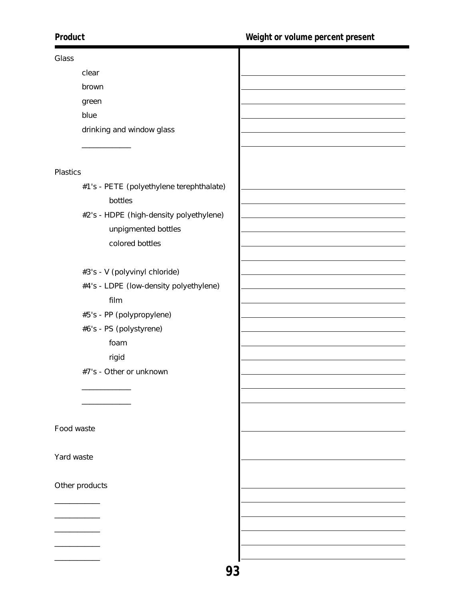## Glass clear brown green blue drinking and window glass \_\_\_\_\_\_\_\_\_\_\_\_\_ Plastics #1's - PETE (polyethylene terephthalate) bottles #2's - HDPE (high-density polyethylene) unpigmented bottles colored bottles #3's - V (polyvinyl chloride) #4's - LDPE (low-density polyethylene) film #5's - PP (polypropylene) #6's - PS (polystyrene) foam rigid #7's - Other or unknown \_\_\_\_\_\_\_\_\_\_\_\_\_ \_\_\_\_\_\_\_\_\_\_\_\_\_ Food waste

Yard waste

Other products

\_\_\_\_\_\_\_\_\_\_\_\_

\_\_\_\_\_\_\_\_\_\_\_\_ \_\_\_\_\_\_\_\_\_\_\_\_

\_\_\_\_\_\_\_\_\_\_\_\_

\_\_\_\_\_\_\_\_\_\_\_\_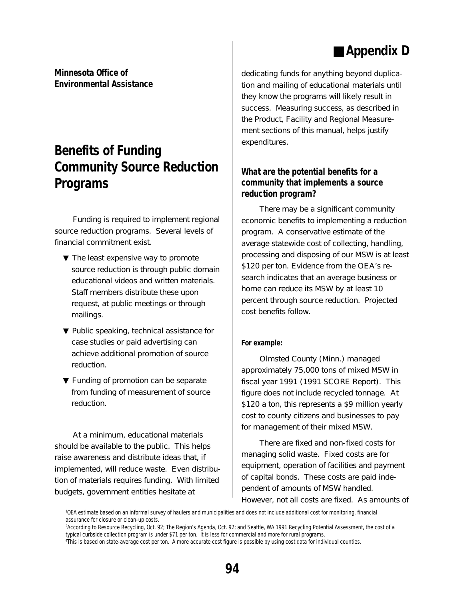## ■ Appendix **D**

**Minnesota Office of Environmental Assistance**

## **Benefits of Funding Community Source Reduction Programs**

Funding is required to implement regional source reduction programs. Several levels of financial commitment exist.

- ▼ The least expensive way to promote source reduction is through public domain educational videos and written materials. Staff members distribute these upon request, at public meetings or through mailings.
- ▼ Public speaking, technical assistance for case studies or paid advertising can achieve additional promotion of source reduction.
- ▼ Funding of promotion can be separate from funding of measurement of source reduction.

At a minimum, educational materials should be available to the public. This helps raise awareness and distribute ideas that, if implemented, will reduce waste. Even distribution of materials requires funding. With limited budgets, government entities hesitate at

dedicating funds for anything beyond duplication and mailing of educational materials until they know the programs will likely result in success. Measuring success, as described in the Product, Facility and Regional Measurement sections of this manual, helps justify expenditures.

## **What are the potential benefits for a community that implements a source reduction program?**

There may be a significant community economic benefits to implementing a reduction program. A conservative estimate of the average statewide cost of collecting, handling, processing and disposing of our MSW is at least \$120 per ton. Evidence from the OEA's research indicates that an average business or home can reduce its MSW by at least 10 percent through source reduction. Projected cost benefits follow.

### **For example:**

Olmsted County (Minn.) managed approximately 75,000 tons of mixed MSW in fiscal year 1991 (1991 SCORE Report). This figure does not include recycled tonnage. At \$120 a ton, this represents a \$9 million yearly cost to county citizens and businesses to pay for management of their mixed MSW.

There are fixed and non-fixed costs for managing solid waste. Fixed costs are for equipment, operation of facilities and payment of capital bonds. These costs are paid independent of amounts of MSW handled. However, not all costs are fixed. As amounts of

<sup>1</sup> OEA estimate based on an informal survey of haulers and municipalities and does not include additional cost for monitoring, financial assurance for closure or clean-up costs.

<sup>2</sup> According to Resource Recycling, Oct. 92; The Region's Agenda, Oct. 92; and Seattle, WA 1991 Recycling Potential Assessment, the cost of a typical curbside collection program is under \$71 per ton. It is less for commercial and more for rural programs.

<sup>4</sup> This is based on state-average cost per ton. A more accurate cost figure is possible by using cost data for individual counties.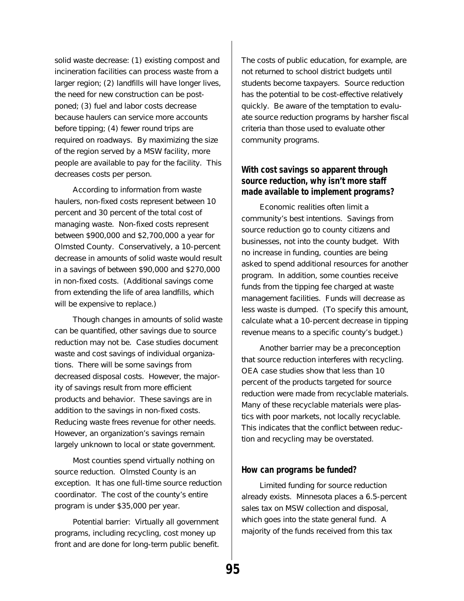solid waste decrease: (1) existing compost and incineration facilities can process waste from a larger region; (2) landfills will have longer lives, the need for new construction can be postponed; (3) fuel and labor costs decrease because haulers can service more accounts before tipping; (4) fewer round trips are required on roadways. By maximizing the size of the region served by a MSW facility, more people are available to pay for the facility. This decreases costs per person.

According to information from waste haulers, non-fixed costs represent between 10 percent and 30 percent of the total cost of managing waste. Non-fixed costs represent between \$900,000 and \$2,700,000 a year for Olmsted County. Conservatively, a 10-percent decrease in amounts of solid waste would result in a savings of between \$90,000 and \$270,000 in non-fixed costs. (Additional savings come from extending the life of area landfills, which will be expensive to replace.)

Though changes in amounts of solid waste can be quantified, other savings due to source reduction may not be. Case studies document waste and cost savings of individual organizations. There will be some savings from decreased disposal costs. However, the majority of savings result from more efficient products and behavior. These savings are in addition to the savings in non-fixed costs. Reducing waste frees revenue for other needs. However, an organization's savings remain largely unknown to local or state government.

Most counties spend virtually nothing on source reduction. Olmsted County is an exception. It has one full-time source reduction coordinator. The cost of the county's entire program is under \$35,000 per year.

Potential barrier: Virtually all government programs, including recycling, cost money up front and are done for long-term public benefit. The costs of public education, for example, are not returned to school district budgets until students become taxpayers. Source reduction has the potential to be cost-effective relatively quickly. Be aware of the temptation to evaluate source reduction programs by harsher fiscal criteria than those used to evaluate other community programs.

### **With cost savings so apparent through source reduction, why isn't more staff made available to implement programs?**

Economic realities often limit a community's best intentions. Savings from source reduction go to county citizens and businesses, not into the county budget. With no increase in funding, counties are being asked to spend additional resources for another program. In addition, some counties receive funds from the tipping fee charged at waste management facilities. Funds will decrease as less waste is dumped. (To specify this amount, calculate what a 10-percent decrease in tipping revenue means to a specific county's budget.)

Another barrier may be a preconception that source reduction interferes with recycling. OEA case studies show that less than 10 percent of the products targeted for source reduction were made from recyclable materials. Many of these recyclable materials were plastics with poor markets, not locally recyclable. This indicates that the conflict between reduction and recycling may be overstated.

### **How can programs be funded?**

Limited funding for source reduction already exists. Minnesota places a 6.5-percent sales tax on MSW collection and disposal, which goes into the state general fund. A majority of the funds received from this tax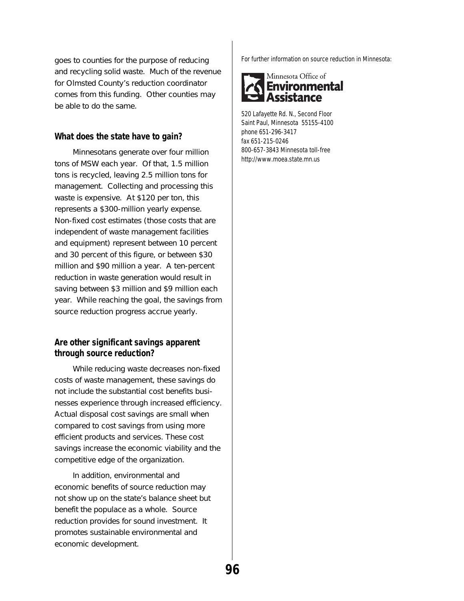goes to counties for the purpose of reducing and recycling solid waste. Much of the revenue for Olmsted County's reduction coordinator comes from this funding. Other counties may be able to do the same.

### **What does the state have to gain?**

Minnesotans generate over four million tons of MSW each year. Of that, 1.5 million tons is recycled, leaving 2.5 million tons for management. Collecting and processing this waste is expensive. At \$120 per ton, this represents a \$300-million yearly expense. Non-fixed cost estimates (those costs that are independent of waste management facilities and equipment) represent between 10 percent and 30 percent of this figure, or between \$30 million and \$90 million a year. A ten-percent reduction in waste generation would result in saving between \$3 million and \$9 million each year. While reaching the goal, the savings from source reduction progress accrue yearly.

## **Are other significant savings apparent through source reduction?**

While reducing waste decreases non-fixed costs of waste management, these savings do not include the substantial cost benefits businesses experience through increased efficiency. Actual disposal cost savings are small when compared to cost savings from using more efficient products and services. These cost savings increase the economic viability and the competitive edge of the organization.

In addition, environmental and economic benefits of source reduction may not show up on the state's balance sheet but benefit the populace as a whole. Source reduction provides for sound investment. It promotes sustainable environmental and economic development.

For further information on source reduction in Minnesota:



520 Lafayette Rd. N., Second Floor Saint Paul, Minnesota 55155-4100 phone 651-296-3417 fax 651-215-0246 800-657-3843 Minnesota toll-free http://www.moea.state.mn.us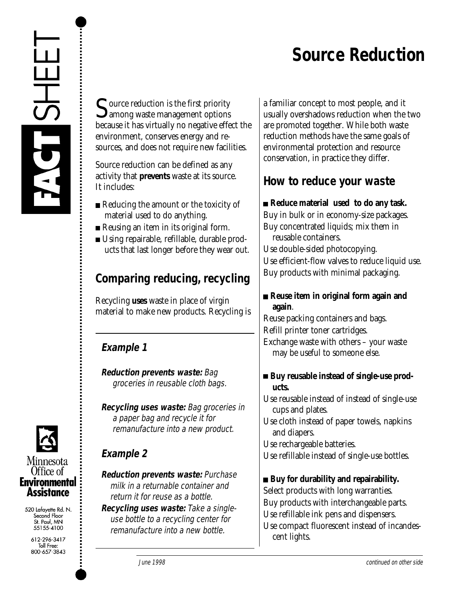## **Source Reduction**



 $\Gamma$  ource reduction is the first priority  $\mathbf{\mathcal{Q}}$  among waste management options because it has virtually no negative effect the environment, conserves energy and resources, and does not require new facilities.

Source reduction can be defined as any activity that **prevents** waste at its source. It includes:

- Reducing the amount or the toxicity of material used to do anything.
- Reusing an item in its original form.
- Using repairable, refillable, durable products that last longer before they wear out.

## **Comparing reducing, recycling**

Recycling **uses** waste in place of virgin material to make new products. Recycling is

## **Example 1**

**Reduction prevents waste:** Bag groceries in reusable cloth bags.

**Recycling uses waste:** Bag groceries in a paper bag and recycle it for remanufacture into a new product.

## **Example 2**

**Reduction prevents waste:** Purchase milk in a returnable container and return it for reuse as a bottle.

**Recycling uses waste:** Take a singleuse bottle to a recycling center for remanufacture into a new bottle.

a familiar concept to most people, and it usually overshadows reduction when the two are promoted together. While both waste reduction methods have the same goals of environmental protection and resource conservation, in practice they differ.

## **How to reduce your waste**

**Reduce material used to do any task.** Buy in bulk or in economy-size packages. Buy concentrated liquids; mix them in reusable containers.

Use double-sided photocopying. Use efficient-flow valves to reduce liquid use. Buy products with minimal packaging.

## **Reuse item in original form again and again**.

Reuse packing containers and bags. Refill printer toner cartridges. Exchange waste with others – your waste may be useful to someone else.

## ■ Buy reusable instead of single-use prod**ucts.**

Use reusable instead of instead of single-use cups and plates.

Use cloth instead of paper towels, napkins and diapers.

Use rechargeable batteries.

Use refillable instead of single-use bottles.

## **Buy for durability and repairability.**

Select products with long warranties. Buy products with interchangeable parts. Use refillable ink pens and dispensers. Use compact fluorescent instead of incandescent lights.



520 Lafayette Rd. N. Second Floor St. Paul, MN 55155-4100

> 612-296-3417 Toll Free:<br>Toll Free:<br>800-657-3843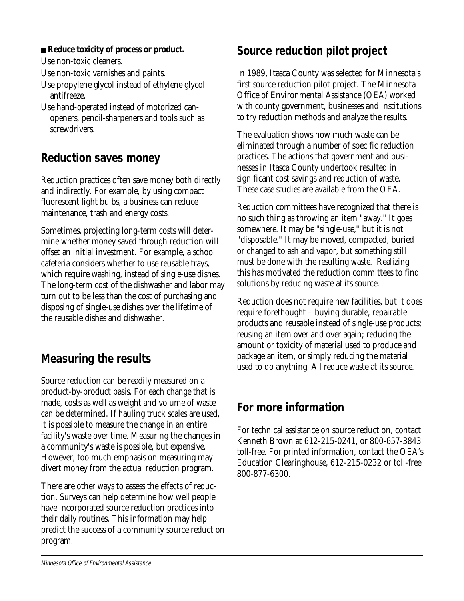## ■ Reduce toxicity of process or product.

Use non-toxic cleaners.

Use non-toxic varnishes and paints.

- Use propylene glycol instead of ethylene glycol antifreeze.
- Use hand-operated instead of motorized canopeners, pencil-sharpeners and tools such as screwdrivers.

## **Reduction saves money**

Reduction practices often save money both directly and indirectly. For example, by using compact fluorescent light bulbs, a business can reduce maintenance, trash and energy costs.

Sometimes, projecting long-term costs will determine whether money saved through reduction will offset an initial investment. For example, a school cafeteria considers whether to use reusable trays, which require washing, instead of single-use dishes. The long-term cost of the dishwasher and labor may turn out to be less than the cost of purchasing and disposing of single-use dishes over the lifetime of the reusable dishes and dishwasher.

## **Measuring the results**

Source reduction can be readily measured on a product-by-product basis. For each change that is made, costs as well as weight and volume of waste can be determined. If hauling truck scales are used, it is possible to measure the change in an entire facility's waste over time. Measuring the changes in a community's waste is possible, but expensive. However, too much emphasis on measuring may divert money from the actual reduction program.

There are other ways to assess the effects of reduction. Surveys can help determine how well people have incorporated source reduction practices into their daily routines. This information may help predict the success of a community source reduction program.

## **Source reduction pilot project**

In 1989, Itasca County was selected for Minnesota's first source reduction pilot project. The Minnesota Office of Environmental Assistance (OEA) worked with county government, businesses and institutions to try reduction methods and analyze the results.

The evaluation shows how much waste can be eliminated through a number of specific reduction practices. The actions that government and businesses in Itasca County undertook resulted in significant cost savings and reduction of waste. These case studies are available from the OEA.

Reduction committees have recognized that there is no such thing as throwing an item "away." It goes somewhere. It may be "single-use," but it is not "disposable." It may be moved, compacted, buried or changed to ash and vapor, but something still must be done with the resulting waste. Realizing this has motivated the reduction committees to find solutions by reducing waste at its source.

Reduction does not require new facilities, but it does require forethought – buying durable, repairable products and reusable instead of single-use products; reusing an item over and over again; reducing the amount or toxicity of material used to produce and package an item, or simply reducing the material used to do anything. All reduce waste at its source.

## **For more information**

For technical assistance on source reduction, contact Kenneth Brown at 612-215-0241, or 800-657-3843 toll-free. For printed information, contact the OEA's Education Clearinghouse, 612-215-0232 or toll-free 800-877-6300.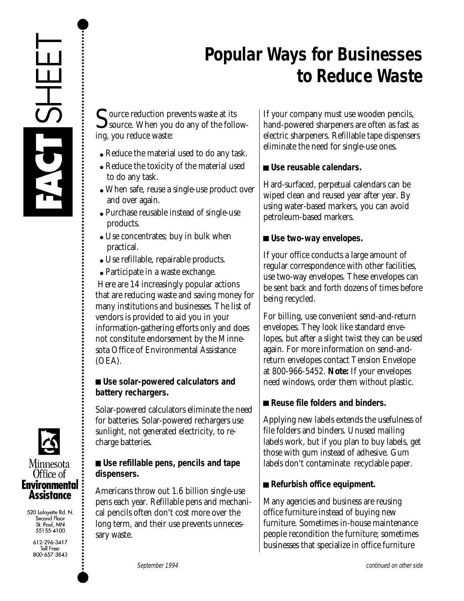

## Minnesota Office of Environmental **Assistance**

520 Lafayette Rd. N. Second Floor St. Paul, MN 55155-4100

> 612-296-3417 Toll Free: 800-657-3843

## **Popular Ways for Businesses to Reduce Waste**

Source reduction prevents waste at its<br>source. When you do any of the following, you reduce waste:

- Reduce the material used to do any task.
- Reduce the toxicity of the material used to do any task.
- When safe, reuse a single-use product over and over again.
- Purchase reusable instead of single-use products.
- Use concentrates; buy in bulk when practical.
- Use refillable, repairable products.
- Participate in a waste exchange.

 Here are 14 increasingly popular actions that are reducing waste and saving money for many institutions and businesses. The list of vendors is provided to aid you in your information-gathering efforts only and does not constitute endorsement by the Minnesota Office of Environmental Assistance (OEA).

## **Use solar-powered calculators and battery rechargers.**

Solar-powered calculators eliminate the need for batteries. Solar-powered rechargers use sunlight, not generated electricity, to recharge batteries.

## **Use refillable pens, pencils and tape dispensers.**

Americans throw out 1.6 billion single-use pens each year. Refillable pens and mechanical pencils often don't cost more over the long term, and their use prevents unnecessary waste.

If your company must use wooden pencils, hand-powered sharpeners are often as fast as electric sharpeners. Refillable tape dispensers eliminate the need for single-use ones.

## **Use reusable calendars.**

Hard-surfaced, perpetual calendars can be wiped clean and reused year after year. By using water-based markers, you can avoid petroleum-based markers.

## **Use two-way envelopes.**

If your office conducts a large amount of regular correspondence with other facilities, use two-way envelopes. These envelopes can be sent back and forth dozens of times before being recycled.

For billing, use convenient send-and-return envelopes. They look like standard envelopes, but after a slight twist they can be used again. For more information on send-andreturn envelopes contact Tension Envelope at 800-966-5452. **Note:** If your envelopes need windows, order them without plastic.

## ■ Reuse file folders and binders.

Applying new labels extends the usefulness of file folders and binders. Unused mailing labels work, but if you plan to buy labels, get those with gum instead of adhesive. Gum labels don't contaminate recyclable paper.

## ■ Refurbish office equipment.

Many agencies and business are reusing office furniture instead of buying new furniture. Sometimes in-house maintenance people recondition the furniture; sometimes businesses that specialize in office furniture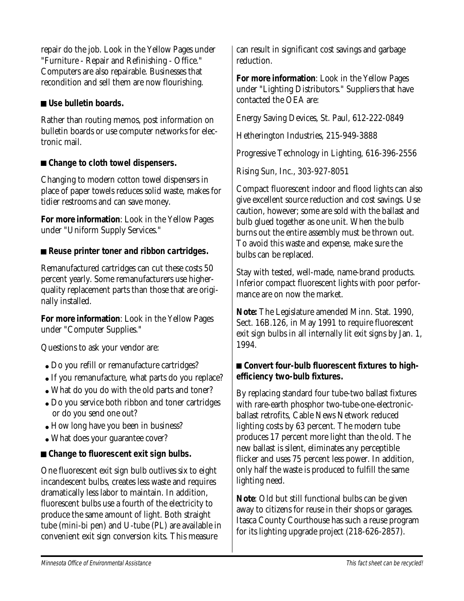repair do the job. Look in the Yellow Pages under "Furniture - Repair and Refinishing - Office." Computers are also repairable. Businesses that recondition and sell them are now flourishing.

## **Use bulletin boards.**

Rather than routing memos, post information on bulletin boards or use computer networks for electronic mail.

## ■ Change to cloth towel dispensers.

Changing to modern cotton towel dispensers in place of paper towels reduces solid waste, makes for tidier restrooms and can save money.

**For more information**: Look in the Yellow Pages under "Uniform Supply Services."

## ■ Reuse printer toner and ribbon cartridges.

Remanufactured cartridges can cut these costs 50 percent yearly. Some remanufacturers use higherquality replacement parts than those that are originally installed.

**For more information**: Look in the Yellow Pages under "Computer Supplies."

Questions to ask your vendor are:

- Do you refill or remanufacture cartridges?
- If you remanufacture, what parts do you replace?
- What do you do with the old parts and toner?
- Do you service both ribbon and toner cartridges or do you send one out?
- How long have you been in business?
- What does your guarantee cover?

## ■ Change to fluorescent exit sign bulbs.

One fluorescent exit sign bulb outlives six to eight incandescent bulbs, creates less waste and requires dramatically less labor to maintain. In addition, fluorescent bulbs use a fourth of the electricity to produce the same amount of light. Both straight tube (mini-bi pen) and U-tube (PL) are available in convenient exit sign conversion kits. This measure

can result in significant cost savings and garbage reduction.

**For more information**: Look in the Yellow Pages under "Lighting Distributors." Suppliers that have contacted the OEA are:

Energy Saving Devices, St. Paul, 612-222-0849

Hetherington Industries, 215-949-3888

Progressive Technology in Lighting, 616-396-2556

Rising Sun, Inc., 303-927-8051

Compact fluorescent indoor and flood lights can also give excellent source reduction and cost savings. Use caution, however; some are sold with the ballast and bulb glued together as one unit. When the bulb burns out the entire assembly must be thrown out. To avoid this waste and expense, make sure the bulbs can be replaced.

Stay with tested, well-made, name-brand products. Inferior compact fluorescent lights with poor performance are on now the market.

**Note:** The Legislature amended Minn. Stat. 1990, Sect. 16B.126, in May 1991 to require fluorescent exit sign bulbs in all internally lit exit signs by Jan. 1, 1994.

## ■ Convert four-bulb fluorescent fixtures to high**efficiency two-bulb fixtures.**

By replacing standard four tube-two ballast fixtures with rare-earth phosphor two-tube-one-electronicballast retrofits, Cable News Network reduced lighting costs by 63 percent. The modern tube produces 17 percent more light than the old. The new ballast is silent, eliminates any perceptible flicker and uses 75 percent less power. In addition, only half the waste is produced to fulfill the same lighting need.

**Note**: Old but still functional bulbs can be given away to citizens for reuse in their shops or garages. Itasca County Courthouse has such a reuse program for its lighting upgrade project (218-626-2857).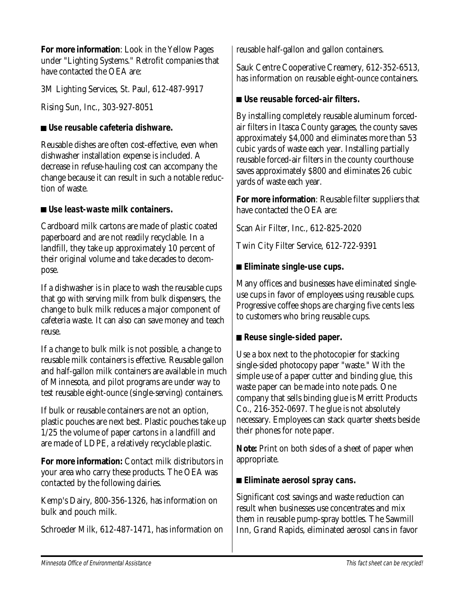**For more information**: Look in the Yellow Pages under "Lighting Systems." Retrofit companies that have contacted the OEA are:

3M Lighting Services, St. Paul, 612-487-9917

Rising Sun, Inc., 303-927-8051

## **Use reusable cafeteria dishware.**

Reusable dishes are often cost-effective, even when dishwasher installation expense is included. A decrease in refuse-hauling cost can accompany the change because it can result in such a notable reduction of waste.

## **Use least-waste milk containers.**

Cardboard milk cartons are made of plastic coated paperboard and are not readily recyclable. In a landfill, they take up approximately 10 percent of their original volume and take decades to decompose.

If a dishwasher is in place to wash the reusable cups that go with serving milk from bulk dispensers, the change to bulk milk reduces a major component of cafeteria waste. It can also can save money and teach reuse.

If a change to bulk milk is not possible, a change to reusable milk containers is effective. Reusable gallon and half-gallon milk containers are available in much of Minnesota, and pilot programs are under way to test reusable eight-ounce (single-serving) containers.

If bulk or reusable containers are not an option, plastic pouches are next best. Plastic pouches take up 1/25 the volume of paper cartons in a landfill and are made of LDPE, a relatively recyclable plastic.

**For more information:** Contact milk distributors in your area who carry these products. The OEA was contacted by the following dairies.

Kemp's Dairy, 800-356-1326, has information on bulk and pouch milk.

Schroeder Milk, 612-487-1471, has information on

reusable half-gallon and gallon containers.

Sauk Centre Cooperative Creamery, 612-352-6513, has information on reusable eight-ounce containers.

## **Use reusable forced-air filters.**

By installing completely reusable aluminum forcedair filters in Itasca County garages, the county saves approximately \$4,000 and eliminates more than 53 cubic yards of waste each year. Installing partially reusable forced-air filters in the county courthouse saves approximately \$800 and eliminates 26 cubic yards of waste each year.

**For more information**: Reusable filter suppliers that have contacted the OEA are:

Scan Air Filter, Inc., 612-825-2020

Twin City Filter Service, 612-722-9391

## **Eliminate single-use cups.**

Many offices and businesses have eliminated singleuse cups in favor of employees using reusable cups. Progressive coffee shops are charging five cents less to customers who bring reusable cups.

## ■ Reuse single-sided paper.

Use a box next to the photocopier for stacking single-sided photocopy paper "waste." With the simple use of a paper cutter and binding glue, this waste paper can be made into note pads. One company that sells binding glue is Merritt Products Co., 216-352-0697. The glue is not absolutely necessary. Employees can stack quarter sheets beside their phones for note paper.

**Note:** Print on both sides of a sheet of paper when appropriate.

## **Eliminate aerosol spray cans.**

Significant cost savings and waste reduction can result when businesses use concentrates and mix them in reusable pump-spray bottles. The Sawmill Inn, Grand Rapids, eliminated aerosol cans in favor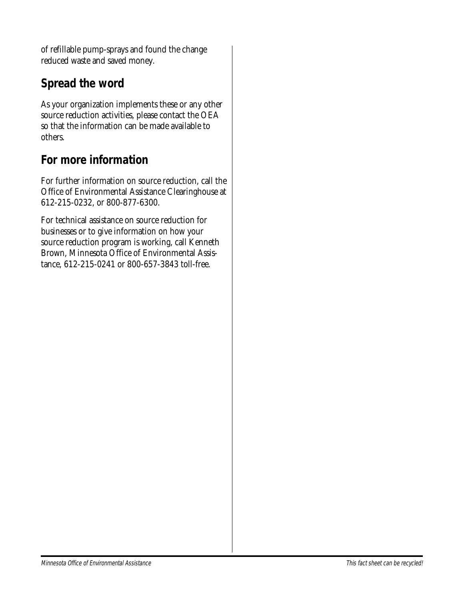of refillable pump-sprays and found the change reduced waste and saved money.

## **Spread the word**

As your organization implements these or any other source reduction activities, please contact the OEA so that the information can be made available to others.

## **For more information**

For further information on source reduction, call the Office of Environmental Assistance Clearinghouse at 612-215-0232, or 800-877-6300.

For technical assistance on source reduction for businesses or to give information on how your source reduction program is working, call Kenneth Brown, Minnesota Office of Environmental Assistance, 612-215-0241 or 800-657-3843 toll-free.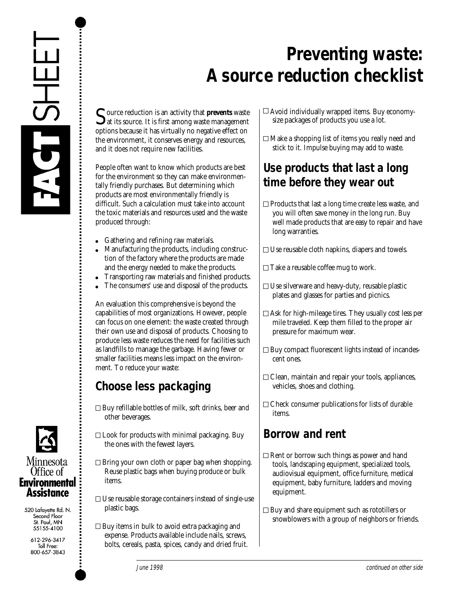



Source reduction is an activity that **prevents** waste<br>at its source. It is first among waste management options because it has virtually no negative effect on the environment, it conserves energy and resources, and it does not require new facilities.

People often want to know which products are best for the environment so they can make environmentally friendly purchases. But determining which products are most environmentally friendly is difficult. Such a calculation must take into account the toxic materials and resources used and the waste produced through:

- $\bullet$ Gathering and refining raw materials.
- Manufacturing the products, including construction of the factory where the products are made and the energy needed to make the products.
- Transporting raw materials and finished products.
- The consumers' use and disposal of the products.

An evaluation this comprehensive is beyond the capabilities of most organizations. However, people can focus on one element: the waste created through their own use and disposal of products. Choosing to produce less waste reduces the need for facilities such as landfills to manage the garbage. Having fewer or smaller facilities means less impact on the environment. To reduce your waste:

## **Choose less packaging**

- $\Box$  Buy refillable bottles of milk, soft drinks, beer and other beverages.
- $\Box$  Look for products with minimal packaging. Buy the ones with the fewest layers.
- $\Box$  Bring your own cloth or paper bag when shopping. Reuse plastic bags when buying produce or bulk items.
- $\Box$  Use reusable storage containers instead of single-use plastic bags.
- $\Box$  Buy items in bulk to avoid extra packaging and expense. Products available include nails, screws, bolts, cereals, pasta, spices, candy and dried fruit.
- $\Box$  Avoid individually wrapped items. Buy economysize packages of products you use a lot.
- $\Box$  Make a shopping list of items you really need and stick to it. Impulse buying may add to waste.

## **Use products that last a long time before they wear out**

- $\Box$  Products that last a long time create less waste, and you will often save money in the long run. Buy well made products that are easy to repair and have long warranties.
- $\Box$  Use reusable cloth napkins, diapers and towels.
- $\Box$  Take a reusable coffee mug to work.
- $\Box$  Use silverware and heavy-duty, reusable plastic plates and glasses for parties and picnics.
- $\Box$  Ask for high-mileage tires. They usually cost less per mile traveled. Keep them filled to the proper air pressure for maximum wear.
- $\Box$  Buy compact fluorescent lights instead of incandescent ones.
- $\Box$  Clean, maintain and repair your tools, appliances, vehicles, shoes and clothing.
- $\Box$  Check consumer publications for lists of durable items.

## **Borrow and rent**

- $\Box$  Rent or borrow such things as power and hand tools, landscaping equipment, specialized tools, audiovisual equipment, office furniture, medical equipment, baby furniture, ladders and moving equipment.
- $\Box$  Buy and share equipment such as rototillers or snowblowers with a group of neighbors or friends.



520 Lafayette Rd. N. Second Floor St. Paul, MN 55155-4100

> 612-296-3417 Toll Free: 800-657-3843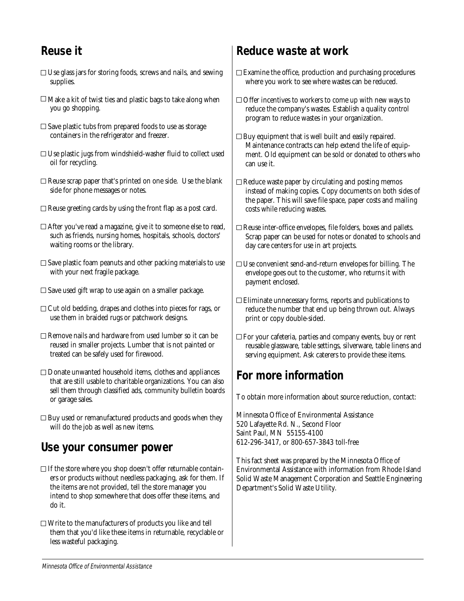#### **Reuse it**

- $\Box$  Use glass jars for storing foods, screws and nails, and sewing supplies.
- $\Box$  Make a kit of twist ties and plastic bags to take along when you go shopping.
- $\square$  Save plastic tubs from prepared foods to use as storage containers in the refrigerator and freezer.
- $\Box$  Use plastic jugs from windshield-washer fluid to collect used oil for recycling.
- $\Box$  Reuse scrap paper that's printed on one side. Use the blank side for phone messages or notes.
- $\Box$  Reuse greeting cards by using the front flap as a post card.
- After you've read a magazine, give it to someone else to read, such as friends, nursing homes, hospitals, schools, doctors' waiting rooms or the library.
- $\square$  Save plastic foam peanuts and other packing materials to use with your next fragile package.
- $\square$  Save used gift wrap to use again on a smaller package.
- $\Box$  Cut old bedding, drapes and clothes into pieces for rags, or use them in braided rugs or patchwork designs.
- $\Box$  Remove nails and hardware from used lumber so it can be reused in smaller projects. Lumber that is not painted or treated can be safely used for firewood.
- $\Box$  Donate unwanted household items, clothes and appliances that are still usable to charitable organizations. You can also sell them through classified ads, community bulletin boards or garage sales.
- $\Box$  Buy used or remanufactured products and goods when they will do the job as well as new items.

#### **Use your consumer power**

- $\Box$  If the store where you shop doesn't offer returnable containers or products without needless packaging, ask for them. If the items are not provided, tell the store manager you intend to shop somewhere that does offer these items, and do it.
- $\Box$  Write to the manufacturers of products you like and tell them that you'd like these items in returnable, recyclable or less wasteful packaging.

#### **Reduce waste at work**

- $\Box$  Examine the office, production and purchasing procedures where you work to see where wastes can be reduced.
- $\Box$  Offer incentives to workers to come up with new ways to reduce the company's wastes. Establish a quality control program to reduce wastes in your organization.
- $\Box$  Buy equipment that is well built and easily repaired. Maintenance contracts can help extend the life of equipment. Old equipment can be sold or donated to others who can use it.
- $\Box$  Reduce waste paper by circulating and posting memos instead of making copies. Copy documents on both sides of the paper. This will save file space, paper costs and mailing costs while reducing wastes.
- $\Box$  Reuse inter-office envelopes, file folders, boxes and pallets. Scrap paper can be used for notes or donated to schools and day care centers for use in art projects.
- $\Box$  Use convenient send-and-return envelopes for billing. The envelope goes out to the customer, who returns it with payment enclosed.
- $\Box$  Eliminate unnecessary forms, reports and publications to reduce the number that end up being thrown out. Always print or copy double-sided.
- $\Box$  For your cafeteria, parties and company events, buy or rent reusable glassware, table settings, silverware, table linens and serving equipment. Ask caterers to provide these items.

#### **For more information**

To obtain more information about source reduction, contact:

Minnesota Office of Environmental Assistance 520 Lafayette Rd. N., Second Floor Saint Paul, MN 55155-4100 612-296-3417, or 800-657-3843 toll-free

This fact sheet was prepared by the Minnesota Office of Environmental Assistance with information from Rhode Island Solid Waste Management Corporation and Seattle Engineering Department's Solid Waste Utility.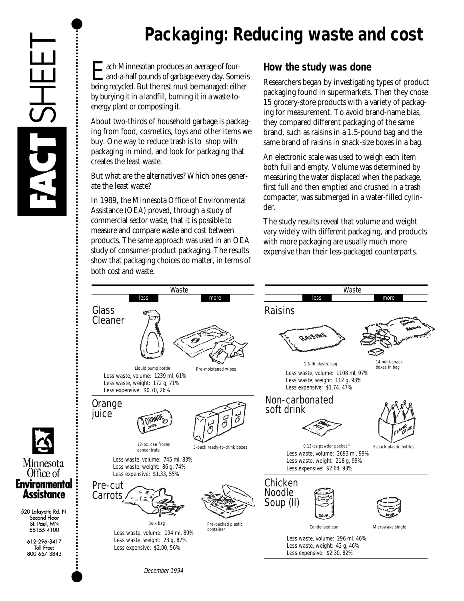### **Packaging: Reducing waste and cost**

**E** ach Minnesotan produces an average of four-<br>and-a-half pounds of garbage every day. Some is<br>being recycled. But the rest must be managed: either being recycled. But the rest must be managed: either by burying it in a landfill, burning it in a waste-toenergy plant or composting it.

About two-thirds of household garbage is packaging from food, cosmetics, toys and other items we buy. One way to reduce trash is to shop with packaging in mind, and look for packaging that creates the least waste.

But what are the alternatives? Which ones generate the least waste?

In 1989, the Minnesota Office of Environmental Assistance (OEA) proved, through a study of commercial sector waste, that it is possible to measure and compare waste and cost between products. The same approach was used in an OEA study of consumer-product packaging. The results show that packaging choices do matter, in terms of both cost and waste.

#### **How the study was done**

Researchers began by investigating types of product packaging found in supermarkets. Then they chose 15 grocery-store products with a variety of packaging for measurement. To avoid brand-name bias, they compared different packaging of the same brand, such as raisins in a 1.5-pound bag and the same brand of raisins in snack-size boxes in a bag.

An electronic scale was used to weigh each item both full and empty. Volume was determined by measuring the water displaced when the package, first full and then emptied and crushed in a trash compacter, was submerged in a water-filled cylinder.

The study results reveal that volume and weight vary widely with different packaging, and products with more packaging are usually much more expensive than their less-packaged counterparts.



Minnesota Office of **Environmental Assistance** 

520 Lafayette Rd. N. Second Floor St. Paul. MN 55155-4100

> 612-296-3417 Toll Free: 800-657-3843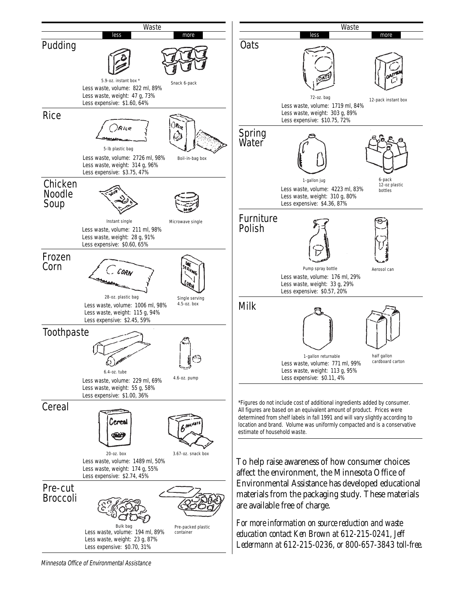

Minnesota Office of Environmental Assistance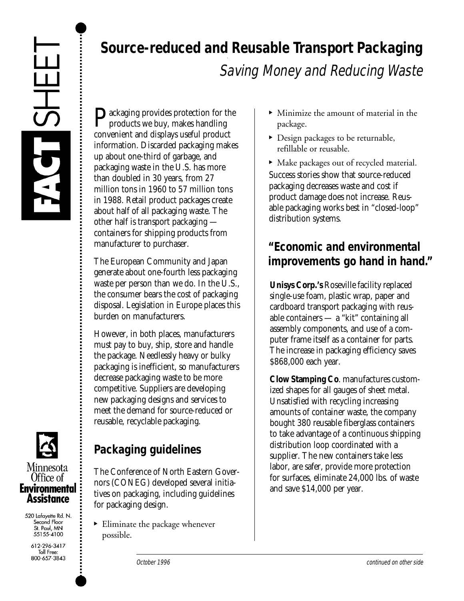

**D** ackaging provides protection for the products we buy, makes handling convenient and displays useful product information. Discarded packaging makes up about one-third of garbage, and packaging waste in the U.S. has more than doubled in 30 years, from 27 million tons in 1960 to 57 million tons in 1988. Retail product packages create about half of all packaging waste. The other half is transport packaging containers for shipping products from manufacturer to purchaser.

The European Community and Japan generate about one-fourth less packaging waste per person than we do. In the U.S., the consumer bears the cost of packaging disposal. Legislation in Europe places this burden on manufacturers.

However, in both places, manufacturers must pay to buy, ship, store and handle the package. Needlessly heavy or bulky packaging is inefficient, so manufacturers decrease packaging waste to be more competitive. Suppliers are developing new packaging designs and services to meet the demand for source-reduced or reusable, recyclable packaging.

The Conference of North Eastern Governors (CONEG) developed several initiatives on packaging, including guidelines



520 Lafayette Rd. N. Second Floor St. Paul, MN 55155-4100

> 612-296-3417 Toll Free:<br>800-657-3843

- **Source-reduced and Reusable Transport Packaging** Saving Money and Reducing Waste
	- Minimize the amount of material in the package.
	- Design packages to be returnable, refillable or reusable.

• Make packages out of recycled material. Success stories show that source-reduced packaging decreases waste and cost if product damage does not increase. Reusable packaging works best in "closed-loop" distribution systems.

#### **"Economic and environmental improvements go hand in hand."**

**Unisys Corp.'s** Roseville facility replaced single-use foam, plastic wrap, paper and cardboard transport packaging with reusable containers — a "kit" containing all assembly components, and use of a computer frame itself as a container for parts. The increase in packaging efficiency saves \$868,000 each year.

**Clow Stamping Co**. manufactures customized shapes for all gauges of sheet metal. Unsatisfied with recycling increasing amounts of container waste, the company bought 380 reusable fiberglass containers to take advantage of a continuous shipping distribution loop coordinated with a supplier. The new containers take less labor, are safer, provide more protection for surfaces, eliminate 24,000 lbs. of waste and save \$14,000 per year.

• Eliminate the package whenever

**Packaging guidelines**

for packaging design.

possible.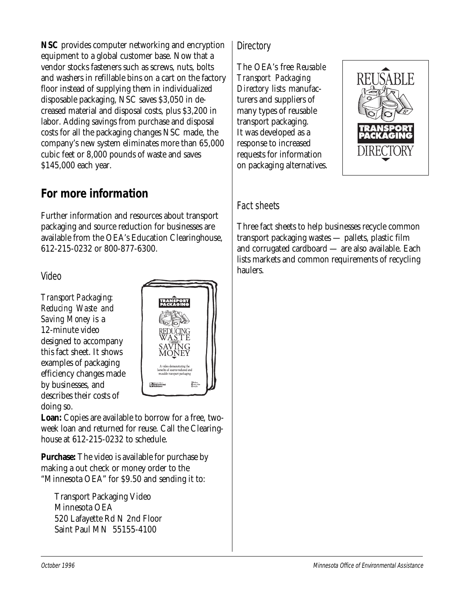**NSC** provides computer networking and encryption equipment to a global customer base. Now that a vendor stocks fasteners such as screws, nuts, bolts and washers in refillable bins on a cart on the factory floor instead of supplying them in individualized disposable packaging, NSC saves \$3,050 in decreased material and disposal costs, plus \$3,200 in labor. Adding savings from purchase and disposal costs for all the packaging changes NSC made, the company's new system eliminates more than 65,000 cubic feet or 8,000 pounds of waste and saves \$145,000 each year.

#### **For more information**

Further information and resources about transport packaging and source reduction for businesses are available from the OEA's Education Clearinghouse, 612-215-0232 or 800-877-6300.

Video

*Transport Packaging: Reducing Waste and Saving Money* is a 12-minute video designed to accompany this fact sheet. It shows examples of packaging efficiency changes made by businesses, and describes their costs of doing so.



**Loan:** Copies are available to borrow for a free, twoweek loan and returned for reuse. Call the Clearinghouse at 612-215-0232 to schedule.

**Purchase:** The video is available for purchase by making a out check or money order to the "Minnesota OEA" for \$9.50 and sending it to:

Transport Packaging Video Minnesota OEA 520 Lafayette Rd N 2nd Floor Saint Paul MN 55155-4100

#### **Directory**

The OEA's free *Reusable Transport Packaging Directory* lists manufacturers and suppliers of many types of reusable transport packaging. It was developed as a response to increased requests for information on packaging alternatives.



#### Fact sheets

Three fact sheets to help businesses recycle common transport packaging wastes — pallets, plastic film and corrugated cardboard — are also available. Each lists markets and common requirements of recycling haulers.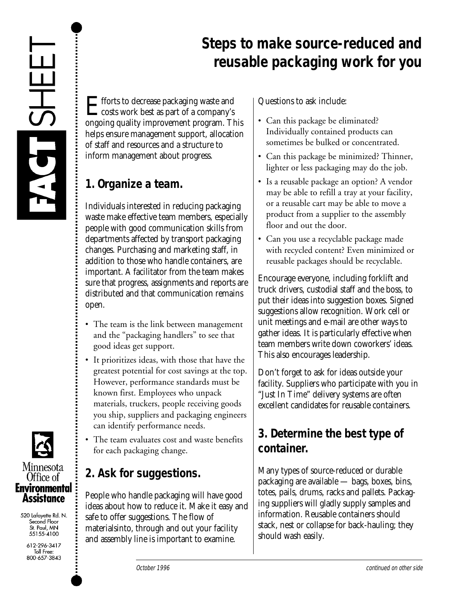

#### **Steps to make source-reduced and reusable packaging work for you**

Efforts to decrease packaging waste and<br>costs work best as part of a company's ongoing quality improvement program. This helps ensure management support, allocation of staff and resources and a structure to inform management about progress.

#### **1. Organize a team.**

Individuals interested in reducing packaging waste make effective team members, especially people with good communication skills from departments affected by transport packaging changes. Purchasing and marketing staff, in addition to those who handle containers, are important. A facilitator from the team makes sure that progress, assignments and reports are distributed and that communication remains open.

- The team is the link between management and the "packaging handlers" to see that good ideas get support.
- It prioritizes ideas, with those that have the greatest potential for cost savings at the top. However, performance standards must be known first. Employees who unpack materials, truckers, people receiving goods you ship, suppliers and packaging engineers can identify performance needs.
- The team evaluates cost and waste benefits for each packaging change.

#### **2. Ask for suggestions.**

People who handle packaging will have good ideas about how to reduce it. Make it easy and safe to offer suggestions. The flow of materialsinto, through and out your facility and assembly line is important to examine.

Questions to ask include:

- Can this package be eliminated? Individually contained products can sometimes be bulked or concentrated.
- Can this package be minimized? Thinner, lighter or less packaging may do the job.
- Is a reusable package an option? A vendor may be able to refill a tray at your facility, or a reusable cart may be able to move a product from a supplier to the assembly floor and out the door.
- Can you use a recyclable package made with recycled content? Even minimized or reusable packages should be recyclable.

Encourage everyone, including forklift and truck drivers, custodial staff and the boss, to put their ideas into suggestion boxes. Signed suggestions allow recognition. Work cell or unit meetings and e-mail are other ways to gather ideas. It is particularly effective when team members write down coworkers' ideas. This also encourages leadership.

Don't forget to ask for ideas outside your facility. Suppliers who participate with you in "Just In Time" delivery systems are often excellent candidates for reusable containers.

#### **3. Determine the best type of container.**

Many types of source-reduced or durable packaging are available — bags, boxes, bins, totes, pails, drums, racks and pallets. Packaging suppliers will gladly supply samples and information. Reusable containers should stack, nest or collapse for back-hauling; they should wash easily.



520 Lafayette Rd. N. Second Floor St. Paul, MN<br>55155-4100

> 612-296-3417 Toll Free: 800-657-3843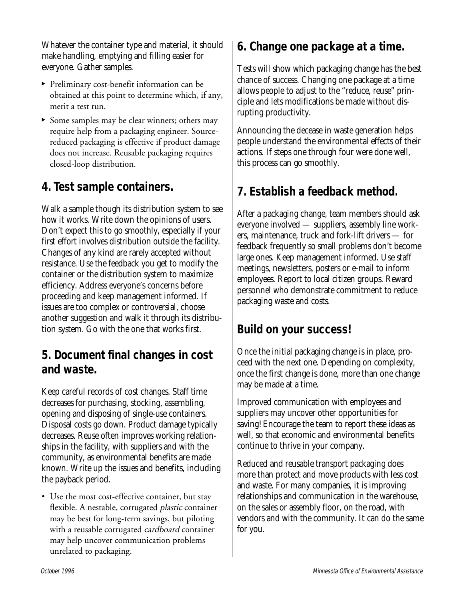Whatever the container type and material, it should make handling, emptying and filling easier for everyone. Gather samples.

- Preliminary cost-benefit information can be obtained at this point to determine which, if any, merit a test run.
- Some samples may be clear winners; others may require help from a packaging engineer. Sourcereduced packaging is effective if product damage does not increase. Reusable packaging requires closed-loop distribution.

#### **4. Test sample containers.**

Walk a sample though its distribution system to see how it works. Write down the opinions of users. Don't expect this to go smoothly, especially if your first effort involves distribution outside the facility. Changes of any kind are rarely accepted without resistance. Use the feedback you get to modify the container or the distribution system to maximize efficiency. Address everyone's concerns before proceeding and keep management informed. If issues are too complex or controversial, choose another suggestion and walk it through its distribution system. Go with the one that works first.

#### **5. Document final changes in cost and waste.**

Keep careful records of cost changes. Staff time decreases for purchasing, stocking, assembling, opening and disposing of single-use containers. Disposal costs go down. Product damage typically decreases. Reuse often improves working relationships in the facility, with suppliers and with the community, as environmental benefits are made known. Write up the issues and benefits, including the payback period.

• Use the most cost-effective container, but stay flexible. A nestable, corrugated *plastic* container may be best for long-term savings, but piloting with a reusable corrugated *cardboard* container may help uncover communication problems unrelated to packaging.

#### **6. Change one package at a time.**

Tests will show which packaging change has the best chance of success. Changing one package at a time allows people to adjust to the "reduce, reuse" principle and lets modifications be made without disrupting productivity.

Announcing the decease in waste generation helps people understand the environmental effects of their actions. If steps one through four were done well, this process can go smoothly.

#### **7. Establish a feedback method.**

After a packaging change, team members should ask everyone involved — suppliers, assembly line workers, maintenance, truck and fork-lift drivers — for feedback frequently so small problems don't become large ones. Keep management informed. Use staff meetings, newsletters, posters or e-mail to inform employees. Report to local citizen groups. Reward personnel who demonstrate commitment to reduce packaging waste and costs.

#### **Build on your success!**

Once the initial packaging change is in place, proceed with the next one. Depending on complexity, once the first change is done, more than one change may be made at a time.

Improved communication with employees and suppliers may uncover other opportunities for saving! Encourage the team to report these ideas as well, so that economic and environmental benefits continue to thrive in your company.

Reduced and reusable transport packaging does more than protect and move products with less cost and waste. For many companies, it is improving relationships and communication in the warehouse, on the sales or assembly floor, on the road, with vendors and with the community. It can do the same for you.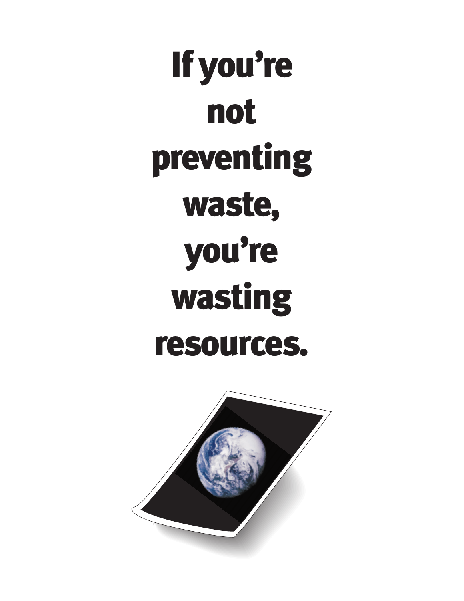If you're not preventing waste, you're wasting resources.

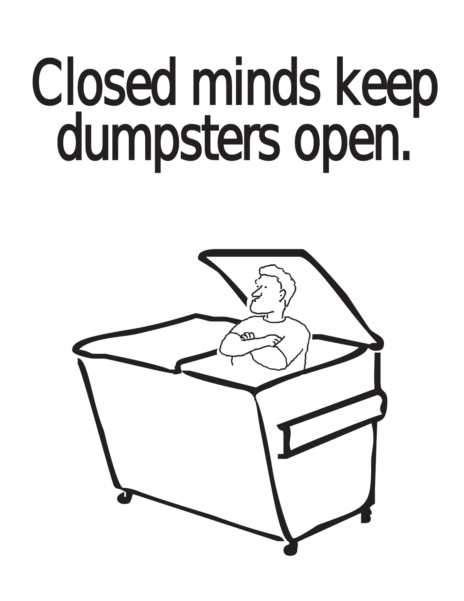## Closed minds keep dumpsters open.

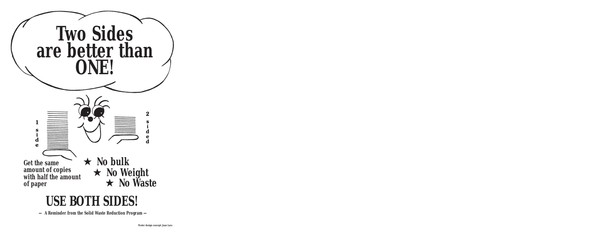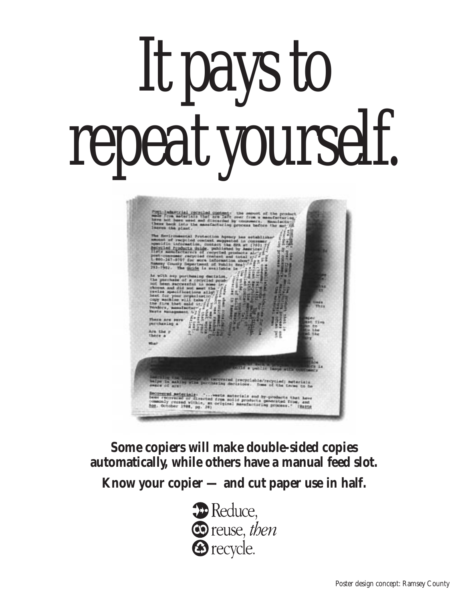# It pays to repeat yourself.

Industrial recruisd opposed: the securi of the<br>From materials that are left over from a menuite<br>hot here weed and discarded by consumers. Henc

escovared (recyclable/recycled) meterials<br>hasing decisions. Some of the tarms to b

**Some copiers will make double-sided copies automatically, while others have a manual feed slot.**

<u>ned meterials</u>: "...weste materials and by-products<br>"coverand or directed from solid products generated i<br>"recand within, an original manufacturing process.<br>Ntober 1984, pg. 28)

trated r

**Know your copier — and cut paper use in half.**

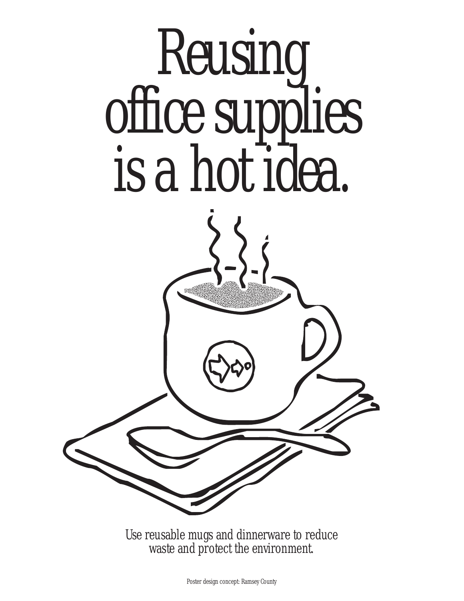

Use reusable mugs and dinnerware to reduce waste and protect the environment.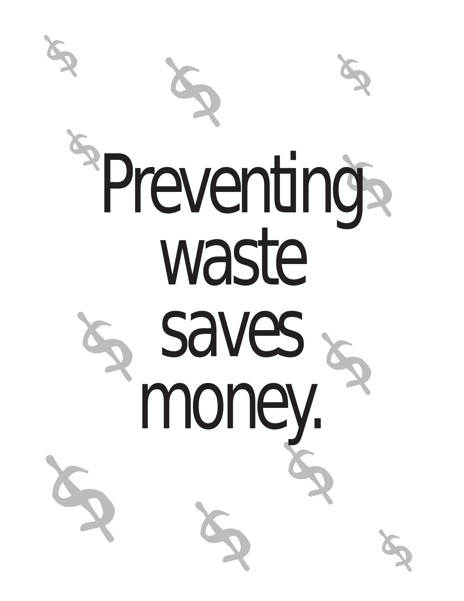